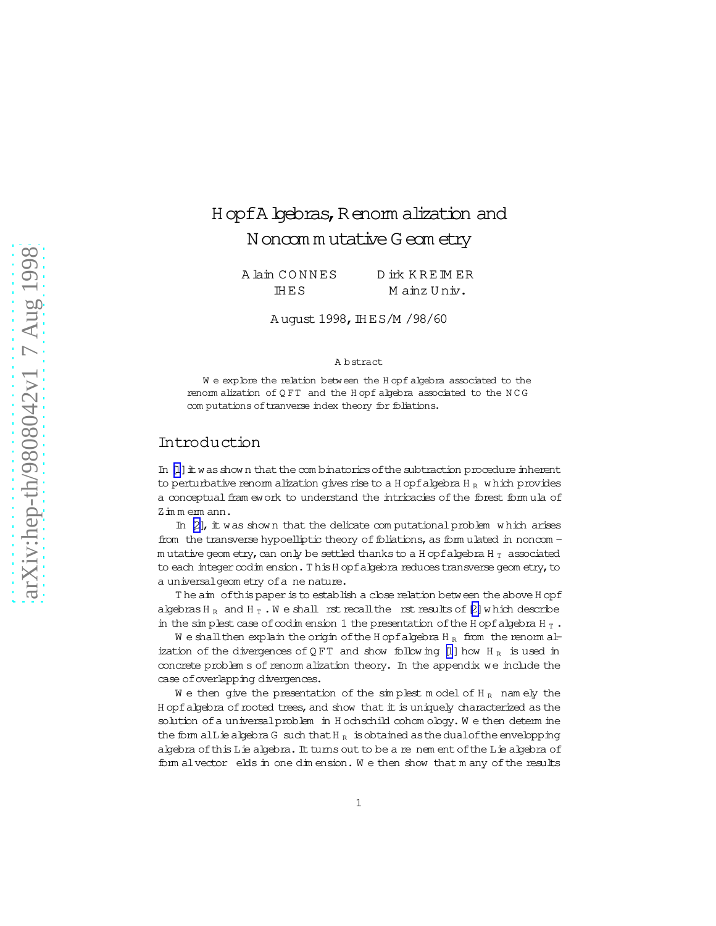# HopfA bebras, Renom alization and N oncom mutative G eom etry

A lain CONNES D irk KREIM ER HES Mainz Univ.

August 1998, IHES/M / 98/60

#### A bstract

We explore the relation between the Hopf algebra associated to the renom alization of QFT and the Hopf algebra associated to the NCG com putations of tranverse index theory for foliations.

## Introduction

In  $[1]$  it was shown that the combinatorics of the subtraction procedure inherent to perturbative renorm alization gives rise to a H opf algebra H  $_R$  which provides a conceptual fram ework to understand the intricacies of the forest formula of Zimmemann.

In  $[2]$ , it was shown that the delicate computational problem which arises from the transverse hypoelliptic theory of foliations, as form ulated in noncomm utative geom etry, can only be settled thanks to a H opf algebra H  $_T$  associated to each integer codim ension. This H opf algebra reduces transverse geometry, to a universal geometry of a ne nature.

The aim of this paper is to establish a close relation between the above H opf algebras  $H_R$  and  $H_T$ . We shall rst recall the rst results of  $[2]$  which describe in the simplest case of codimension 1 the presentation of the H opf algebra H  $_T$ .

We shall then explain the origin of the H opf algebra H<sub>R</sub> from the renorm alization of the divergences of QFT and show following [1] how H<sub>R</sub> is used in concrete problem s of renom alization theory. In the appendix we include the case of overlapping divergences.

We then give the presentation of the simplest model of  $H_R$  namely the Hopf algebra of rooted trees, and show that it is uniquely characterized as the solution of a universal problem in Hochschild cohom ology. We then determine the form all is a kept a G such that  $H_R$  is obtained as the dual of the envelopping algebra of this Lie algebra. It turns out to be a re nem ent of the Lie algebra of form alvector elds in one dimension. We then show that many of the results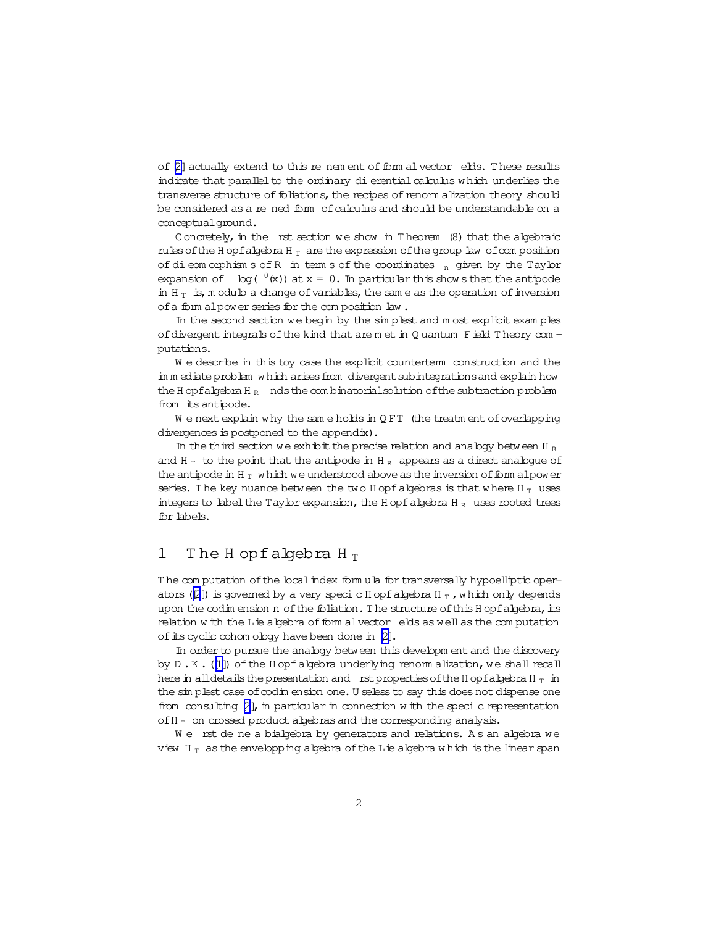of  $[2]$  actually extend to this re nem ent of form alvector elds. These results indicate that parallel to the ordinary di erential calculus which underlies the transverse structure of foliations, the recipes of renorm alization theory should be considered as a re ned form of calculus and should be understandable on a conceptualground.

C oncretely, in the rst section we show in T heorem  $(8)$  that the algebraic rules of the H opfalgebra H $_T$  are the expression of the group law of composition of dieom orphism s of R in term s of the coordinates  $n$  given by the Taylor expansion of  $log( {^0}(x))$  at  $x = 0$ . In particular this show s that the antipode in H $_T$  is, m odulo a change of variables, the same as the operation of inversion of a form alpower series for the composition law.

In the second section we begin by the sim plest and m ost explicit exam ples of divergent integrals of the kind that are m et in Q uantum Field T heory com putations.

W e describe in this toy case the explicit counterterm construction and the im m ediate problem w hich arises from divergent subintegrations and explain how the H opfalgebra H<sub>R</sub> nds the com binatorial solution of the subtraction problem from its antipode.

We next explain why the same holds in  $QFT$  (the treatm ent of overlapping divergences is postponed to the appendix).

In the third section we exhibit the precise relation and analogy between H  $_{\rm R}$ and H $_T$  to the point that the antipode in H $_R$  appears as a direct analogue of the antipode in H $_T$  w hich we understood above as the inversion of form alpower series. The key nuance between the two H opf algebras is that where H $_T$  uses integers to label the Taylor expansion, the H opf algebra H  $_R$  uses rooted trees for labels.

## 1 The H opfalgebra H $_T$

T he com putation ofthe localindex form ula for transversally hypoelliptic operators ( $[2]$  $[2]$ ) is governed by a very specic H opfalgebra H<sub>T</sub>, which only depends upon the  $\text{codim}$  ension n of the foliation. The structure of this H opfalgebra, its relation w ith the Lie algebra of form alvector elds as well as the computation of its cyclic cohom ology have been done in [\[2\]](#page-41-0).

In order to pursue the analogy between this developm ent and the discovery by D.K. ([\[1\]](#page-41-0)) of the H opf algebra underlying renorm alization, we shall recall here in all details the presentation and rst properties of the H opfalgebra H  $_T$  in the sim plest case of codim ension one. U seless to say this does not dispense one from consulting  $[2]$ , in particular in connection w ith the speci c representation of H $_T$  on crossed product algebras and the corresponding analysis.

We rst de ne a bialgebra by generators and relations. As an algebra we view H $_T$  as the envelopping algebra of the Lie algebra w hich is the linear span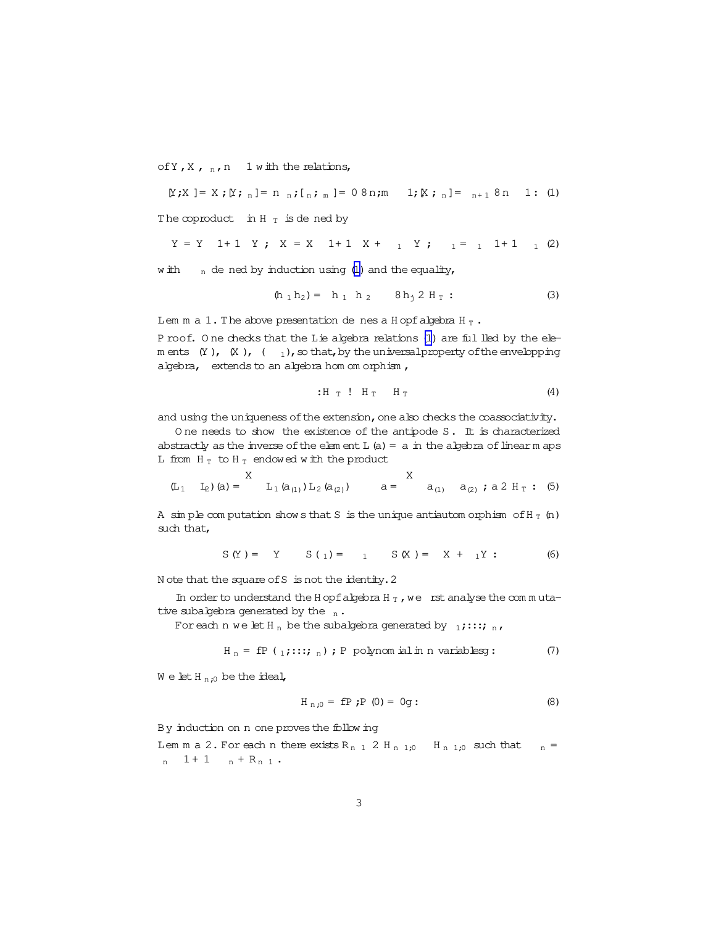<span id="page-2-0"></span>of Y, X,  $_n$ , n 1 with the relations,

 $[Y;X] = X; [Y; n] = n n; [n; m] = 08n; m 1; [X; n] = n+18n 1: (1)$ 

The coproduct in H $_T$  is dened by

$$
Y = Y
$$
 1+1 Y;  $X = X$  1+1  $X + 1$  Y;  $1 = 1$  1+1 1 (2)

with  $_n$  de ned by induction using (1) and the equality,

$$
(\mathbf{h}_1 \mathbf{h}_2) = \mathbf{h}_1 \mathbf{h}_2 \qquad \mathbf{8} \mathbf{h}_1 \mathbf{2} \mathbf{H}_T: \tag{3}
$$

Lem m a 1. The above presentation de nes a H opf abjebra H  $_T$ .

Proof. One checks that the Lie algebra relations (1) are ful lled by the elem ents  $(Y)$ ,  $(X)$ ,  $(Y)$ ,  $(Y)$ ,  $(Y)$  that, by the universal property of the envelopping algebra, extends to an algebra hom om orphism,

$$
H_T : H_T H_T \qquad (4)
$$

and using the uniqueness of the extension, one also checks the coassociativity.

One needs to show the existence of the antipode S. It is characterized abstractly as the inverse of the element  $L(a) = a$  in the algebra of linear m aps L from  $H_T$  to  $H_T$  endowed with the product

$$
(\mathbb{L}_1 \quad \mathbb{L}_2)(a) = \n\begin{array}{ccc}\nX & & & & & & & \\
\mathbb{L}_1 (a_{(1)}) \mathbb{L}_2 (a_{(2)}) & & & & \\
a = & & a_{(1)} & a_{(2)} \; ; \; a \; 2 \; H_T : (5)\n\end{array}
$$

A simple computation shows that S is the unique antiautom or phism of H  $_T$  (n) such that,

$$
S(Y) = Y
$$
  $S(1) = 1$   $S(X) = X + 1Y$  : (6)

Note that the square of S is not the identity. 2

In order to understand the H opf algebra H  $_T$ , we rst analyse the commutative subalgebra generated by the  $_n$ .

For each n we let H<sub>n</sub> be the subalgebra generated by  $_1$ ; :::; <sub>n</sub>,

$$
H_n = fP(1;::::; n); P \text{ polymomial in variablesg}:
$$
 (7)

 $W$  e let  $H_{n:0}$  be the ideal,

$$
H_{n;0} = fP \; ; P \; (0) = 0g:
$$
 (8)

By induction on n one proves the following

Lem m a 2. For each n there exists  $R_{n-1}$  2 H<sub>n 1;0</sub> H<sub>n 1;0</sub> such that  $n =$  $n + 1$   $n + R_{n1}$ .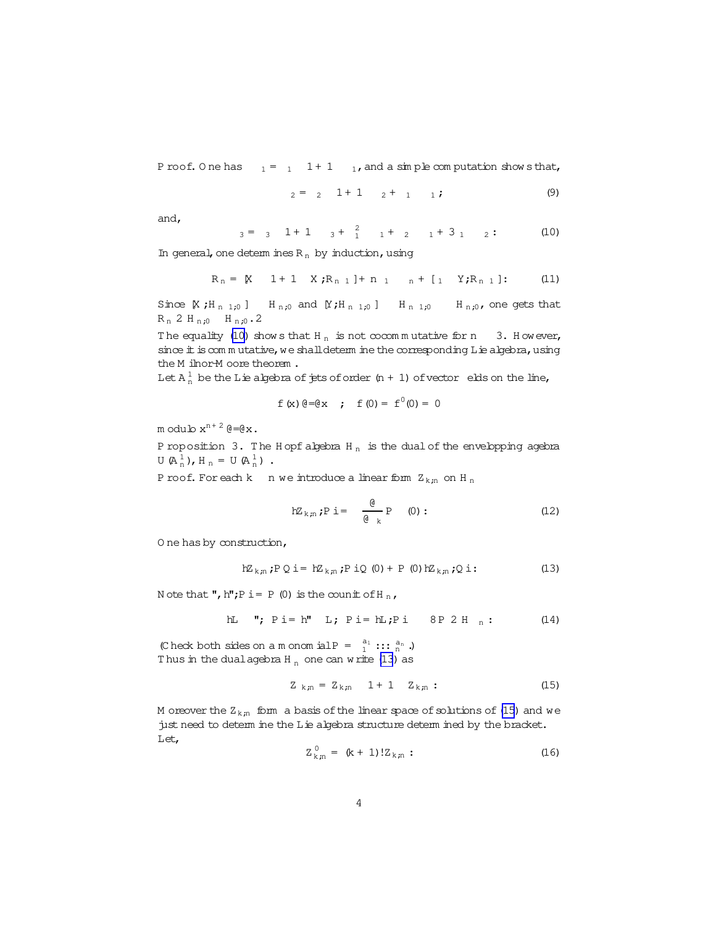<span id="page-3-0"></span>P roof. O ne has  $1 = 1 + 1$   $1$ , and a sim ple com putation show sthat,

$$
2 = 2 + 1 + 1 + 1 + 1
$$
 (9)

and,

$$
3 = 3 \quad 1 + 1 \quad 3 + \frac{2}{1} \quad 1 + 2 \quad 1 + 3 \quad 2: \tag{10}
$$

In general, one determ ines  $R_n$  by induction, using

$$
R_n = [X \quad 1+1 \quad X \; ; R_{n-1}] + n_1 \quad n+1 \quad Y \; ; R_{n-1}] : \qquad (11)
$$

Since  $[X; H_{n-1,0}]$   $H_{n,0}$  and  $[Y; H_{n-1,0}]$   $H_{n-1,0}$   $H_{n,0}$ , one gets that  $R_n$  2 H  $_{n,0}$  H  $_{n,0}$  . 2

The equality (10) show s that H<sub>n</sub> is not cocommutative for n 3. However, since it is com m utative, we shall determ ine the corresponding Lie algebra, using the M ilnor-M oore theorem.

Let  $A_n^1$  be the Lie algebra of jets of order  $(n + 1)$  of vector elds on the line,

$$
f(x) \theta = \theta x
$$
;  $f(0) = f^0(0) = 0$ 

m odulo  $x^{n+2}$  @=@x.

P roposition 3. The H opf algebra  $H_n$  is the dual of the envelopping agebra  $U(A_n^1)$ ,  $H_n = U(A_n^1)$ .

P roof. For each k n we introduce a linear form  $Z_{k:n}$  on H<sub>n</sub>

$$
hZ_{k,n} ; P \ i = \frac{\theta}{\theta_k} P \quad (0) : \qquad (12)
$$

O ne has by construction,

$$
hZ_{k,n} ; P Q i = hZ_{k,n} ; P iQ (0) + P (0) hZ_{k,n} ; Q i : \qquad (13)
$$

N ote that ", h";  $P$  i =  $P$  (0) is the counit of H  $_n$ ,

$$
hL \t "; P i = h" L; P i = hL; P i \t 8P 2 Hn : (14)
$$

(C heck both sides on a m onom ial P =  $a_1$  :::  $a_n$  .) Thus in the dualagebra  $H_n$  one can write (13) as

$$
Z_{k,n} = Z_{k,n} \t 1 + 1 \t Z_{k,n} : \t (15)
$$

M oreover the  $Z_{k,n}$  form a basis of the linear space of solutions of (15) and we just need to determ ine the Lie algebra structure determ ined by the bracket. Let,

$$
Z_{k,n}^0 = (k+1)! Z_{k,n} : \t\t(16)
$$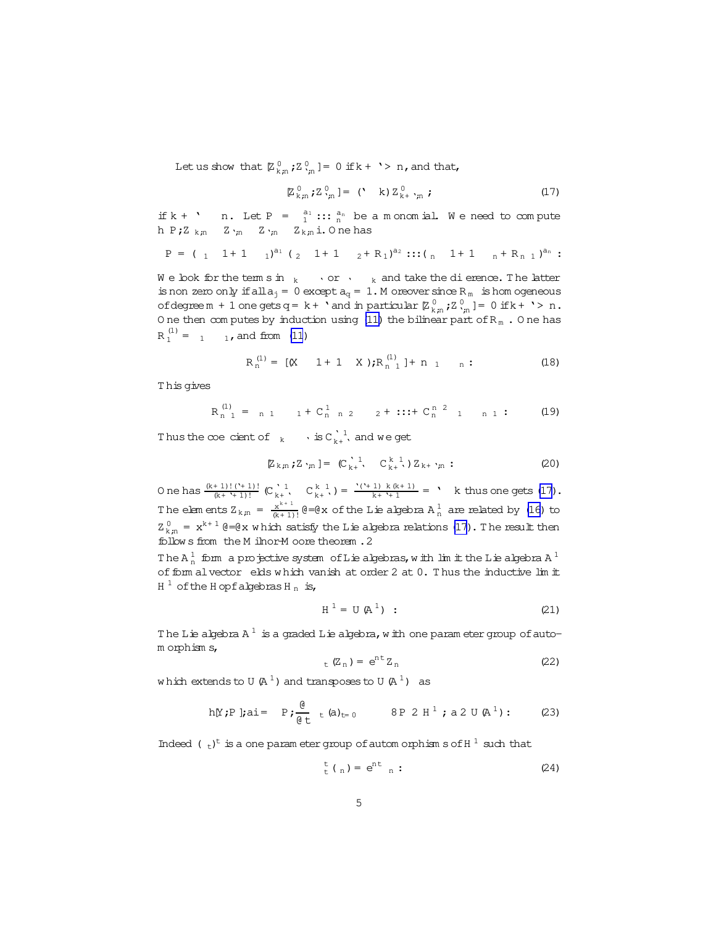Let us show that  $[\mathbb{Z}_{k,m}^0, \mathbb{Z}_{k,m}^0] = 0$  if  $k + \rightarrow n$ , and that,

$$
\mathbb{Z}_{k,n}^0; \mathbb{Z}_{k,n}^0] = (\mathbf{A} \times \mathbb{Z}_{k+\gamma_n}^0; \tag{17}
$$

if  $k + '$  n. Let  $P = \frac{a_1}{1}$ ::  $\frac{a_n}{n}$  be a monomial. We need to compute h P;Z<sub>k;n</sub> Z<sub>'in</sub> Z<sub>'in</sub> Z<sub>k;n</sub>i.Onehas

$$
P = (1 \t 1+1 \t 1)^{a_1} (2 \t 1+1 \t 2+R_1)^{a_2} \cdots (n \t 1+1 \t n+R_{n} \t 1)^{a_n}:
$$

We look for the term s in  $_k \longrightarrow$  or  $\longrightarrow$   $_k$  and take the dierence. The latter is non zero only if all  $a_j = 0$  except  $a_q = 1$ . M or ever since  $R_m$  is hom ogeneous of degree  $m + 1$  one gets  $q = k + \cdot$  and in particular  $\mathbb{Z}_{k,n}^0$  ;  $\mathbb{Z}_{k,n}^0$  ] = 0 if  $k + \cdot > n$ . One then computes by induction using (11) the bilinear part of  $R_m$ . One has  $R_1^{(1)} = 1$  1, and from (11)

$$
R_n^{(1)} = [X \quad 1+1 \quad X); R_{n-1}^{(1)}] + n_1 \quad n: \tag{18}
$$

This gives

$$
R_{n-1}^{(1)} = n 1 \t 1 + C_{n-1}^{1} 2 \t 2 + \cdots + C_{n}^{n-2} 1 \t n 1 \t (19)
$$

Thus the coe cient of  $_k$   $\cdot$  is  $C_{k+}^{\lambda}$ , and we get

$$
[\mathbb{Z}_{k,n}; \mathbb{Z}_{\gamma_n}] = (\mathbb{C}_{k+}^{\gamma-1}, \mathbb{C}_{k+}^{k-1}, \mathbb{Z}_{k+}^{\gamma_n} ; \tag{20}
$$

One has  $\frac{(k+1)!(1+1)!}{(k+1)!}$   $(C_{k+1}^{1}$ ,  $C_{k+1}^{k-1}) = \frac{(1+1)k(k+1)}{k+1} = 1$ , k thus one gets (17). The elements  $Z_{k,n} = \frac{x^{k+1}}{(k+1)!} \theta = \theta x$  of the Lie algebra  $A_n^1$  are related by (16) to  $Z_{k,n}^0 = x^{k+1}$  @=@x which satisfy the Lie algebra relations (17). The result then follows from the M ilnor-M oore theorem. 2

The  $A_n^1$  form a projective system of Lie algebras, with limit the Lie algebra  $A^1$ of form alvector elds which vanish at order 2 at 0. Thus the inductive lim it  $H^1$  of the H opf algebras H<sub>n</sub> is,

$$
H^1 = U(A^1)
$$
 : (21)

The Lie algebra  $A^1$  is a graded Lie algebra, with one param eter group of autom orphisms,

$$
E_{\text{t}}(Z_{\text{n}}) = e^{\text{n}t} Z_{\text{n}} \tag{22}
$$

which extends to U( $A<sup>1</sup>$ ) and transposes to U( $A<sup>1</sup>$ ) as

$$
h[Y;P]
$$
;ai= $P; \frac{\theta}{\theta t} t (a)_{t=0}$  8P 2 H<sup>1</sup>; a 2 U (A<sup>1</sup>): (23)

Indeed  $(+)^t$  is a one parameter group of autom or phism s of H  $^1$  such that

$$
t_{t}^{t} \tbinom{n}{n} = e^{nt} \tbinom{n}{n} \tbinom{n}{n} \tbinom{n}{n}
$$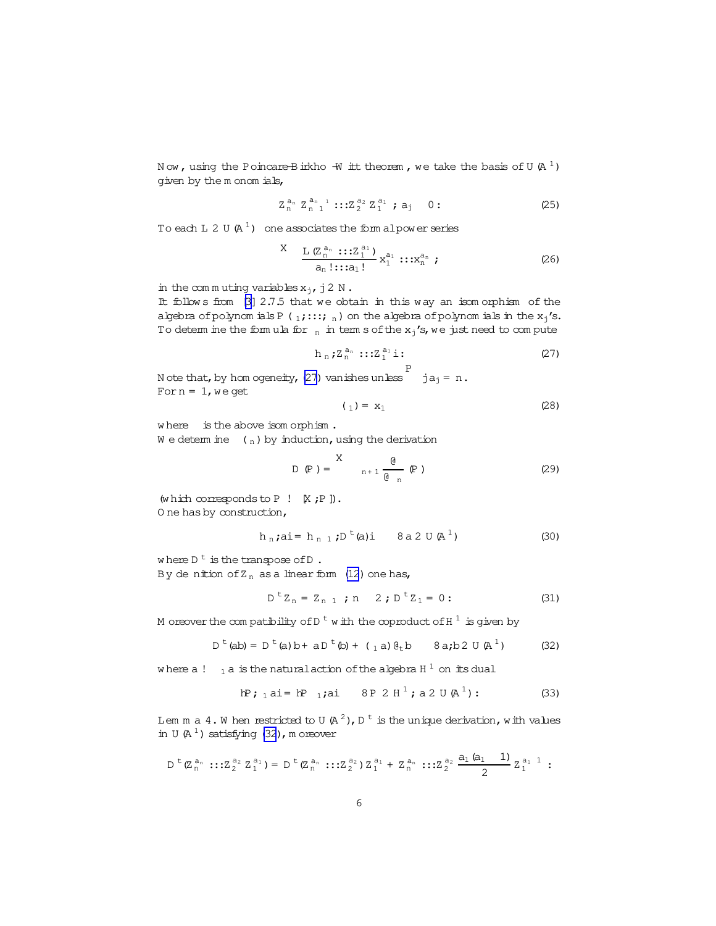<span id="page-5-0"></span>Now, using the Poincare-Birkho  $-\overline{w}$  it theorem, we take the basis of U  $(A^1)$ given by the m onom ials,

$$
Z_n^{a_n} Z_{n-1}^{a_{n-1}} :: Z_2^{a_2} Z_1^{a_1} ; a_j \t 0: \t (25)
$$

To each L 2 U  $(A^1)$  one associates the form alpower series

$$
X \quad \frac{L (Z_n^{a_n} :: Z_1^{a_1})}{a_n! :: a_1!} x_1^{a_1} :: x_n^{a_n} ; \tag{26}
$$

in the commuting variables  $x_j$ , j2 N.

It follows from [3] 2.7.5 that we obtain in this way an isomorphism of the algebra of polynomials P (1;:::; n) on the algebra of polynomials in the  $x_j$ 's. To determ ine the formula for  $_n$  in term s of the  $x_i$ 's, we just need to compute

$$
h_n; Z_n^{a_n}:::Z_1^{a_1}\dot{\mathbf{i}}:
$$
 (27)

N ote that, by hom ogeneity, (27) vanishes unless  $\begin{array}{cc} P \\ ja_1 = n. \end{array}$ For  $n = 1$ , we get

$$
\left(\begin{array}{c}1\end{array}\right) = \mathbf{x}_1 \tag{28}
$$

where is the above isom orphism. We determine  $\binom{n}{n}$  by induction, using the derivation

$$
D \text{ (P)} = \begin{cases} X & \text{if } \text{ (P)} \\ n+1 & \text{if } \text{ (P)} \end{cases}
$$
 (29)

(which corresponds to  $P$  !  $[X; P]$ ). O ne has by construction,

$$
h_n
$$
;ai=  $h_{n1}$ ;D<sup>t</sup>(a)i 8a2 U (A<sup>1</sup>) (30)

where  $D^t$  is the transpose of  $D$ . By denition of  $Z_n$  as a linear form (12) one has,

$$
D^{t}Z_{n} = Z_{n 1} \text{ ; } n \quad 2 \text{ ; } D^{t}Z_{1} = 0 \text{ : } (31)
$$

M or ever the compatibility of D<sup>t</sup> with the coproduct of H<sup>1</sup> is given by

$$
D^{t} (ab) = D^{t} (a) b + a D^{t} (b) + ( a) \theta_{t} b \qquad 8 a; b 2 U (A^{1})
$$
 (32)

where a!  $_1$  a is the natural action of the algebra H<sup>1</sup> on its dual

$$
NP
$$
;  $1 \text{ ai} = NP$   $1 \text{ j} \text{ ai} = 8P 2H^1$ ;  $a 2 U (A^1)$ : (33)

Lem m a 4. W hen restricted to U (A<sup>2</sup>), D<sup>t</sup> is the unique derivation, with values in U  $(A<sup>1</sup>)$  satisfying (32), m or even

$$
D^{t}(Z_{n}^{a_{n}}:::Z_{2}^{a_{2}}Z_{1}^{a_{1}}) = D^{t}(Z_{n}^{a_{n}}:::Z_{2}^{a_{2}})Z_{1}^{a_{1}} + Z_{n}^{a_{n}}:::Z_{2}^{a_{2}}\frac{a_{1}(a_{1}1)}{2}Z_{1}^{a_{1}}:
$$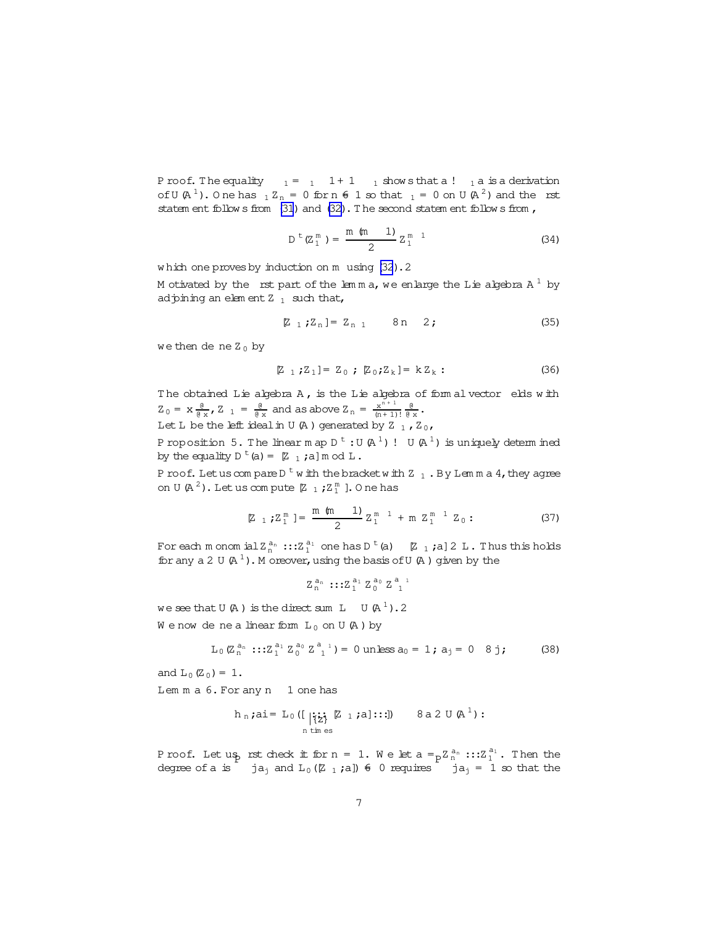P roof. The equality  $1 = 1 + 1$   $1$  show sthat a !  $1$  a is a derivation of U(A<sup>1</sup>). O ne has  $1 Z_n = 0$  for  $n \in \mathbb{Z}$  so that  $1 = 0$  on U(A<sup>2</sup>) and the rst statem ent follow s from  $(31)$  and  $(32)$ . The second statem ent follow s from ,

$$
D^{t}(Z_1^{m}) = \frac{m(m+1)}{2} Z_1^{m+1}
$$
 (34)

which one proves by induction on m using [\(32](#page-5-0)). 2

M otivated by the rst part of the lemma, we enlarge the Lie algebra A  $^{\rm 1}$  by adjoining an elem ent  $Z_1$  such that,

$$
[\mathbb{Z}_{1}; \mathbb{Z}_{n}] = \mathbb{Z}_{n 1} \qquad \text{8 n} \qquad 2; \qquad (35)
$$

we then de ne  $Z_0$  by

$$
[Z_1;Z_1] = Z_0; [Z_0;Z_k] = k Z_k;
$$
\n(36)

The obtained Lie algebra  $A$ , is the Lie algebra of form al vector elds with  $Z_0 = x \frac{0}{0 \times x}$ ,  $Z_1 = \frac{0}{0 \times x}$  and as above  $Z_n = \frac{x^{n+1}}{(n+1)!}$  $\frac{x^{n+1}}{(n+1)!}$   $\frac{0}{0 x}$ .

Let L be the left ideal in U(A) generated by Z<sub>1</sub>, Z<sub>0</sub>,

Proposition 5. The linearm ap D  $^{\rm t}$  : U (A  $^{\rm l}$  ) ! U (A  $^{\rm l}$  ) is uniquely determ ined by the equality D  $^{\text{t}}$  (a) = [Z  $_1$  ;a] m od L .

P roof. Let us com pare D  $^{\rm t}$  w ith the bracket w ith Z  $_{\rm 1}$  . By Lem m a 4, they agree on U(A<sup>2</sup>). Let us com pute  $Z_1$  ;  $Z_1^m$  ]. O ne has

$$
\mathbb{Z}_{1}; \mathbb{Z}_{1}^{\mathfrak{m}} \mathfrak{f} = \frac{\mathfrak{m} \ (\mathfrak{m} \ 1)}{2} \mathbb{Z}_{1}^{\mathfrak{m} \ 1} + \mathfrak{m} \ \mathbb{Z}_{1}^{\mathfrak{m} \ 1} \ \mathbb{Z}_{0} : \qquad (37)
$$

For each monomobil $Z_n^{a_n}$  ::: $Z_1^{a_1}$  one has D  $^t$  (a)  $\quad$   $\mathbb Z_{-1}$  ;a]  $2$  L. Thus this holds for any a 2 U  $(A^1)$ . M oreover, using the basis of U  $(A)$  given by the

 $Z_n^{a_n}$  :: $Z_1^{a_1} Z_0^{a_0} Z_{1}^{a_{1}}$ 

we see that U(A) is the direct sum L U(A<sup>1</sup>).2 We now de ne a linear form  $L_0$  on U(A) by

$$
L_0(Z_n^{a_n}:::Z_1^{a_1}Z_0^{a_0}Z_{1}^{a_{1}}) = 0 \text{ unless } a_0 = 1; a_j = 0 \quad 8 \text{ j}; \tag{38}
$$

and  $L_0(Z_0) = 1$ .

Lem m a 6. For any n 1 one has

$$
h_n \mathbf{;} \text{ai} = L_0 \left( \begin{bmatrix} \mathbf{;} \mathbf{;} \mathbf{;} \mathbf{;} \mathbf{;} \mathbf{;} \mathbf{;} \mathbf{;} \mathbf{;} \mathbf{;} \mathbf{;} \mathbf{;} \mathbf{;} \mathbf{;} \mathbf{;} \mathbf{;} \mathbf{;} \mathbf{;} \mathbf{;} \mathbf{;} \mathbf{;} \mathbf{;} \mathbf{;} \mathbf{;} \mathbf{;} \mathbf{;} \mathbf{;} \mathbf{;} \mathbf{;} \mathbf{;} \mathbf{;} \mathbf{;} \mathbf{;} \mathbf{;} \mathbf{;} \mathbf{;} \mathbf{;} \mathbf{;} \mathbf{;} \mathbf{;} \mathbf{;} \mathbf{;} \mathbf{;} \mathbf{;} \mathbf{;} \mathbf{;} \mathbf{;} \mathbf{;} \mathbf{;} \mathbf{;} \mathbf{;} \mathbf{;} \mathbf{;} \mathbf{;} \mathbf{;} \mathbf{;} \mathbf{;} \mathbf{;} \mathbf{;} \mathbf{;} \mathbf{;} \mathbf{;} \mathbf{;} \mathbf{;} \mathbf{;} \mathbf{;} \mathbf{;} \mathbf{;} \mathbf{;} \mathbf{;} \mathbf{;} \mathbf{;} \mathbf{;} \mathbf{;} \mathbf{;} \mathbf{;} \mathbf{;} \mathbf{;} \mathbf{;} \mathbf{;} \mathbf{;} \mathbf{;} \mathbf{;} \mathbf{;} \mathbf{;} \mathbf{;} \mathbf{;} \mathbf{;} \mathbf{;} \mathbf{;} \mathbf{;} \mathbf{;} \mathbf{;} \mathbf{;} \mathbf{;} \mathbf{;} \mathbf{;} \mathbf{;} \mathbf{;} \mathbf{;} \mathbf{;} \mathbf{;} \mathbf{;} \mathbf{;} \mathbf{;} \mathbf{;} \mathbf{;} \mathbf{;} \mathbf{;} \mathbf{;} \mathbf{;} \mathbf{;} \mathbf{;} \mathbf{;} \mathbf{;} \mathbf{;} \mathbf{;} \mathbf{;} \mathbf{;} \mathbf{;} \mathbf{;} \mathbf{;} \
$$

P roof. Let us rst check it for  $n = 1$ . We let  $a = p^{\sum_{n=1}^{a_n} \cdots \sum_{n=1}^{a_1} p^n}$ . Then the degree of a is  $j$  ja<sub>j</sub> and  $L_0$  ( $Z_{1}$  ;a])  $\epsilon$  0 requires  $j$  ja<sub>j</sub> = 1 so that the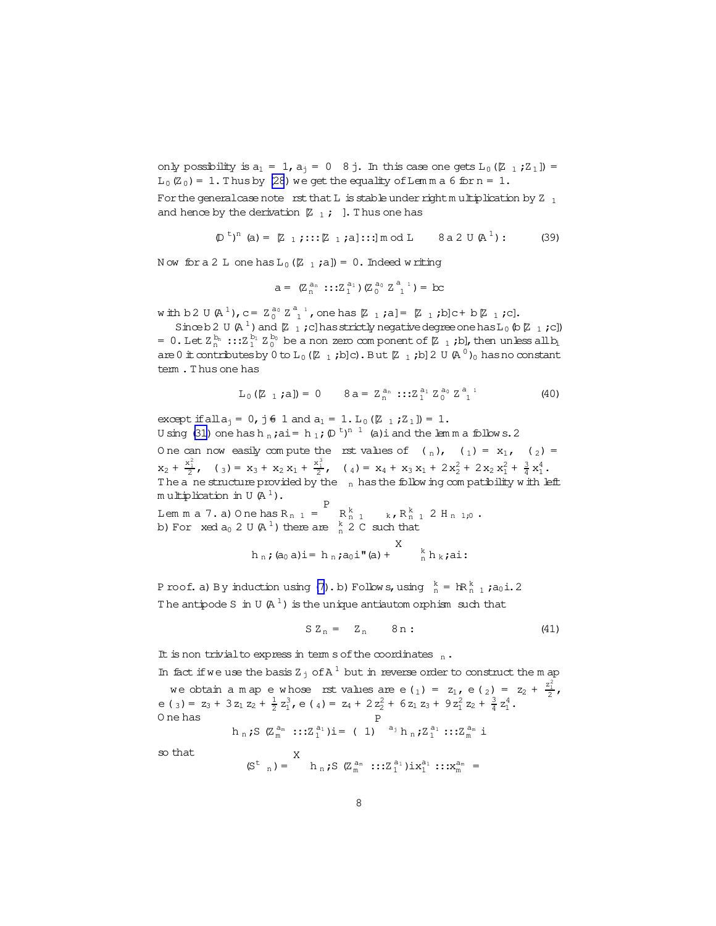only possibility is  $a_1 = 1$ ,  $a_1 = 0$  8 j. In this case one gets  $L_0$  ( $Z_1$ ;  $Z_1$ ]) =  $L_0(Z_0) = 1$ . Thus by (28) we get the equality of Lemma 6 for  $n = 1$ .

For the general case note rst that L is stable under right multiplication by Z  $_1$ and hence by the derivation  $\begin{bmatrix} 2 & 1 \\ 1 & 1 \end{bmatrix}$ . Thus one has

$$
(\mathbb{D}^{t})^{n} \text{ (a)} = [\mathbb{Z}_{1}; \dots; \mathbb{Z}_{1}; a] \dots ] \text{ mod } L \quad \text{8a } 2 \text{ U } (\mathbb{A}^{1}) : \quad (39)
$$

Now for a 2 L one has  $L_0$  ( $Z_1$ ;a]) = 0. Indeed writing

$$
a = (Z_n^{a_n} :: Z_1^{a_1}) (Z_0^{a_0} Z_1^{a_1}) = bc
$$

with b 2 U (A<sup>1</sup>), c =  $Z_0^{a_0} Z_1^{a_1}$ , one has  $[2 \t1; a] = [2 \t1; b]c + b [2 \t1; c].$ 

Since b 2 U (A<sup>1</sup>) and [Z<sub>1</sub>; c] has strictly negative degree one has L<sub>0</sub> (b [Z<sub>1</sub>; c]) = 0. Let  $Z_n^{b_n}$  ::: $Z_1^{b_1} Z_0^{b_0}$  be a non zero component of  $[z_1,b]$ , then unless all  $b_1$ are 0  $\pm$  contributes by 0 to L<sub>0</sub> ( $\mathbb{Z}$  <sub>1</sub>; b]c). But  $\mathbb{Z}$  <sub>1</sub>; b] 2 U (A<sup>0</sup>)<sub>0</sub> has no constant tem. Thus one has

$$
L_0 ([Z_1; a]) = 0 \t 8a = Z_n^{a_n} :: Z_1^{a_1} Z_0^{a_0} Z_1^{a_1}
$$
\t(40)

except if all  $a_i = 0$ , j  $\neq 1$  and  $a_1 = 1$ .  $L_0 ([Z_1; Z_1]) = 1$ . U sing (31) one has h<sub>n</sub>; ai = h<sub>1</sub>;  $(D<sup>t</sup>)<sup>n-1</sup>$  (a) i and the lem m a follows. 2

One can now easily compute the rst values of  $\binom{n}{n}$ ,  $\binom{n}{1}$  =  $x_1$ ,  $\binom{n}{2}$  =  $x_2 + \frac{x_1^2}{2}$ ,  $(y_3) = x_3 + x_2 x_1 + \frac{x_1^3}{2}$ ,  $(y_4) = x_4 + x_3 x_1 + 2x_2^2 + 2x_2 x_1^2 + \frac{3}{4} x_1^4$ . The a ne structure provided by the  $\frac{1}{n}$  has the following compatibility with left multiplication in U(A<sup>1</sup>).

Lemma 7. a) One has  $R_{n-1} = R_{n-1}^k$  k,  $R_{n-1}^k$  2 H<sub>n</sub> 1,0. b) For  $x \in \mathbb{d}$  a<sub>0</sub> 2 U (A<sup>1</sup>) there are  $\frac{k}{n}$  2 C such that

$$
h_n
$$
; (a<sub>0</sub> a)**i** = h<sub>n</sub>; a<sub>0</sub>**i**<sup>n</sup> (a) +  $\sum_{n=1}^{k} h_k$ ;ai:

P roof. a) By induction using (7). b) Follows, using  ${}_{n}^{k} = \text{IR}_{n}^{k}$ , ; a<sub>0</sub>i. 2 The antipode S in U  $(A<sup>1</sup>)$  is the unique antiautom or phism such that

$$
S Z_n = Z_n \qquad 8n: \qquad (41)
$$

It is non trivial to express in term s of the coordinates  $\frac{1}{n}$ .

In fact if we use the basis  $Z_i$  of  $A^1$  but in reverse order to construct the m ap we obtain a map e whose rst values are e(1) =  $z_1$ , e(2) =  $z_2 + \frac{z_1^2}{2}$ , e (3) =  $z_3$  + 3 $z_1$   $z_2$  +  $\frac{1}{2}z_1^3$ , e (4) =  $z_4$  + 2 $z_2^2$  + 6 $z_1$   $z_3$  + 9 $z_1^2$   $z_2$  +  $\frac{3}{4}z_1^4$ . O ne has

$$
h_n; S (Z_m^{a_m} :::Z_1^{a_1})i = (1)^{P} a_j h_n; Z_1^{a_1} :::Z_m^{a_m} i
$$

so that

$$
(S^{t}{}_{n}) = \n\begin{bmatrix}\n\lambda & \lambda_{n} \\
\lambda_{n} & \lambda_{n} \\
\lambda_{n} & \lambda_{n} \\
\lambda_{n} & \lambda_{n} \\
\lambda_{n} & \lambda_{n} \\
\lambda_{n} & \lambda_{n} \\
\lambda_{n} & \lambda_{n} \\
\lambda_{n} & \lambda_{n} \\
\lambda_{n} & \lambda_{n} \\
\lambda_{n} & \lambda_{n} \\
\lambda_{n} & \lambda_{n} \\
\lambda_{n} & \lambda_{n} \\
\lambda_{n} & \lambda_{n} \\
\lambda_{n} & \lambda_{n} \\
\lambda_{n} & \lambda_{n} \\
\lambda_{n} & \lambda_{n} \\
\lambda_{n} & \lambda_{n} \\
\lambda_{n} & \lambda_{n} \\
\lambda_{n} & \lambda_{n} \\
\lambda_{n} & \lambda_{n} \\
\lambda_{n} & \lambda_{n} \\
\lambda_{n} & \lambda_{n} \\
\lambda_{n} & \lambda_{n} \\
\lambda_{n} & \lambda_{n} \\
\lambda_{n} & \lambda_{n} \\
\lambda_{n} & \lambda_{n} \\
\lambda_{n} & \lambda_{n} \\
\lambda_{n} & \lambda_{n} \\
\lambda_{n} & \lambda_{n} \\
\lambda_{n} & \lambda_{n} \\
\lambda_{n} & \lambda_{n} \\
\lambda_{n} & \lambda_{n} \\
\lambda_{n} & \lambda_{n} \\
\lambda_{n} & \lambda_{n} \\
\lambda_{n} & \lambda_{n} \\
\lambda_{n} & \lambda_{n} \\
\lambda_{n} & \lambda_{n} \\
\lambda_{n} & \lambda_{n} \\
\lambda_{n} & \lambda_{n} \\
\lambda_{n} & \lambda_{n} \\
\lambda_{n} & \lambda_{n} \\
\lambda_{n} & \lambda_{n} \\
\lambda_{n} & \lambda_{n} \\
\lambda_{n} & \lambda_{n} \\
\lambda_{n} & \lambda_{n} \\
\lambda_{n} & \lambda_{n} \\
\lambda_{n} & \lambda_{n} \\
\lambda_{n} & \lambda_{n} \\
\lambda_{n} & \lambda_{n} \\
\lambda_{n} & \lambda_{n} \\
\lambda_{n} & \lambda_{n} \\
\lambda_{n} & \lambda_{n} \\
\lambda_{n} & \lambda_{n} \\
\lambda_{n}
$$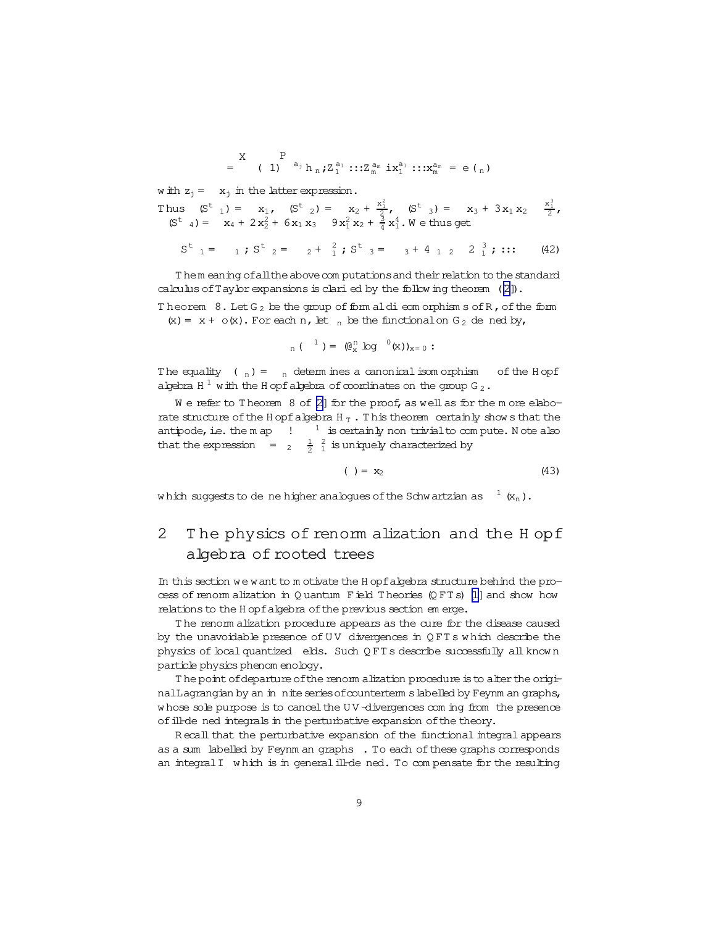$$
= \begin{pmatrix} X & P \\ 1 & 1 \end{pmatrix} a_1 b_n; Z_1^{a_1} :: Z_m^{a_m} ix_1^{a_1} :: X_m^{a_m} = e \tbinom{n}{m}
$$

w ith  $z_i = x_i$  in the latter expression.

Thus  $(S^t_{4}) = x_1$ ,  $(S^t_{2}) = x_2 + \frac{x_1^2}{3}$ ,  $(S^t_{3}) = x_3 + 3x_1x_2 - \frac{x_1^3}{2}$ ,  $(S^t_{4}) = x_4 + 2x_2^2 + 6x_1x_3 - 9x_1^2x_2 + \frac{3}{4}x_1^4$ . We thus get

$$
S^{t}{}_{1} = \t 1; S^{t}{}_{2} = \t 2 + \tfrac{2}{1}; S^{t}{}_{3} = \t 3 + 4 \t 1 \t 2 \t 2 \tfrac{3}{1}; \t ::: \t (42)
$$

Them eaning of all the above computations and their relation to the standard calculus of Taylor expansions is clari ed by the following theorem  $([2])$ .

Theorem  $8.$  Let  $G_2$  be the group of form aldieom orphism s of R, of the form  $(x) = x + o(x)$ . For each n, let  $\frac{1}{n}$  be the functional on G<sub>2</sub> de ned by,

$$
_{n}(\ ^{1})=(\mathbb{C}_{x}^{n}\text{log}^{\ ^{0}}(x))_{x=0}:
$$

The equality  $(n) = n$  determines a canonical isomorphism of the Hopf algebra H<sup>1</sup> with the H opf algebra of coordinates on the group G<sub>2</sub>.

We refer to Theorem 8 of [2] for the proof, as well as for the more elaborate structure of the H opf algebra H  $_{\rm T}$  . This theorem certainly shows that the antipode, i.e. the m ap  $\cdot$   $\cdot$   $^{-1}$  is certainly non trivial to compute. Note also that the expression  $=$   $\frac{1}{2}$   $\frac{2}{3}$  is uniquely characterized by

$$
( ) = x_2 \tag{43}
$$

which suggests to de ne higher analogues of the Schwartzian as  $1(x_n)$ .

#### The physics of renom alization and the H opf 2 algebra of rooted trees

In this section we want to motivate the Hopf algebra structure behind the process of renorm alization in Quantum Field Theories (QFTs) [1] and show how relations to the H opf algebra of the previous section em erge.

The renom alization procedure appears as the cure for the disease caused by the unavoidable presence of UV divergences in QFTs which describe the physics of boal quantized elds. Such QFTs describe successfully all known particle physics phenom enology.

The point of departure of the renom alization procedure is to alter the originalLagrangian by an in nite series of counterterm s labelled by Feynm an graphs, whose sole purpose is to cancel the UV-divergences com ing from the presence of ill-de ned integrals in the perturbative expansion of the theory.

Recall that the perturbative expansion of the functional integral appears as a sum labelled by Feynm an graphs . To each of these graphs corresponds an integral I which is in general ill-de ned. To compensate for the resulting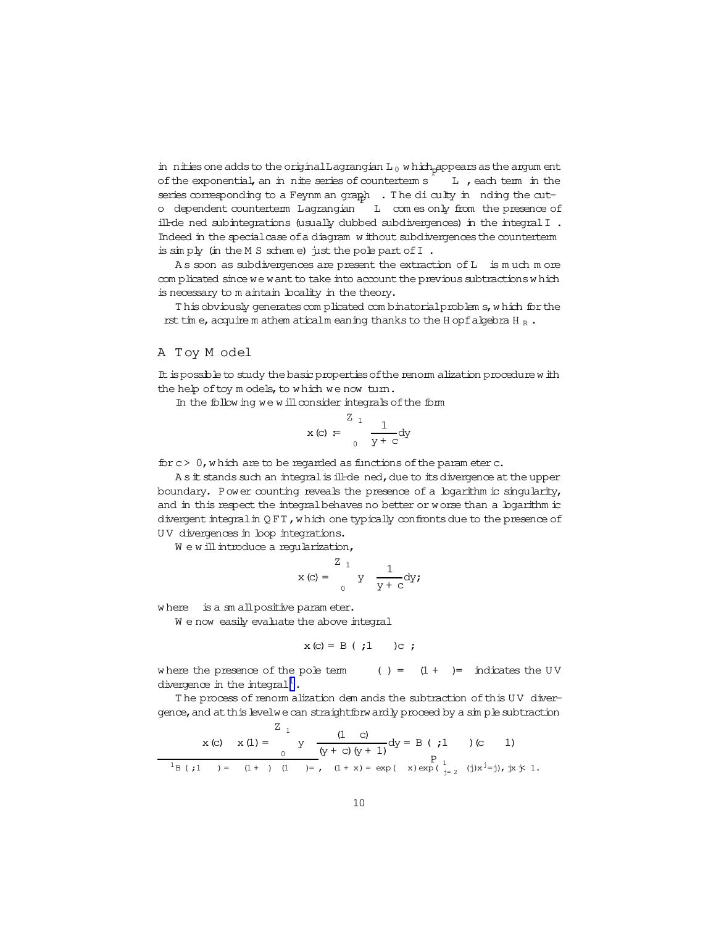in nities one adds to the original Lagrangian L<sub>0</sub> which appears as the argum ent of the exponential, an in nite series of counterterm s L, each tem in the series corresponding to a Feynm an graph . The di culty in nding the cuto dependent counterterm Lagrangian L com es only from the presence of ill-de ned subintegrations (usually dubbed subdivergences) in the integral I. Indeed in the special case of a diagram without subdivergences the counterterm is simply (in the M S scheme) just the pole part of I.

As soon as subdivergences are present the extraction of L is much more complicated since we want to take into account the previous subtractions which is necessary to m aintain locality in the theory.

This obviously generates complicated combinatorial problem s, which for the rst time, acquirem athem aticalm eaning thanks to the H opf algebra H  $_R$ .

### A Toy M odel

It is possible to study the basic properties of the renorm alization procedure with the help of toy models, to which we now turn.

In the following we will consider integrals of the form

$$
x (c) = \int_{0}^{2} \frac{1}{y + c} dy
$$

for  $c > 0$ , which are to be regarded as functions of the parameter c.

As it stands such an integral is ill-de ned, due to its divergence at the upper boundary. Power counting reveals the presence of a logarithm is singularity, and in this respect the integral behaves no better or worse than a logarithm is divergent integral in QFT, which one typically confronts due to the presence of UV divergences in loop integrations.

We will introduce a regularization,

$$
x (c) = \int_{0}^{2\pi} y \frac{1}{y + c} dy;
$$

where is a sm all positive parameter.

We now easily evaluate the above integral

$$
x (c) = B (t, 1) c;
$$

where the presence of the pole term  $( ) = (1 + ) = \text{indicates the UV}$ divergence in the integral<sup>1</sup>.

The process of renorm alization dem ands the subtraction of this UV divergence, and at this levelwe can straightforwardly proceed by a simple subtraction

$$
x (c) \quad x (1) = \begin{cases} 2 & 1 \\ y & \text{if } (y + c) (y + 1) \text{if } y = 0 \end{cases} (c) \quad y = \begin{cases} 1 & 1 \\ y & \text{if } (y + c) (y + 1) \text{if } y = 0 \end{cases}
$$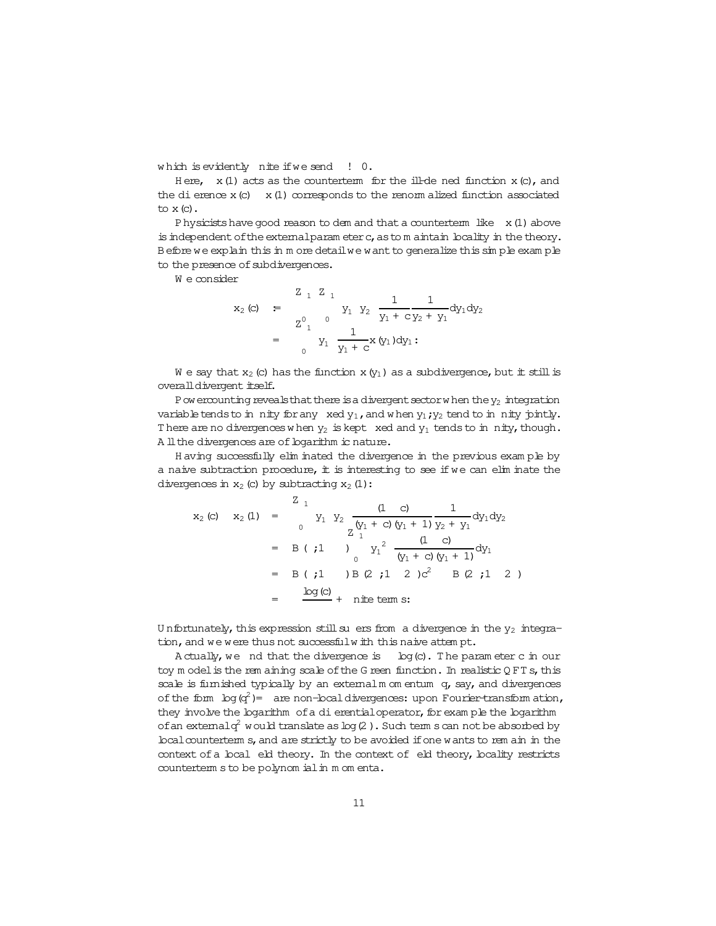which is evidently nite if we send ! 0.

Here,  $x(1)$  acts as the counterterm for the ill-de ned function  $x(0)$ , and the di erence  $x(c)$   $x(1)$  corresponds to the renorm alized function associated to  $x$  (c).

P hysicists have good reason to dem and that a counterterm like  $x(1)$  above is independent of the external parameter c, as to maintain boality in the theory. Before we explain this in more detail we want to generalize this simple example to the presence of subdivergences.

We consider

$$
x_2 (c) = \begin{cases} 2 + 2 + 1 \\ y_1 + y_2 + \frac{1}{y_1 + y_2 + y_1} dy_1 dy_2 \\ z_1^0 + \frac{1}{y_1 + y_2 + y_1} dy_1 \end{cases}
$$

We say that  $x_2$  (c) has the function  $x(y_1)$  as a subdivergence, but it still is overall divergent itself.

P ow ercounting reveals that there is a divergent sector when the  $y_2$  integration variable tends to in nity for any xed  $y_1$ , and when  $y_1$ ;  $y_2$  tend to in nity jointly. There are no divergences when  $y_2$  is kept xed and  $y_1$  tends to in nity, though. A ll the divergences are of logarithm ic nature.

Having successfully elim inated the divergence in the previous example by a naive subtraction procedure, it is interesting to see if we can elim inate the divergences in  $x_2$  (c) by subtracting  $x_2$  (1):

$$
x_2 (c) \quad x_2 (1) = \begin{cases} 2 & 1 \\ 0 & y_1 \end{cases} \quad y_2 \quad \frac{(1 \quad c)}{z \left(y_1 + c\right) \left(y_1 + 1\right)} \frac{1}{y_2 + y_1} \, dy_1 \, dy_2
$$
\n
$$
= \begin{cases} B & (i1) \\ 0 & y_1 \end{cases} \quad \frac{(1 \quad c)}{\left(y_1 + c\right) \left(y_1 + 1\right)} \, dy_1
$$
\n
$$
= \begin{cases} B & (i1) \\ B & (i2) \end{cases} \quad B & (i2) \quad C^2 \quad B & (i1) \quad C \end{cases}
$$
\n
$$
= \begin{cases} \frac{\log(c)}{c} + \text{ nite term s:} \end{cases}
$$

Unfortunately, this expression still su ers from a divergence in the  $y_2$  integration, and we were thus not successfulw ith this naive attempt.

A ctually, we nd that the divergence is  $log(c)$ . The parameter c in our toy m odel is the rem aining scale of the G reen function. In realistic QFTs, this scale is fumished typically by an external m om entum q, say, and divergences of the form  $\log(q^2)$  = are non-local divergences: upon Fourier-transform ation, they involve the logarithm of a di erential operator, for exam ple the logarithm of an external  $q^2$  would translate as log (2). Such term s can not be absorbed by bcal counterterm s, and are strictly to be avoided if one wants to rem ain in the context of a local eld theory. In the context of eld theory, locality restricts counterterm s to be polynomial in m om enta.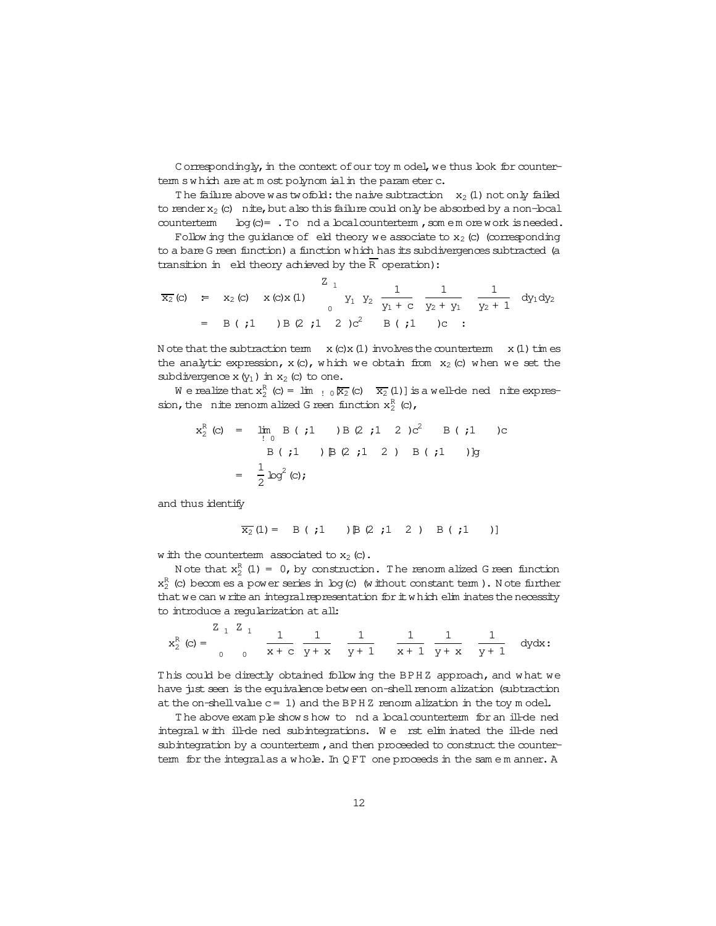Correspondingly, in the context of our toy model, we thus look for countertem swhich are at most polynomial in the parameter c.

The failure above was two fold: the naive subtraction  $x_2$  (1) not only failed to render  $x_2$  (c) nite, but also this failure could only be absorbed by a non-local counterterm  $log(c) =$ . To nd a  $local counterterm$ , som emorework is needed.

Following the guidance of eld theory we associate to  $x_2$  (c) (corresponding to a bare G reen function) a function which has its subdivergences subtracted (a transition in eld theory achieved by the  $\overline{R}$  operation):

$$
\overline{x_2}(c) = x_2(c) \times (c) \times (1)
$$
\n
$$
= B ( ; 1) B (2 ; 1) 2 \times (c) 2
$$
\n
$$
= B ( ; 1) B (2 ; 1) 2 \times (c) 2 B ( ; 1) 2
$$
\n
$$
= B ( ; 1) B (2 ; 1) 2 \times (c) 2 B ( ; 1) 2
$$

N ote that the subtraction term  $x (c) x (1)$  involves the counterterm  $x (1)$  times the analytic expression,  $x(c)$ , which we obtain from  $x_2(c)$  when we set the subdivergence  $x(y_1)$  in  $x_2$  (c) to one.

We realize that  $x_2^R$  (c) =  $\lim_{R \to 0} \overline{x_2}$  (c)  $\overline{x_2}$  (1) is a well-de ned nite expression, the nite renom alized G reen function  $x_2^R$  (c),

$$
x_2^R (c) = \lim_{i \to 0} B (i1) B (2i1 2) c^2 B (i1) c
$$
  
 
$$
B (i1) B (2i1 2) B (i1)
$$
  

$$
= \frac{1}{2} \log^2(c);
$$

and thus identify

$$
\overline{x_2}(1) = B(j1) B(2j1 2) B(j1)
$$

w ith the counterterm associated to  $x_2$  (c).

Note that  $x_2^R$  (1) = 0, by construction. The renormalized G reen function  $x_2^R$  (c) becomes a power series in log (c) (w ithout constant term). Note further that we can write an integral representation for it which elim inates the necessity to introduce a reqularization at all:

$$
x_2^R(c) = \begin{array}{ccccc} & z & z & z & z & z \\ & & & z & z & z & z \\ & & & & z & z & z \\ & & & & & z & z & z \\ \end{array} \quad \frac{1}{x + c} \quad \frac{1}{y + x} \quad \frac{1}{y + 1} \quad \frac{1}{x + 1} \quad \frac{1}{y + x} \quad \frac{1}{y + 1} \quad dy dx:
$$

This could be directly obtained following the BPHZ approach, and what we have just seen is the equivalence between on-shell renorm alization (subtraction at the on-shell value  $c = 1$ ) and the BPHZ renormalization in the toy model.

The above example shows how to nd a local counterterm for an ill-de ned integral with ill-de ned subintegrations. We rst elim inated the ill-de ned subintegration by a counterterm, and then proceeded to construct the countertem for the integral as a whole. In QFT one proceeds in the same manner. A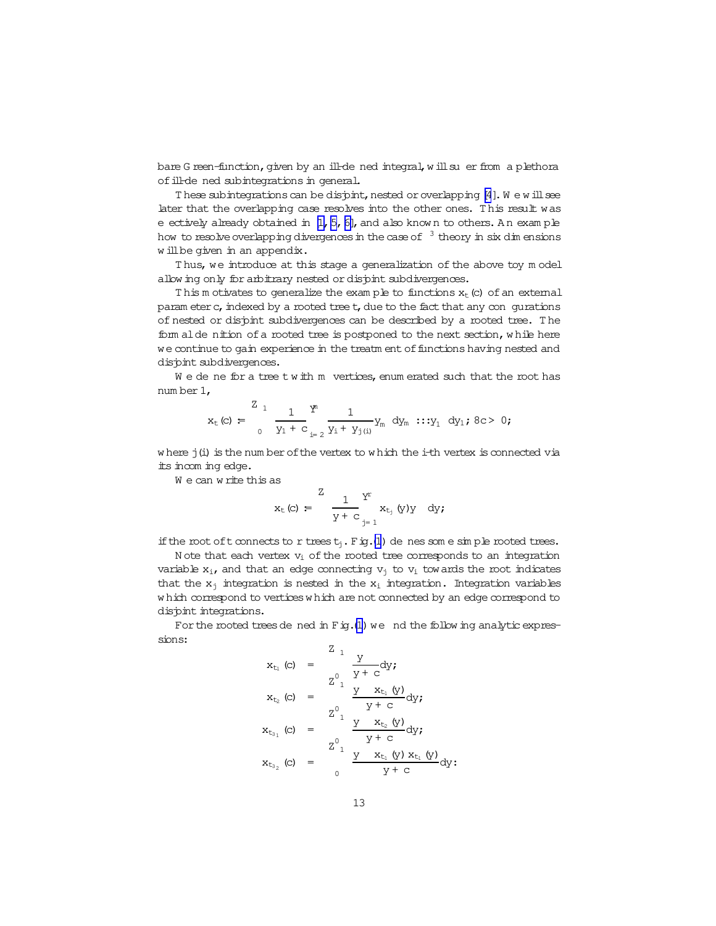bare G reen-function, given by an ill-de ned integral, w ill su er from a plethora of ill-de ned subintegrations in general.

These subintegrations can be disjoint, nested or overlapping  $[4]$ . We will see later that the overlapping case resolves into the other ones. T his result was e ectively already obtained in  $[1, 5, 6]$ , and also know n to others. An exam ple how to resolve overlapping divergences in the case of  $3$  theory in six dim ensions w illbe given in an appendix.

T hus, we introduce at this stage a generalization of the above toy m odel allow ing only for arbitrary nested or disjoint subdivergences.

This m otivates to generalize the exam ple to functions  $x<sub>t</sub>$  (c) of an external param eter c, indexed by a rooted tree t, due to the fact that any con gurations of nested or disjoint subdivergences can be described by a rooted tree. T he form alde nition of a rooted tree is postponed to the next section, while here we continue to gain experience in the treatm ent of functions having nested and disjoint subdivergences.

We de ne for a tree twith m vertices, enum erated such that the root has num ber 1,

$$
x_{t}(c) = \frac{Z_{1}}{0} \frac{1}{y_{1} + c} \frac{Y^{n}}{1} \frac{1}{y_{1} + y_{j(i)}} y_{m} dy_{m} \cdots y_{1} dy_{1}; 8c > 0;
$$

w here j(i) is the num ber of the vertex to w hich the i-th vertex is connected via its incom ing edge.

We can write this as

$$
\mathbf{x}_{\mathrm{t}}\left(\mathrm{c}\right)\;=\;\;\frac{\mathrm{1}}{\mathrm{y}+\mathrm{c}}\,\underset{\mathrm{j}=\,1}{\overset{\mathrm{Y}^{\mathrm{r}}}{\sum}}\,\mathbf{x}_{\mathrm{t}_{\mathrm{j}}}\left(\mathrm{y}\right)\mathrm{y}\quad\mathrm{d}\mathrm{y}\text{;}
$$

if the root of t connects to r trees  $t_i$ . Fig.[\(1](#page-13-0)) de nes som e sim ple rooted trees.

N ote that each vertex  $v_i$  of the rooted tree corresponds to an integration variable  $x_i$ , and that an edge connecting  $v_i$  to  $v_i$  towards the root indicates that the  $x_i$  integration is nested in the  $x_i$  integration. Integration variables which correspond to vertices which are not connected by an edge correspond to dispint integrations.

For the rooted treesde ned in  $\text{Fig.}(1)$  $\text{Fig.}(1)$  we nd the follow ing analytic expressions:

$$
x_{t_1} (c) = \frac{z_1}{y + c} dy;
$$
  
\n
$$
x_{t_2} (c) = \frac{z_1}{y + c} \frac{y - x_{t_1} (y)}{y + c} dy;
$$
  
\n
$$
x_{t_3} (c) = \frac{z_1}{z_1} \frac{y - x_{t_2} (y)}{y + c} dy;
$$
  
\n
$$
x_{t_3} (c) = \frac{z_1}{z_1} \frac{y - x_{t_1} (y) x_{t_1} (y)}{y + c} dy;
$$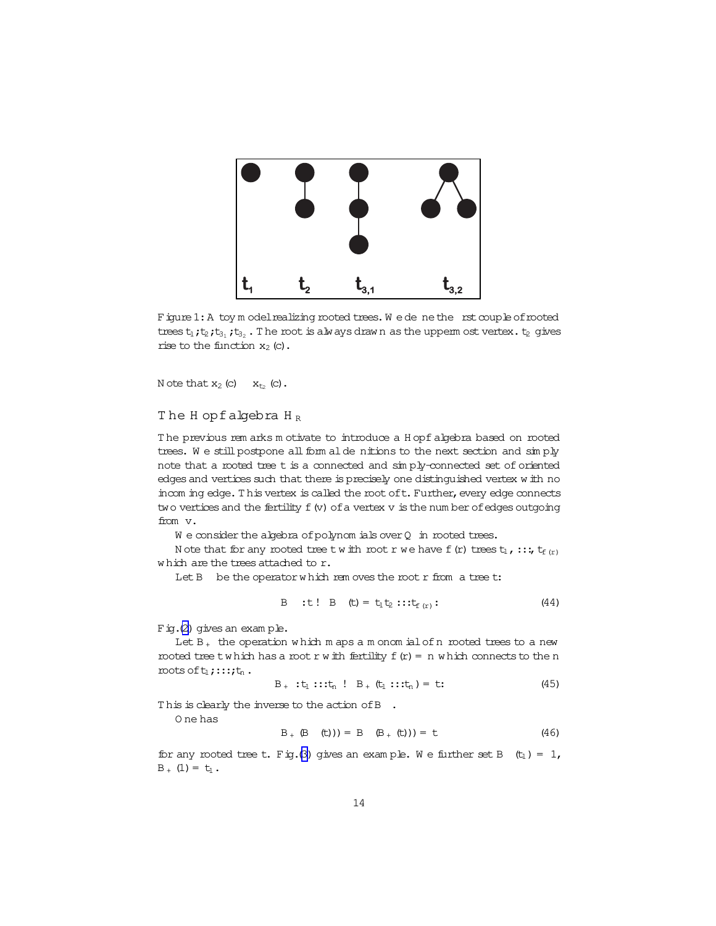<span id="page-13-0"></span>

Figure 1: A toy m odel realizing rooted trees. We dene the rst couple of rooted trees  $t_1$ ;  $t_2$ ;  $t_{3_1}$ ;  $t_{3_2}$ . The root is always drawn as the uppermost vertex.  $t_2$  gives rise to the function  $x_2$  (c).

N ote that  $x_2$  (c)  $x_{t_2}$  (c).

The H opfalgebra  $H_R$ 

The previous rem arks motivate to introduce a Hopf algebra based on rooted trees. We still postpone all form alde nitions to the next section and simply note that a rooted tree t is a connected and simply-connected set of oriented edges and vertices such that there is precisely one distinguished vertex with no incom ing edge. This vertex is called the root of t. Further, every edge connects two vertices and the fertility  $f(v)$  of a vertex  $v$  is the number of edges outgoing from v.

 $W$  e consider the algebra of polynomials over  $Q$  in rooted trees.

Note that for any rooted tree twith root r we have f (r) trees  $t_1$ , ::;  $t_{f(r)}$ which are the trees attached to r.

Let B be the operator which rem oves the root r from a tree t:

B :t! B (t) = 
$$
t_1 t_2
$$
 ::  $t_{f(r)}$ : (44)

 $F$  ig. (2) gives an example.

Let  $B_+$  the operation which maps a monomial of n rooted trees to a new moted tree twhich has a root r with fertility  $f(r) = n$  which connects to the n roots of  $t_1$ ; :::; $t_n$ .

$$
B_{+}:t_{1}::t_{n}!B_{+}(t_{1}::t_{n})=t: \qquad (45)
$$

This is clearly the inverse to the action of B.

O ne has

$$
B_+ (B (t)) = B (B_+ (t)) = t
$$
 (46)

for any rooted tree t. Fig. (3) gives an example. We further set B  $(t_1) = 1$ ,  $B_{+} (1) = t_{1}$ .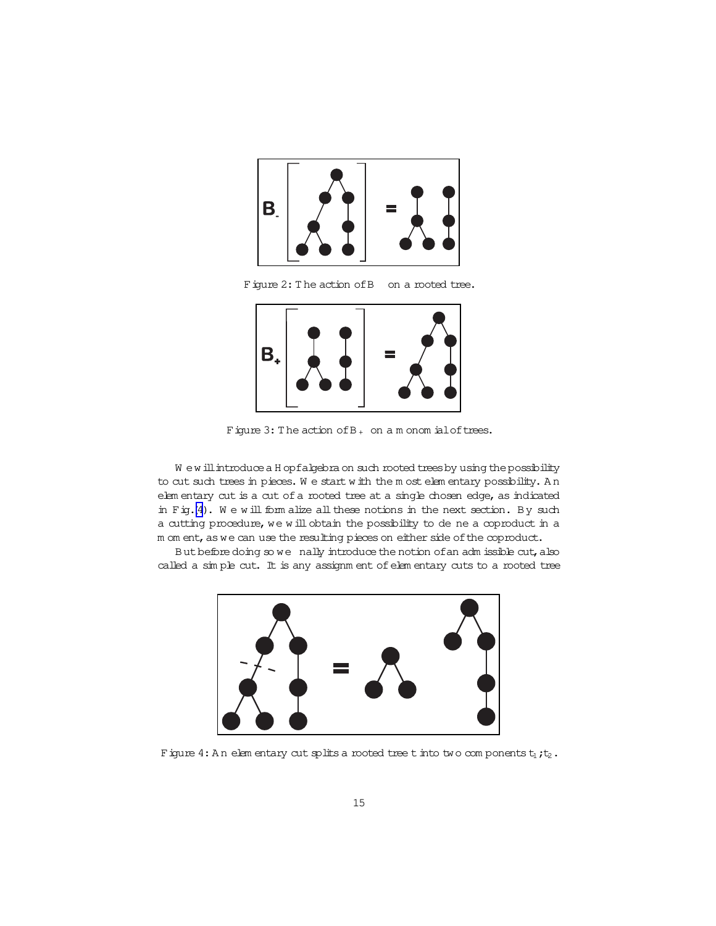<span id="page-14-0"></span>





Figure 3: The action of  $B_+$  on a m onom ial of trees.

W ew ill introduce a H opfalgebra on such rooted trees by using the possibility to cut such trees in pieces. W e start w ith the m ost elem entary possibility. A n elem entary cut is a cut of a rooted tree at a single chosen edge, as indicated in Fig.(4). We will form alize all these notions in the next section. By such a cutting procedure, we will obtain the possibility to de ne a coproduct in a m om ent, as we can use the resulting pieces on either side of the coproduct.

But before doing so we nally introduce the notion of an adm issible cut, also called a sim ple cut. It is any assignm ent of elem entary cuts to a rooted tree



Figure 4: An elem entary cut splits a rooted tree tinto two components  $t_1$ ; $t_2$ .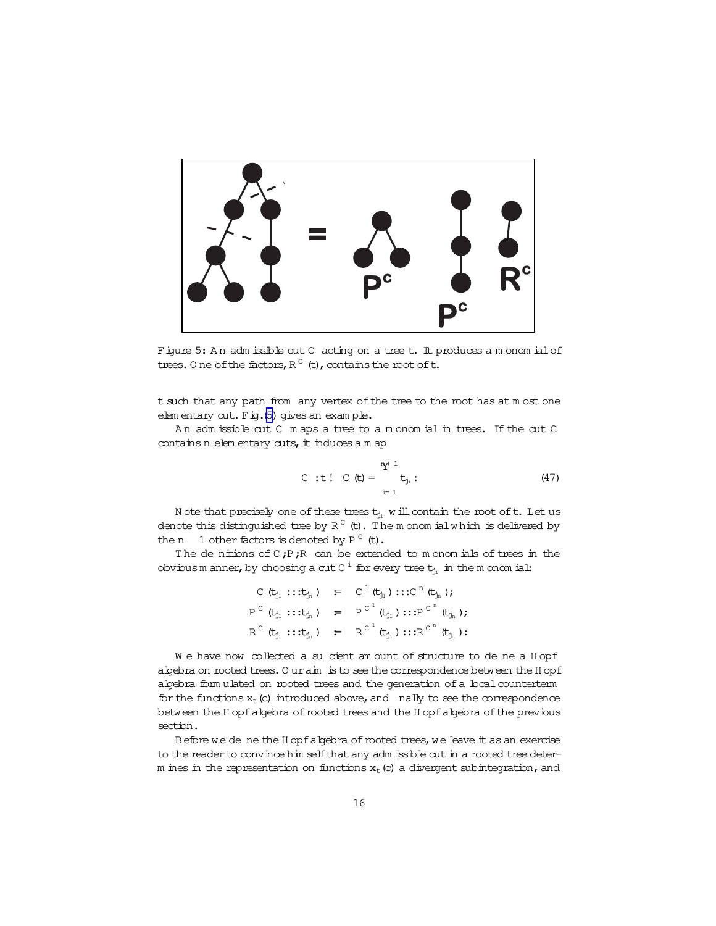

Figure 5: An adm issible cut C acting on a tree t. It produces a m onom ial of trees. O ne of the factors,  $R^{\,C}$  (t), contains the root of t.

t such that any path from any vertex of the tree to the root has at m ost one elem entary cut. Fig.(5) gives an exam ple.

A n adm issible cut C m aps a tree to a m onom ial in trees. If the cut C contains n elem entary cuts, it induces a m ap

C : t! C (t) = 
$$
\begin{array}{c} \frac{n}{2}t^{1} \\ t_{j_{i}} \\ i=1 \end{array}
$$
 (47)

N ote that precisely one of these trees  $t_{j_i}$  w ill contain the root of  $t$  . Let us denote this distinguished tree by R  $^{\text{C}}$  (t). The m onom ialwhich is delivered by the n  $1$  other factors is denoted by  $P^C$  (t).

The denitions of  $C$ ;P;R can be extended to m onom ials of trees in the obviousm anner, by choosing a cut C  $^{\rm i}$  for every tree  ${\tt t}_{j_i}$  in the monom ial:

$$
C (t_{j_1} ::: t_{j_n}) = C^1 (t_{j_1}) ::: C^n (t_{j_n})
$$
\n
$$
P^C (t_{j_1} ::: t_{j_n}) = P^{C^1} (t_{j_1}) ::: P^{C^n} (t_{j_n})
$$
\n
$$
R^C (t_{j_1} ::: t_{j_n}) = R^{C^1} (t_{j_1}) ::: R^{C^n} (t_{j_n})
$$

We have now collected a su cient am ount of structure to de ne a H opf algebra on rooted trees. O uraim is to see the correspondence between the H opf algebra form ulated on rooted trees and the generation of a local counterterm for the functions  $x_t$  (c) introduced above, and nally to see the correspondence between the H opfalgebra of rooted trees and the H opfalgebra of the previous section.

Before we de ne the H opfalgebra of rooted trees, we leave it as an exercise to the reader to convince him self that any adm issible cut in a rooted tree determ ines in the representation on functions  $x_t$  (c) a divergent subintegration, and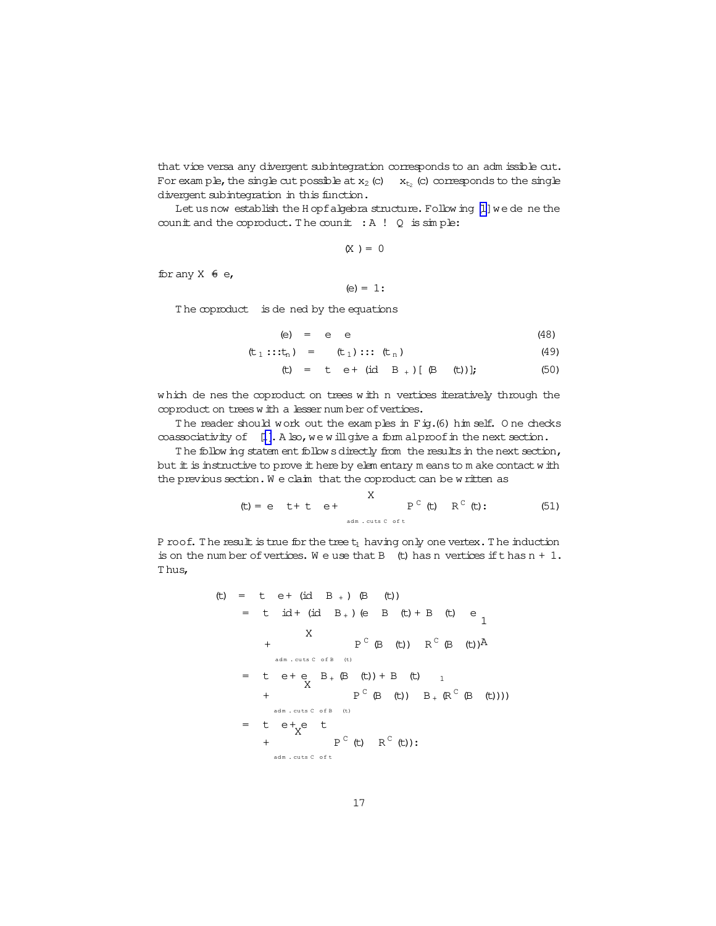<span id="page-16-0"></span>that vice versa any divergent subintegration corresponds to an adm issible cut. For example, the single cut possible at  $x_2$  (c)  $x_{t_2}$  (c) corresponds to the single divergent subintegration in this function.

Let us now establish the H opf algebra structure. Following [1] we de ne the counit and the coproduct. The counit  $: A : Q$  is  $\sin p \ge 1$ 

 $(X) = 0$ 

for any  $X \oplus e$ ,

(e) =  $1$ :

The coproduct is de ned by the equations

$$
(e) = e e \t(48)
$$

$$
(\mathsf{t}_1::\mathsf{t}_n) = (\mathsf{t}_1):::(\mathsf{t}_n) \tag{49}
$$

$$
(t) = t e + (id B+) [ (B (t))]; \t(50)
$$

which de nes the coproduct on trees with n vertices iteratively through the coproduct on trees with a lesser number of vertices.

The reader should work out the examples in Fig.(6) him self. One checks coassociativity of [1]. A lso, we will give a form alproof in the next section.

The follow ing statem ent follow s directly from the results in the next section, but it is instructive to prove it here by elem entary m eans to m ake contact w ith the previous section. We claim that the coproduct can be written as

$$
\text{(t)} = e \quad t + t \quad e + \qquad \qquad \text{and} \qquad P^{\text{c}} \text{ (t)} \quad R^{\text{c}} \text{ (t)}: \qquad \qquad \text{(51)}
$$

P roof. The result is true for the tree  $t_1$  having only one vertex. The induction is on the number of vertices. We use that B (t) has n vertices if thas  $n + 1$ . Thus,

$$
\begin{array}{rcl}\n(t) & = & t & e + (id B_{+}) & (B \quad (t)) \\
 & = & t & id + (id B_{+}) & (e \quad B \quad (t) + B \quad (t) \quad e \\
 & & & & \\
 & & & & \\
 & & & & \\
 & & & & \\
 & & & & \\
 & & & & \\
 & & & & \\
 & & & & \\
 & & & & \\
 & & & & \\
 & & & & \\
 & & & & \\
 & & & & \\
 & & & & \\
 & & & & \\
 & & & & \\
 & & & & \\
 & & & & \\
 & & & & \\
 & & & & \\
 & & & & \\
 & & & & \\
 & & & & \\
 & & & & \\
 & & & & \\
 & & & & \\
 & & & & \\
 & & & & \\
 & & & & \\
 & & & & \\
 & & & & \\
 & & & & \\
 & & & & \\
 & & & & \\
 & & & & \\
 & & & & \\
 & & & & \\
 & & & & \\
 & & & & \\
 & & & & \\
 & & & & \\
 & & & & \\
 & & & & \\
 & & & & \\
 & & & & \\
 & & & & \\
 & & & & \\
 & & & & \\
 & & & & \\
 & & & & \\
 & & & & \\
 & & & & \\
$$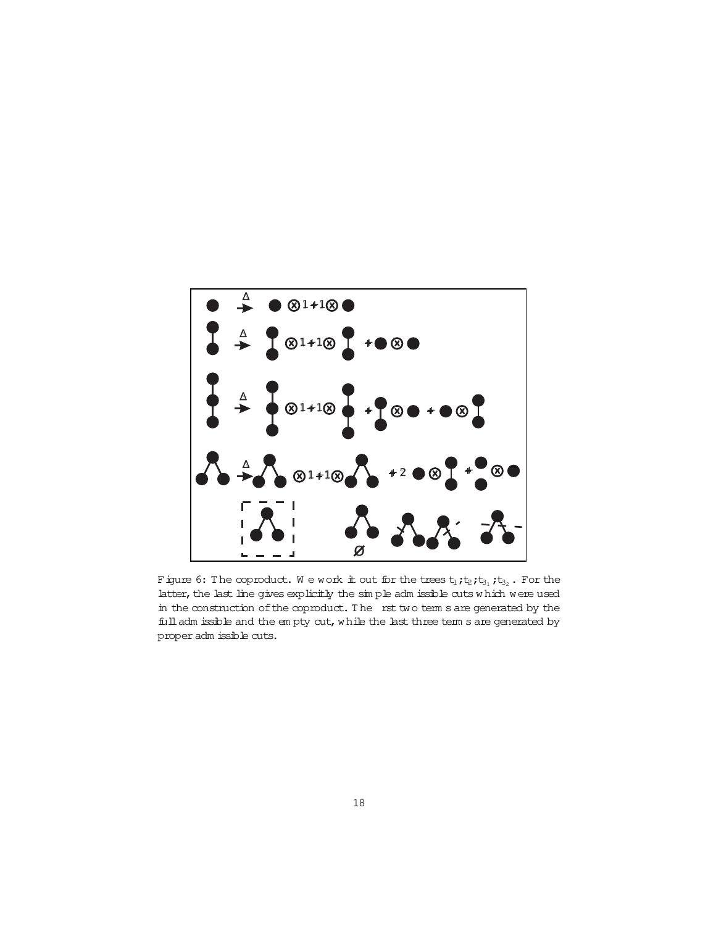<span id="page-17-0"></span>

Figure 6: The coproduct. We work it out for the trees  $t_1$ ;  $t_2$ ;  $t_{3_1}$ ;  $t_{3_2}$ . For the latter, the last line gives explicitly the sin ple adm issible cuts which were used in the construction of the coproduct. The rst two term s are generated by the full adm issible and the empty cut, while the last three term s are generated by proper adm issible cuts.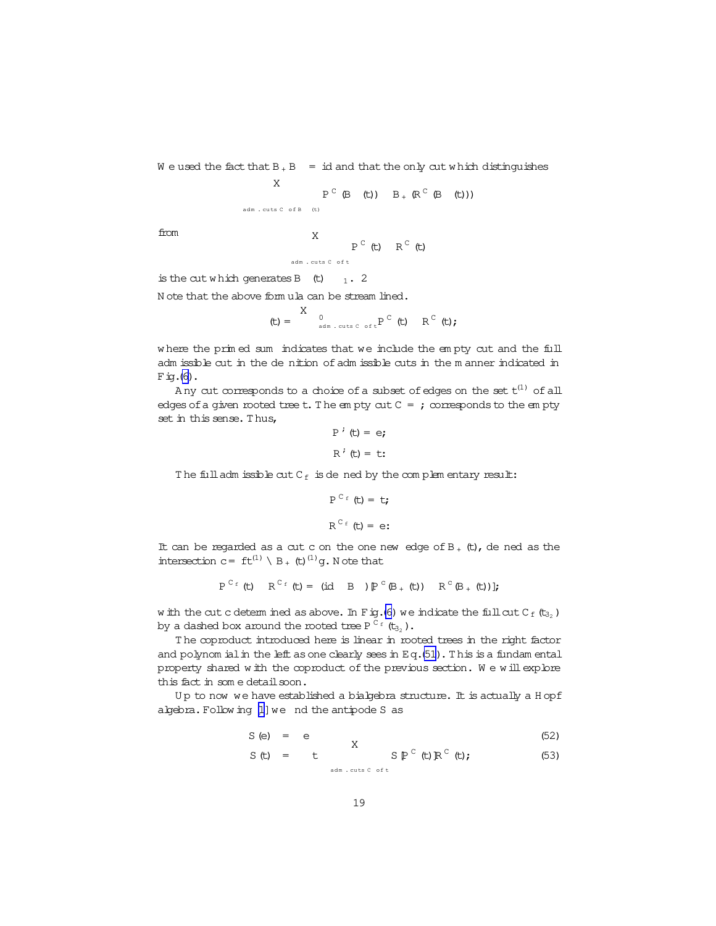W e used the fact that  $B + B = id$  and that the only cut w hich distinguishes

X 
$$
P^{C} (B (t)) = B_{+} (R^{C} (B (t)))
$$

from X

$$
\begin{array}{cc} \n\text{A} & \text{P}^{\text{C}} \text{ (t)} & \text{R}^{\text{C}} \text{ (t)} \\
\end{array}
$$

is the cut which generates B  $(t)$  1. 2

N ote that the above form ula can be stream lined.

$$
\text{(t)} = \begin{array}{cc} X & & \\ & 0 & \\ & \text{and} & \text{cuts } c \text{ of } t \end{array} \quad \text{(t)} \quad \quad R^{\text{C}} \text{ (t)} \text{;}
$$

w here the prim ed sum indicates that we include the em pty cut and the full adm issible cut in the de nition of adm issible cuts in the m anner indicated in  $Fig. (6)$  $Fig. (6)$ .

Any cut corresponds to a choice of a subset of edges on the set  $\mathsf{t}^{(1)}$  of all edges of a given rooted tree t. The em pty cut  $C = j$  corresponds to the em pty set in this sense. T hus,

$$
P^{\prime} (t) = e;
$$
  

$$
R^{\prime} (t) = t;
$$

The full adm issible cut  $C_f$  is dened by the complem entary result:

$$
P^{C_f}(t) = t;
$$
  

$$
R^{C_f}(t) = e;
$$

It can be regarded as a cut c on the one new edge of  $B_+$  (t), de ned as the intersection  $c = ft^{(1)} \setminus B_{+}$  (t)<sup>(1)</sup>g. Note that

$$
P^{C_f}(t) \quad R^{C_f}(t) = (id \quad B) P^{C}(B_{+}(t)) \quad R^{C}(B_{+}(t))
$$

w ith the cut c determ ined as above. In Fig.[\(6\)](#page-17-0) we indicate the full cut  $C_f(t_{32})$ by a dashed box around the rooted tree P  $^{\texttt{C}_{\texttt{f}}}$  (t $_{\texttt{3_2}}$  )  $\boldsymbol{.}$ 

The coproduct introduced here is linear in rooted trees in the right factor and polynom ial in the left as one clearly sees in Eq.[\(51\)](#page-16-0). This is a fundam ental property shared with the coproduct of the previous section. We will explore this fact in some detail soon.

Up to now we have established a bialgebra structure. It is actually a H opf algebra. Following [\[1\]](#page-41-0) we nd the antipode S as

$$
S(e) = e \qquad X \qquad (52)
$$

$$
S(t) = t \t S PC(t) RC(t); \t (53)
$$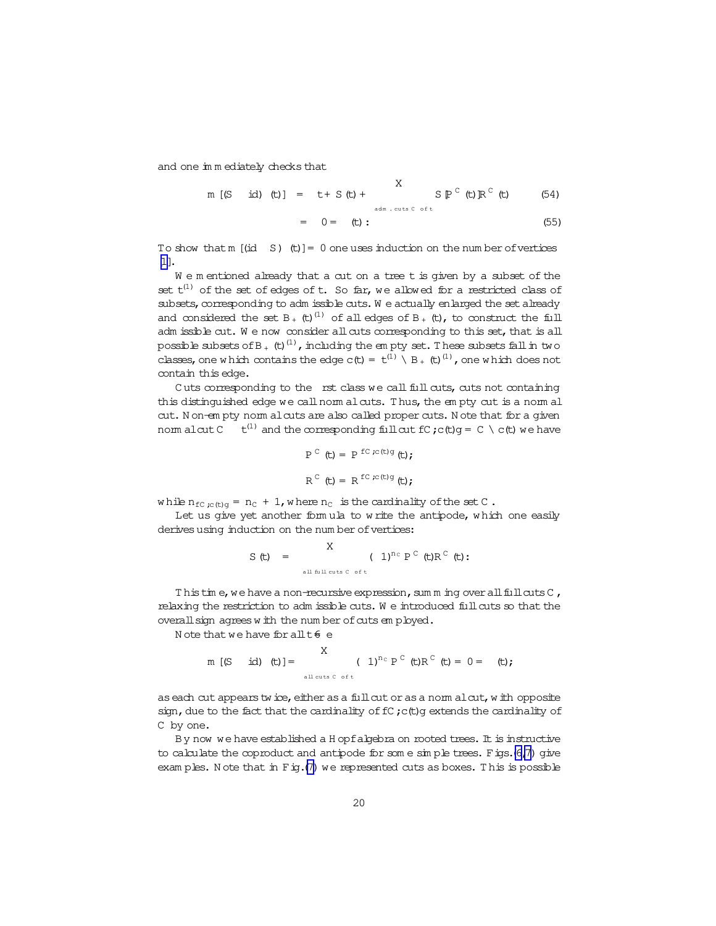and one im m ediately checks that

m [(S id) (t)] = t + S (t) + 
$$
\sum_{\text{adm. cuts C off} \atop \text{adm. cuts C off}} S \mathbb{P}^C
$$
 (t)  $\mathbb{R}^C$  (t) (54)

$$
\sum_{i=1}^{n} \frac{1}{i} \sum_{i=1}^{n} \frac{1}{i} \sum_{i=1}^{n} \frac{1}{i} \sum_{i=1}^{n} \frac{1}{i} \sum_{i=1}^{n} \frac{1}{i} \sum_{i=1}^{n} \frac{1}{i} \sum_{i=1}^{n} \frac{1}{i} \sum_{i=1}^{n} \frac{1}{i} \sum_{i=1}^{n} \frac{1}{i} \sum_{i=1}^{n} \frac{1}{i} \sum_{i=1}^{n} \frac{1}{i} \sum_{i=1}^{n} \frac{1}{i} \sum_{i=1}^{n} \frac{1}{i} \sum_{i=1}^{n} \frac{1}{i} \sum_{i=1}^{n} \frac{1}{i} \sum_{i=1}^{n} \frac{1}{i} \sum_{i=1}^{n} \frac{1}{i} \sum_{i=1}^{n} \frac{1}{i} \sum_{i=1}^{n} \frac{1}{i} \sum_{i=1}^{n} \frac{1}{i} \sum_{i=1}^{n} \frac{1}{i} \sum_{i=1}^{n} \frac{1}{i} \sum_{i=1}^{n} \frac{1}{i} \sum_{i=1}^{n} \frac{1}{i} \sum_{i=1}^{n} \frac{1}{i} \sum_{i=1}^{n} \frac{1}{i} \sum_{i=1}^{n} \frac{1}{i} \sum_{i=1}^{n} \frac{1}{i} \sum_{i=1}^{n} \frac{1}{i} \sum_{i=1}^{n} \frac{1}{i} \sum_{i=1}^{n} \frac{1}{i} \sum_{i=1}^{n} \frac{1}{i} \sum_{i=1}^{n} \frac{1}{i} \sum_{i=1}^{n} \frac{1}{i} \sum_{i=1}^{n} \frac{1}{i} \sum_{i=1}^{n} \frac{1}{i} \sum_{i=1}^{n} \frac{1}{i} \sum_{i=1}^{n} \frac{1}{i} \sum_{i=1}^{n} \frac{1}{i} \sum_{i=1}^{n} \frac{1}{i} \sum_{i=1}^{n} \frac{1}{i} \sum_{i=1}^{n} \frac{1}{i} \sum_{i=1}^{n} \frac{1}{i} \sum_{i=1}^{n} \frac{1}{i} \sum_{i=1}^{n} \frac
$$

To show that m  $(id S)$  (t)] = 0 one uses induction on the num ber of vertices [\[1\]](#page-41-0).

We m entioned already that a cut on a tree t is given by a subset of the set  $t^{(1)}$  of the set of edges of t. So far, we allowed for a restricted class of subsets, corresponding to adm issible cuts. W e actually enlarged the set already and considered the set B  $_+$  (t)<sup>(1)</sup> of all edges of B  $_+$  (t), to construct the full adm issible cut. We now consider all cuts corresponding to this set, that is all possible subsets of B  $_+$  (t)  $^{\text{(1)}}$  , including the em pty set. These subsets fall in two classes, one w hich contains the edge  $c(t) = t^{(1)} \setminus B_+$  (t)  $^{(1)}$ , one w hich does not contain this edge.

Cuts corresponding to the rst class we call full cuts, cuts not containing this distinguished edge we call norm alcuts. Thus, the em pty cut is a norm al cut. N on-em pty norm alcuts are also called proper cuts. N ote that for a given norm alcut  $C$  t<sup>(1)</sup> and the corresponding fullcut fC ; c(t)g = C \ c(t) we have

$$
P^{C} (t) = P^{FC;c(t)g} (t);
$$
  

$$
R^{C} (t) = R^{FC;c(t)g} (t);
$$

while  $n_{fc, c(t)g} = n_c + 1$ , where  $n_c$  is the cardinality of the set C.

Let us give yet another form ula to w rite the antipode, which one easily derives using induction on the num ber of vertices:

$$
S(t) = \sum_{\text{all full cuts C of t}} (1)^{n_C} P^C(t) R^C(t);
$$

Thistim e, we have a non-recursive expression, sum m ing over all full cuts  $C$ , relaxing the restriction to adm issible cuts. W e introduced fullcuts so that the overall sign agrees w ith the num ber of cuts em ployed.

N ote that we have for all  $t \in e$ 

m [(S id) (t)] = 
$$
\times
$$
 (1)<sup>n<sub>c</sub></sup> P<sup>c</sup> (t)R<sup>c</sup> (t) = 0 = (t);

as each cut appears twice, either as a full cut or as a norm alcut, with opposite sign, due to the fact that the cardinality of fC; c(t)g extends the cardinality of C by one.

By now we have established a H opfalgebra on rooted trees. It is instructive to calculate the coproduct and antipode for some simple trees. Figs.[\(6](#page-17-0)[,7\)](#page-20-0) give exam ples. Note that in  $F$  ig.[\(7\)](#page-20-0) we represented cuts as boxes. This is possible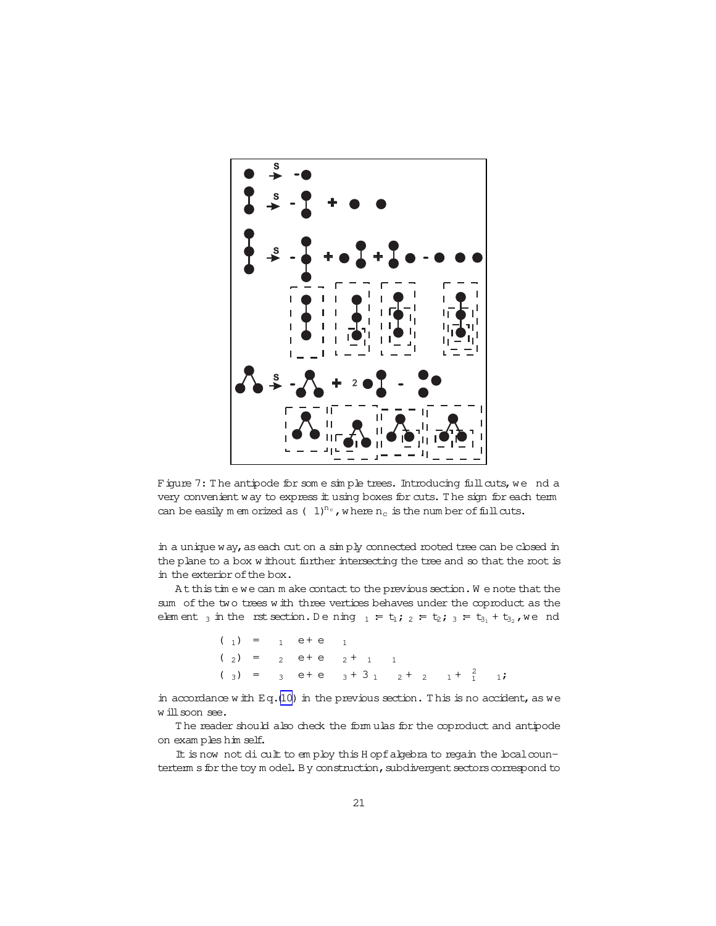<span id="page-20-0"></span>

Figure 7: The antipode for some simple trees. Introducing full cuts, we nd a very convenient way to express it using boxes for cuts. The sign for each term can be easily m em orized as  $(-1)^{n_c}$ , w here  $n_c$  is the num ber of full cuts.

in a unique way, as each cut on a simply connected rooted tree can be closed in the plane to a box w ithout further intersecting the tree and so that the rootis in the exterior of the box.

At this tim e we can m ake contact to the previous section. We note that the sum of the two trees w ith three vertices behaves under the coproduct as the elem ent  $_3$  in the rst section. Dening  $_1 = t_1; 2 = t_2; 3 = t_{3_1} + t_{3_2}$ , we nd

> $(1) = 1$  e + e 1  $(2) = 2 e+e+1 1$ (3) = 3 e+e  $3 + 3$  1  $2 + 2$  1 +  $\frac{2}{1}$ <sup>1</sup> <sup>1</sup>;

in accordance w ith Eq.[\(10\)](#page-3-0) in the previous section. This is no accident, as we will soon see.

The reader should also check the form ulas for the coproduct and antipode on exam ples him self.

It is now not dicult to employ this H opfalgebra to regain the local counterterm s for the toy m odel. By construction, subdivergent sectors correspond to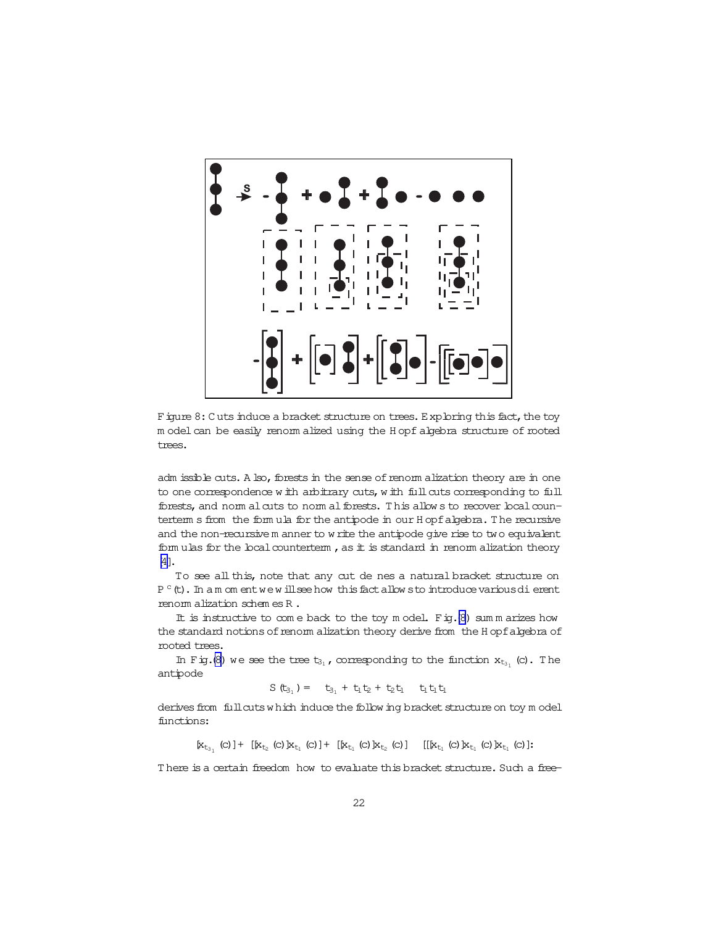

Figure 8: C uts induce a bracket structure on trees. Exploring this fact, the toy m odel can be easily renorm alized using the H opf algebra structure of rooted trees.

adm issible cuts. A lso, forests in the sense of renorm a lization theory are in one to one correspondence w ith arbitrary cuts, w ith full cuts corresponding to full forests, and norm alcuts to norm alforests. This allow s to recover local counterterm s from the form ula for the antipode in our H opfalgebra. T he recursive and the non-recursive m anner to w rite the antipode give rise to two equivalent form ulas for the local counterterm , as it is standard in renorm alization theory [\[4\]](#page-41-0).

To see all this, note that any cut de nes a natural bracket structure on P  $^{\circ}$  (t). In amomentwew illseehow this fact allows to introduce various dierent renorm alization schem es R.

It is instructive to come back to the toy model. Fig. $(8)$  sum m arizes how the standard notions of renorm alization theory derive from the H opf algebra of rooted trees.

In Fig.(8) we see the tree  $t_{3_1}$ , corresponding to the function  $x_{t_{3_1}}$  (c). The antipode

$$
S(t_{3_1}) = t_{3_1} + t_1t_2 + t_2t_1 \quad t_1t_1t_1
$$

derives from fullcuts w hich induce the follow ing bracket structure on toy m odel functions:

 $[x_{t_{3_1}}\ (c) \ ] + \ [x_{t_2}\ (c) \ ]x_{t_1}\ (c) \ ] + \ [x_{t_1}\ (c) \ ]x_{t_2}\ (c) \ ] \quad \ [[x_{t_1}\ (c) \ ]x_{t_1}\ (c) \ ]x_{t_1}\ (c) \ ].$ 

There is a certain freedom how to evaluate this bracket structure. Such a free-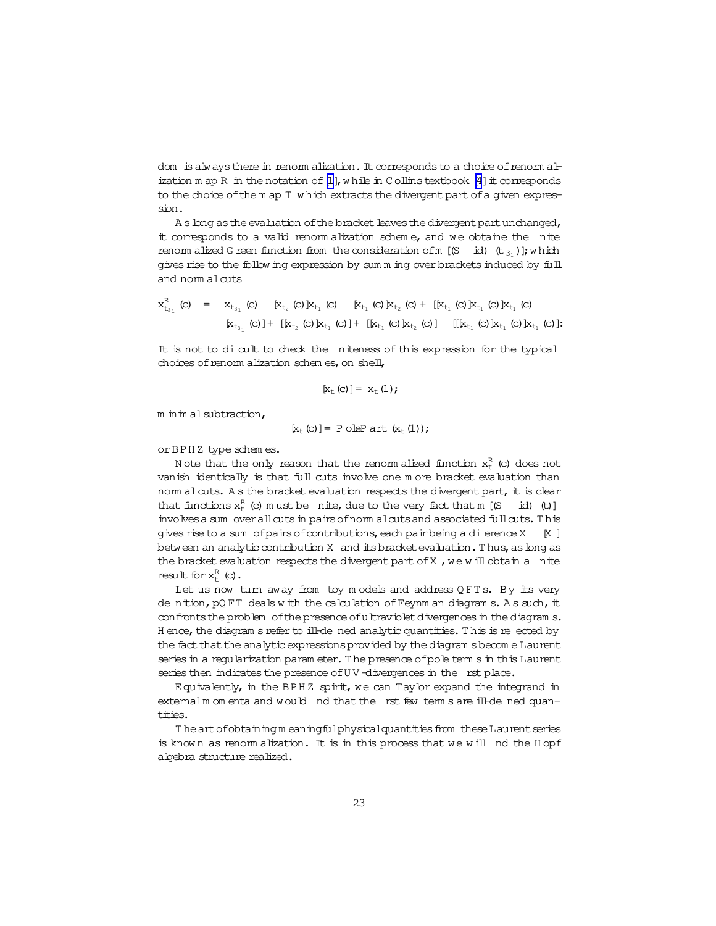dom is always there in renorm alization. It corresponds to a choice of renorm alization m ap R in the notation of  $[1]$ , while in Collins textbook  $[4]$  it corresponds to the choice of the m ap T which extracts the divergent part of a given expression.

A s long as the evaluation of the bracket leaves the divergent part unchanged, it corresponds to a valid renom alization scheme, and we obtaine the nite renom alized G reen function from the consideration of m [ $(S - id)$   $(t_{31})$ ]; which gives rise to the follow ing expression by summing over brackets induced by full and norm alcuts

$$
x_{t_{3_1}}^R(c) = x_{t_{3_1}}(c) \quad [x_{t_2}(c) \, k_{t_1}(c) \, k_{t_1}(c) \, k_{t_2}(c) + \, [k_{t_1}(c) \, k_{t_1}(c) \, k_{t_1}(c) \, k_{t_1}(c)]
$$
  
\n
$$
[x_{t_{3_1}}(c)] + \, [k_{t_2}(c) \, k_{t_1}(c)] + \, [k_{t_1}(c) \, k_{t_2}(c)] \quad [[k_{t_1}(c) \, k_{t_1}(c) \, k_{t_1}(c)]
$$

It is not to di cult to check the niteness of this expression for the typical choices of renom alization schem es, on shell,

$$
[x_{t}(c)]=x_{t}(1);
$$

m in im alsubtraction.

$$
[x_{t}(c)]=P\text{ oleP art }(x_{t}(1));
$$

or BPHZ type schemes.

Note that the only reason that the renorm alized function  $x_t^R$  (c) does not vanish identically is that full cuts involve one m ore bracket evaluation than nom al cuts. A s the bracket evaluation respects the divergent part, it is clear that functions  $x_t^R$  (c) must be nite, due to the very fact that m [(S id) (t)] involves a sum over all cuts in pairs of norm alcuts and associated full cuts. This gives rise to a sum of pairs of contributions, each pair being a di erence X 1X 1 between an analytic contribution X and its bracket evaluation. Thus, as long as the bracket evaluation respects the divergent part of X, we will obtain a nite result for  $x_+^R$  (c).

Let us now turn away from toy models and address QFTs. By its very de nition, pQFT deals with the calculation of Feynm an diagram s. As such, it confronts the problem of the presence of ultraviolet divergences in the diagram s. Hence, the diagram s refer to ill-de ned analytic quantities. This is re ected by the fact that the analytic expressions provided by the diagram s become Laurent series in a reqularization parameter. The presence of pole term s in this Laurent series then indicates the presence of UV-divergences in the rst place.

Equivalently, in the BPHZ spirit, we can Taylor expand the integrand in externalm om enta and would nd that the rst few term s are ill-de ned quantities.

The art of obtaining meaningfulphysical quantities from these Laurent series is known as renomalization. It is in this process that we will nd the Hopf algebra structure realized.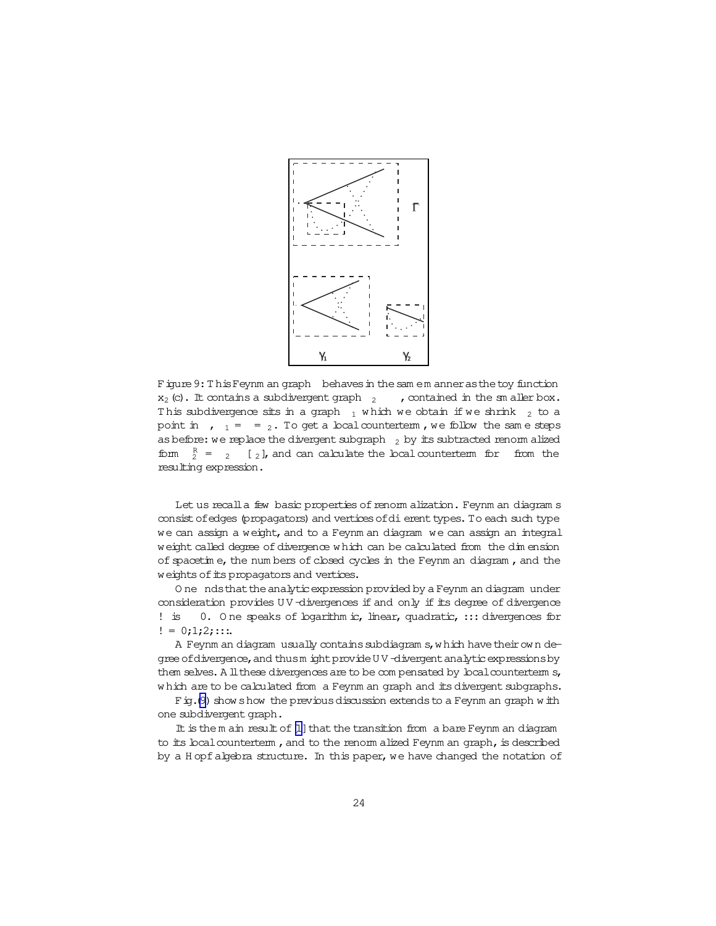

Figure 9: This Feynm an graph behaves in the sam em anner as the toy function  $x_2$  (c). It contains a subdivergent graph  $x_2$ , contained in the sm aller box. This subdivergence sits in a graph  $_1$  which we obtain if we shrink  $_2$  to a point in ,  $_1 = 2$ . To get a local counterterm, we follow the same steps as before: we replace the divergent subgraph  $_2$  by its subtracted renorm alized form  $\frac{R}{2}$  = 2 [2], and can calculate the local counterterm for from the resulting expression.

Let us recall a few basic properties of renorm alization. Feynm an diagram s consist of edges (propagators) and vertices of di erent types. To each such type we can assign a weight, and to a Feynm an diagram we can assign an integral weight called degree of divergence which can be calculated from the dimension of spacetime, the numbers of closed cycles in the Feynm an diagram, and the weights of its propagators and vertices.

One ndsthat the analytic expression provided by a Feynm an diagram under consideration provides UV-divergences if and only if its degree of divergence 0. One speaks of bgarithm ic, linear, quadratic, ::: divergences for  $:$  is  $!= 0;1;2;...$ 

A Feynm an diagram usually contains subdiagram s, which have their own degree of divergence, and thus m ight provide UV-divergent analytic expressions by them selves. A ll these divergences are to be compensated by local counterterm s, which are to be calculated from a Feynm an graph and its divergent subgraphs.

Fig. (9) show show the previous discussion extends to a Feynm an graph with one subdivergent graph.

It is the m ain result of [1] that the transition from a bare Feynm an diagram to its local counterterm, and to the renorm alized Feynm an graph, is described by a Hopf algebra structure. In this paper, we have changed the notation of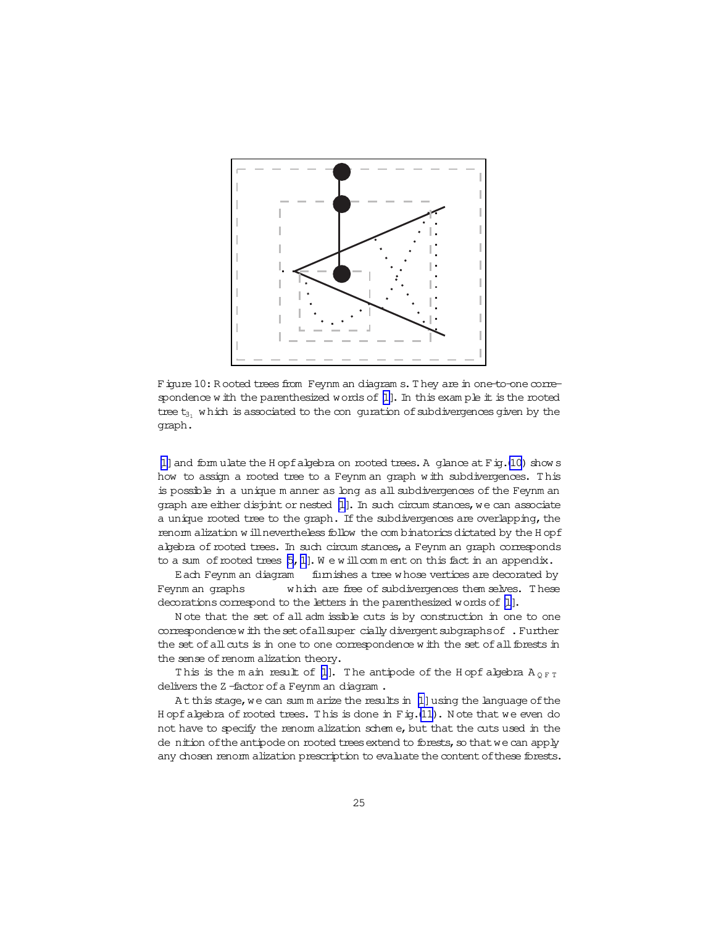

Figure 10: R ooted trees from Feynm an diagram s. They are in one-to-one correspondence w ith the parenthesized words of  $[1]$ . In this exam ple it is the rooted tree  $t_{31}$  w hich is associated to the conguration of subdivergences given by the graph.

[\[1\]](#page-41-0) and form ulate the H opfalgebra on rooted trees. A glance at F ig.(10) show s how to assign a rooted tree to a Feynm an graph with subdivergences. This is possible in a unique m anner as long as allsubdivergences of the Feynm an graph are either disjoint or nested [\[1\]](#page-41-0). In such circum stances, we can associate a unique rooted tree to the graph. If the subdivergences are overlapping, the renorm alization w ill nevertheless follow the com binatorics dictated by the H opf algebra of rooted trees. In such circum stances, a Feynm an graph corresponds to a sum of rooted trees  $[5,1]$  $[5,1]$ . We will comment on this fact in an appendix.

Each Feynm an diagram furnishes a tree w hose vertices are decorated by Feynm an graphs which are free of subdivergences them selves. These decorations correspond to the letters in the parenthesized words of [\[1\]](#page-41-0).

N ote that the set of all adm issible cuts is by construction in one to one correspondence with the set of all super cially divergent subgraphs of . Further the set of all cuts is in one to one correspondence w ith the set of all forests in the sense of renorm alization theory.

This is the m ain result of [\[1\]](#page-41-0). The antipode of the H opf algebra  $A_{\text{OPT}}$ delivers the Z-factor of a Feynm an diagram.

At this stage, we can sum m arize the results in [\[1\]](#page-41-0) using the language of the H opfalgebra of rooted trees. This is done in Fig.[\(11\)](#page-26-0). Note that we even do not have to specify the renorm alization schem e, but that the cuts used in the de nition of the antipode on rooted trees extend to forests, so that we can apply any chosen renorm alization prescription to evaluate the content of these forests.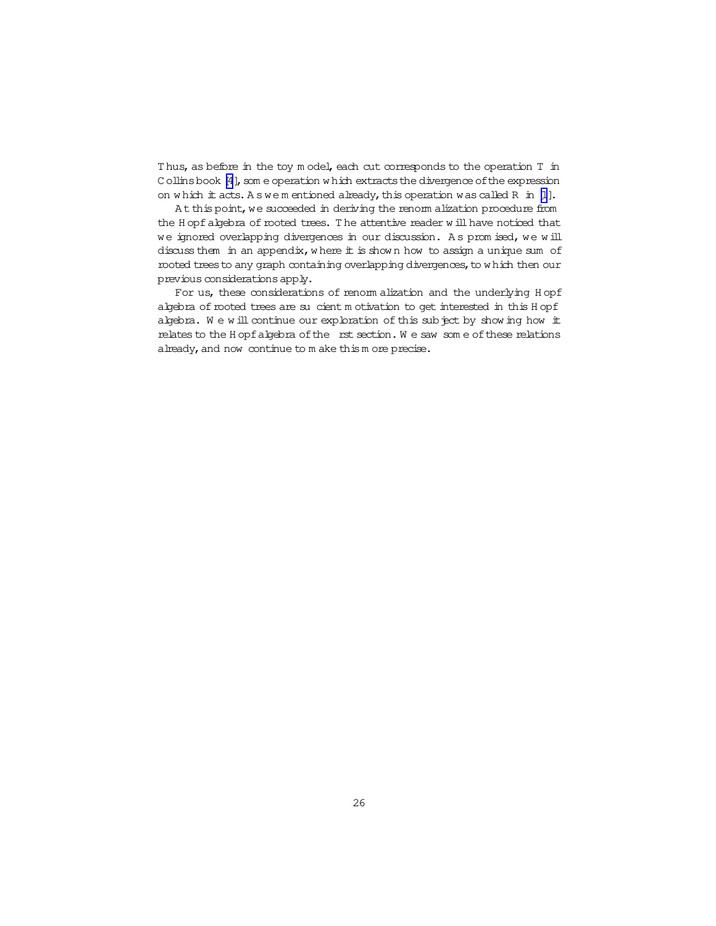Thus, as before in the toy m odel, each cut corresponds to the operation T in C ollins book [\[4](#page-41-0)], som e operation w hich extracts the divergence of the expression on which it acts. A s we m entioned already, this operation was called R in  $[1]$ .

At this point, we succeeded in deriving the renorm alization procedure from the H opf algebra of rooted trees. The attentive reader w ill have noticed that we ignored overlapping divergences in our discussion. A s prom ised, we w ill discuss them in an appendix, w here it is shown how to assign a unique sum of rooted trees to any graph containing overlapping divergences, to which then our previous considerationsapply.

For us, these considerations of renorm alization and the underlying H opf algebra of rooted trees are sucient m otivation to get interested in this H opf algebra. We will continue our exploration of this subject by showing how it relates to the H opfalgebra of the rst section. We saw some of these relations already, and now continue to m ake this m ore precise.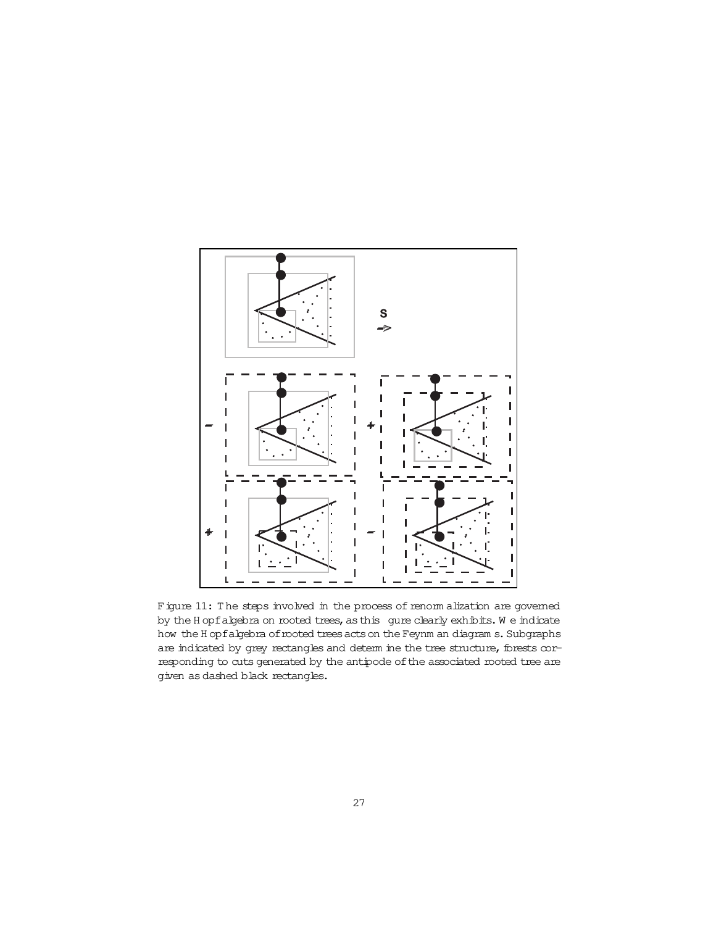<span id="page-26-0"></span>

Figure 11: The steps involved in the process of renorm alization are governed by the H opfalgebra on rooted trees, as this gure clearly exhibits. We indicate how the H opfalgebra of rooted trees acts on the Feynm an diagram s. Subgraphs are indicated by grey rectangles and determ ine the tree structure, forests corresponding to cuts generated by the antipode of the associated rooted tree are given as dashed black rectangles.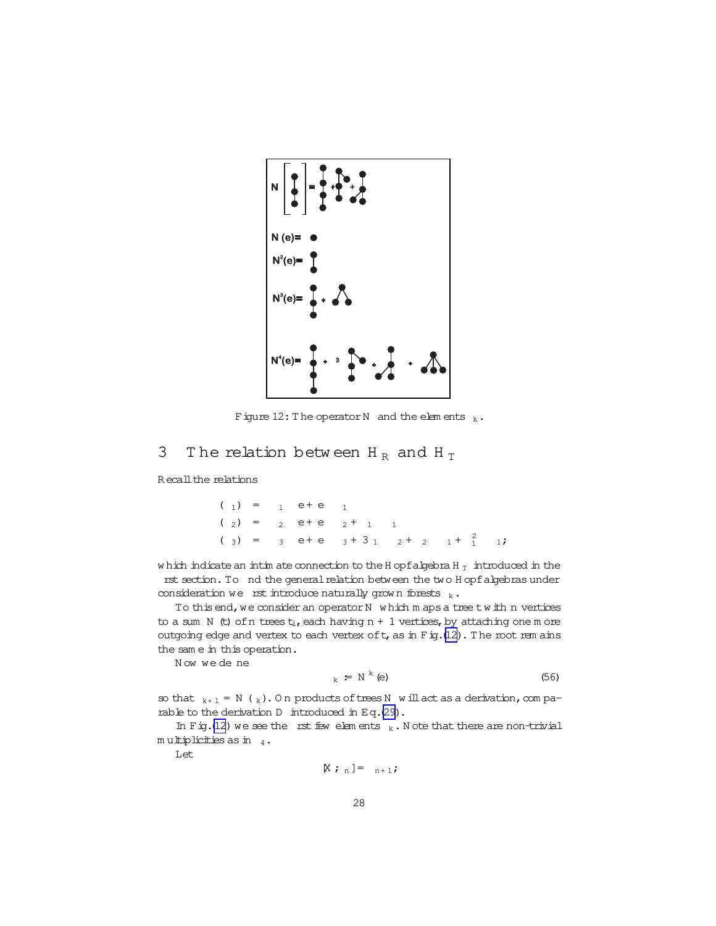

Figure 12: The operator N and the elements  $k \cdot$ 

## 3 The relation between  $H_R$  and  $H_T$

R ecall the relations

 $(1) = 1$  e + e 1  $(2) = 2 e+e+11$ (3) = 3 e + e  $3 + 3$  1  $2 + 2$  1 +  $2$  1;

w hich indicate an intim ate connection to the H opfalgebra H  $_{\rm T}\,$  introduced in the rst section. To nd the general relation between the two H opfalgebras under consideration we rst introduce naturally grown forests  $k \cdot$ 

To this end, we consider an operator  $N$  which m aps a tree twith n vertices to a sum N (t) of n trees  $t_i$ , each having n + 1 vertices, by attaching one m ore outgoing edge and vertex to each vertex of  $t$ , as in  $F$  ig.(12). The root rem ains the sam e in this operation.

Now we de ne

$$
k = N^{k} \text{ (e)}
$$
 (56)

so that  $k+1 = N(k)$ . On products of trees N will act as a derivation, com pa-rable to the derivation D introduced in Eq.[\(29\)](#page-5-0).

In Fig.(12) we see the rst few elements  $_k$ . N ote that there are non-trivial m ultiplicities as in  $_4$ .

Let

$$
\mathbb{X} \; ; \; \; _n \; ] = \quad _{n+1} \; ;
$$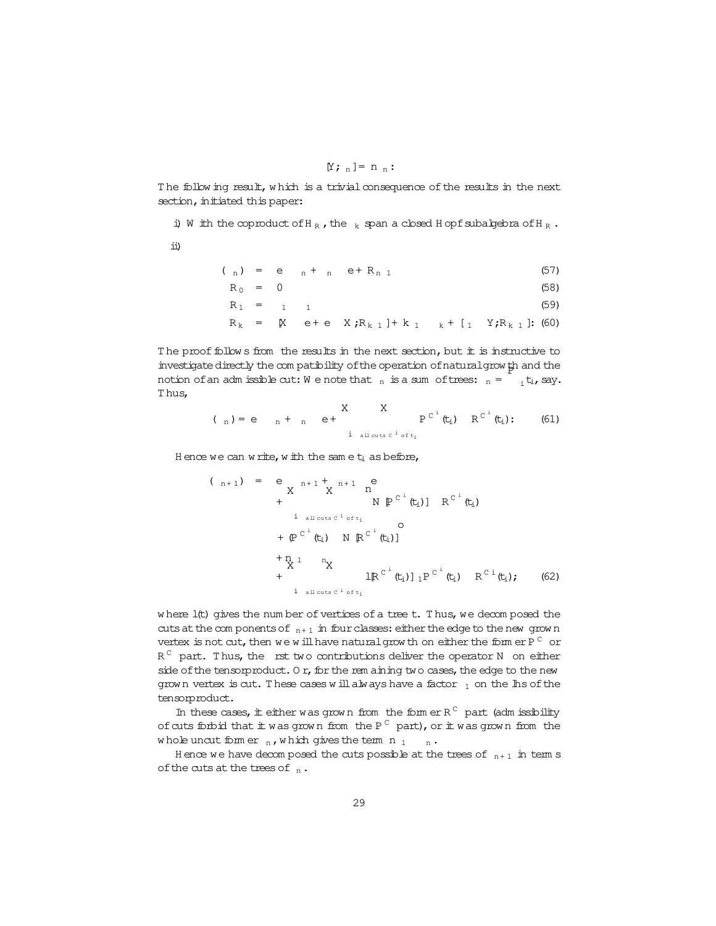$$
[Y; \, _n]=n \, _n:
$$

The follow ing result, which is a trivial consequence of the results in the next section, initiated this paper:

i) W ith the coproduct of H<sub>R</sub>, the  $k$  span a closed H opfsubalgebra of H<sub>R</sub>.

ii)

$$
(\begin{array}{cccc} 0 & 1 \end{array}) = e_{n} + \begin{array}{cccc} 1 & 1 \end{array} e + R_{n} \tag{57}
$$

$$
R_0 = 0 \tag{58}
$$

$$
R_1 = 1 \t 1 \t (59)
$$

$$
R_k = K e + e X; R_{k1} + k_1 k + [1 Y; R_{k1}]; (60)
$$

The proof follow s from the results in the next section, but it is instructive to investigatedirectly the com patibility ofthe operation ofnaturalgrow th and the P notion of an adm issible cut: We note that  $_n$  is a sum of trees:  $_n = \frac{1}{i} t_i$ , say. T hus, **XXX** 

$$
(\begin{array}{c} \n\text{A} \n\end{array}) = e \quad \text{A} + \quad \text{B} + \quad \text{C} + \quad \text{C} + \quad \text{C} + \quad \text{C} + \quad \text{C} + \quad \text{C} + \quad \text{C} + \quad \text{C} + \quad \text{C} + \quad \text{C} + \quad \text{C} + \quad \text{C} + \quad \text{C} + \quad \text{C} + \quad \text{C} + \quad \text{C} + \quad \text{C} + \quad \text{C} + \quad \text{C} + \quad \text{C} + \quad \text{C} + \quad \text{C} + \quad \text{C} + \quad \text{C} + \quad \text{C} + \quad \text{C} + \quad \text{C} + \quad \text{C} + \quad \text{C} + \quad \text{C} + \quad \text{C} + \quad \text{C} + \quad \text{C} + \quad \text{C} + \quad \text{C} + \quad \text{C} + \quad \text{C} + \quad \text{C} + \quad \text{C} + \quad \text{C} + \quad \text{C} + \quad \text{C} + \quad \text{C} + \quad \text{C} + \quad \text{C} + \quad \text{C} + \quad \text{C} + \quad \text{C} + \quad \text{C} + \quad \text{C} + \quad \text{C} + \quad \text{C} + \quad \text{C} + \quad \text{C} + \quad \text{C} + \quad \text{C} + \quad \text{C} + \quad \text{C} + \quad \text{C} + \quad \text{C} + \quad \text{C} + \quad \text{C} + \quad \text{C} + \quad \text{C} + \quad \text{C} + \quad \text{C} + \quad \text{C} + \quad \text{C} + \quad \text{C} + \quad \text{C} + \quad \text{C} + \quad \text{C} + \quad \text{C} + \quad \text{C} + \quad \text{C} + \quad \text{C} + \quad \text{C} + \quad \text{C} + \quad \text{C} + \quad \text{C} + \quad \text{C} + \quad \text{C} + \quad \text{C} + \quad \text{C} + \quad \text{C} + \quad \text{C} + \quad \text{C} + \quad \text{C} + \quad \text{C} + \quad \text{C} +
$$

H ence we can write, with the same  $t_i$  as before,

$$
(n+1) = e_{X} n+1 + n+1 e
$$
  
+ N  $\mathbb{P}^{C^{i}}(t_{i})$  R<sup>C^{i}}(t\_{i})  
+  $\mathbb{P}^{C^{i}}(t_{i})$  N  $\mathbb{R}^{C^{i}}(t_{i})$</sup> 

where  $l(t)$  gives the num ber of vertices of a tree  $t$ . Thus, we decom posed the cuts at the com ponents of  $n+1$  in four classes: either the edge to the new grow n vertex is not cut, then we will have natural grow th on either the form er P  $^\mathrm{C}\,$  or  $R^{\, \mathbb{C}}$  part. Thus, the rst two contributions deliver the operator N  $\,$  on either side of the tensorproduct. Or, for the rem aining two cases, the edge to the new grown vertex is cut. These cases will always have a factor  $_1$  on the lhs of the tensorproduct.

In these cases, it either was grown from the form er  $R^C$  part (adm issibility ofcuts forbid that it was grown from the P  $^{\textrm{\tiny{C}}}$  part), or it was grown from the whole uncut form er  $_n$ , which gives the term  $n_1$   $_n$ .

H ence we have decomposed the cuts possible at the trees of  $n+1$  in term s of the cuts at the trees of  $_n$ .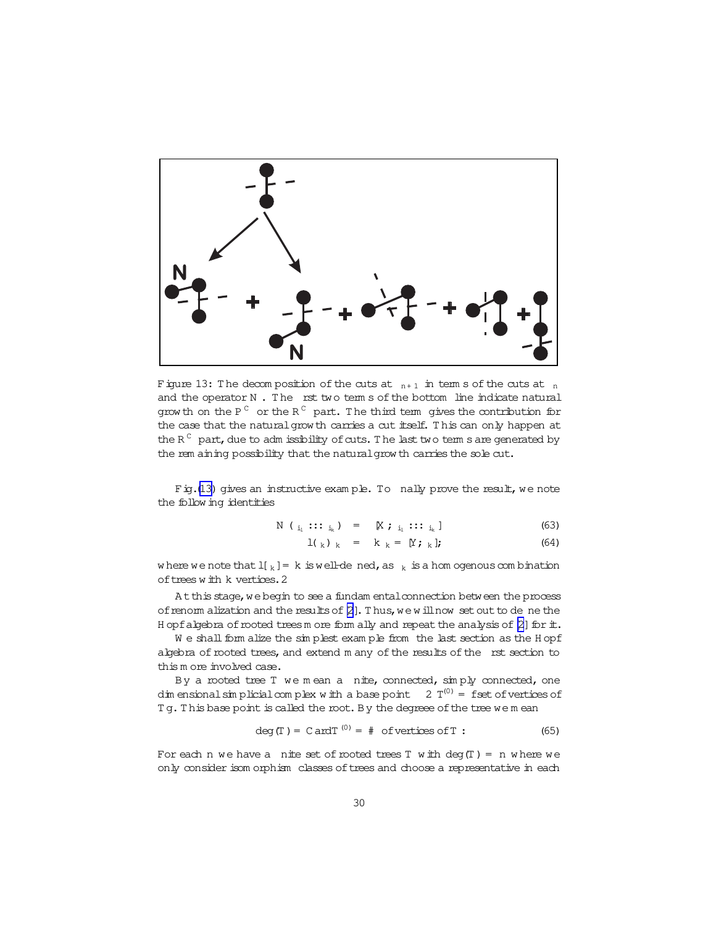

Figure 13: The decomposition of the cuts at  $n+1$  in term s of the cuts at  $n$ and the operator  $N$ . The rst two term s of the bottom line indicate natural grow th on the P  $^{\textrm{\tiny{C}}}$  or the R  $^{\textrm{\tiny{C}}}$  part. The third term gives the contribution for the case that the naturalgrow th carries a cut itself. T his can only happen at the R  $\mathrm{^{C}}\,$  part, due to adm issibility of cuts. The last two term s are generated by the rem aining possibility that the natural grow th carries the sole cut.

Fig.(13) gives an instructive example. To nally prove the result, we note the follow ing identities

$$
N (i_1 :: i_k) = [X j i_1 :: i_k]
$$
 (63)

$$
l(k) k = k k = [Y; k]; \qquad (64)
$$

where we note that  $I[k] = k$  is well-dened, as  $k$  is a hom ogenous combination of trees w ith k vertices. 2

At this stage, we begin to see a fundam ental connection between the process of renorm alization and the results of  $[2]$  $[2]$ . Thus, we will now set out to de ne the H opfalgebra of rooted treesm ore form ally and repeat the analysis of  $[2]$  for  $\pm$ .

We shall form alize the simplest example from the last section as the H opf algebra of rooted trees, and extend m any of the results of the rst section to this m ore involved case.

By a rooted tree T we mean a nite, connected, simply connected, one dim ensional simplicial complex with a base point  $2T^{(0)}$  = fset of vertices of Tg. This base point is called the root. By the degreee of the tree we m ean

$$
\deg(T) = \text{Card}T^{(0)} = # \text{ of vertices of } T: \tag{65}
$$

For each n we have a nite set of rooted trees  $T$  with deg $(T) = n$  where we only consider isom orphism classes of trees and choose a representative in each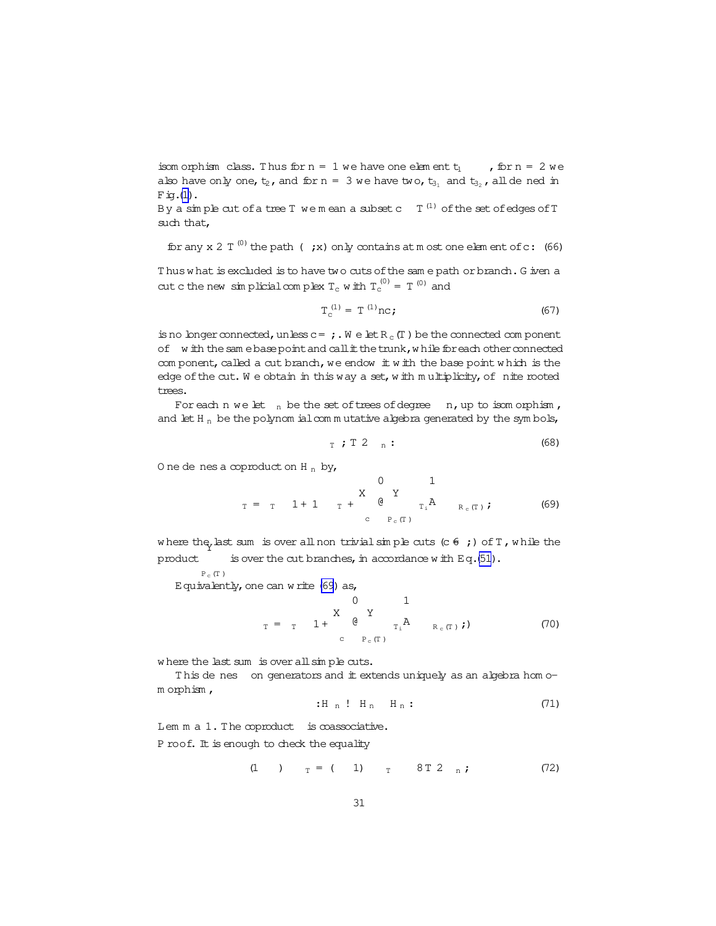<span id="page-30-0"></span>isom orphism class. Thus for  $n = 1$  we have one element  $t_1$ , for  $n = 2$  we also have only one,  $t_2$ , and for  $n = 3$  we have two,  $t_3$ , and  $t_3$ , all de ned in  $Fig.(1)$  $Fig.(1)$ .

By a simple cut of a tree T we mean a subset c  $\,$  T  $^{(1)}$  of the set of edges of T  $\,$ such that,

for any x 2  $T^{(0)}$  the path (; x) only contains at m ost one elem ent of c: (66)

Thus what is excluded is to have two cuts of the sam e path or branch. G iven a cut c the new sim plicial complex  $T_c$  with  $T_c^{(0)} = T^{(0)}$  and

$$
T_c^{(1)} = T^{(1)}nc;
$$
 (67)

is no longer connected, unless  $c=$  ; W e let  $R_c(T)$  be the connected com ponent of with the sam ebase point and call it the trunk, while for each other connected com ponent, called a cut branch, we endow  $\pm$  w  $\pm$ h the base point w hich is the edge of the cut. We obtain in this way a set, with multiplicity, of nite rooted trees.

For each n we let  $n$  be the set of trees of degree  $n$ , up to isom orphism, and let H<sub>n</sub> be the polynom ial com m utative algebra generated by the sym bols,

$$
T \; ; \; T \; 2 \quad n \; : \tag{68}
$$

O ne de nes a coproduct on H  $_{\rm n}$  by,

<sup>T</sup> = <sup>T</sup> 1 + 1 <sup>T</sup> + X c 0 @ Y Pc(T ) T<sup>i</sup> 1 A <sup>R</sup> <sup>c</sup>(<sup>T</sup> ) ; (69)

where the last sum is over all non trivial simple cuts (c  $\epsilon$  ;) of T, while the product is over the cut branches, in accordance w ith Eq. $(51)$  $(51)$ .

 ${\rm P_c}$  (T )

Equivalently, one can write  $(69)$  as,

<sup>T</sup> = <sup>T</sup> 1 + X c 0 @ Y Pc(T ) T<sup>i</sup> 1 A <sup>R</sup> <sup>c</sup>(<sup>T</sup> ) ;) (70)

where the last sum is over all simple cuts.

This de nes on generators and it extends uniquely as an algebra homom orphism ,

$$
: H_n : H_n H_n : \tag{71}
$$

Lem m a 1. The coproduct is coassociative. P roof. It is enough to check the equality

$$
(1) \t T = (1) \t T 8T 2 n;
$$
 (72)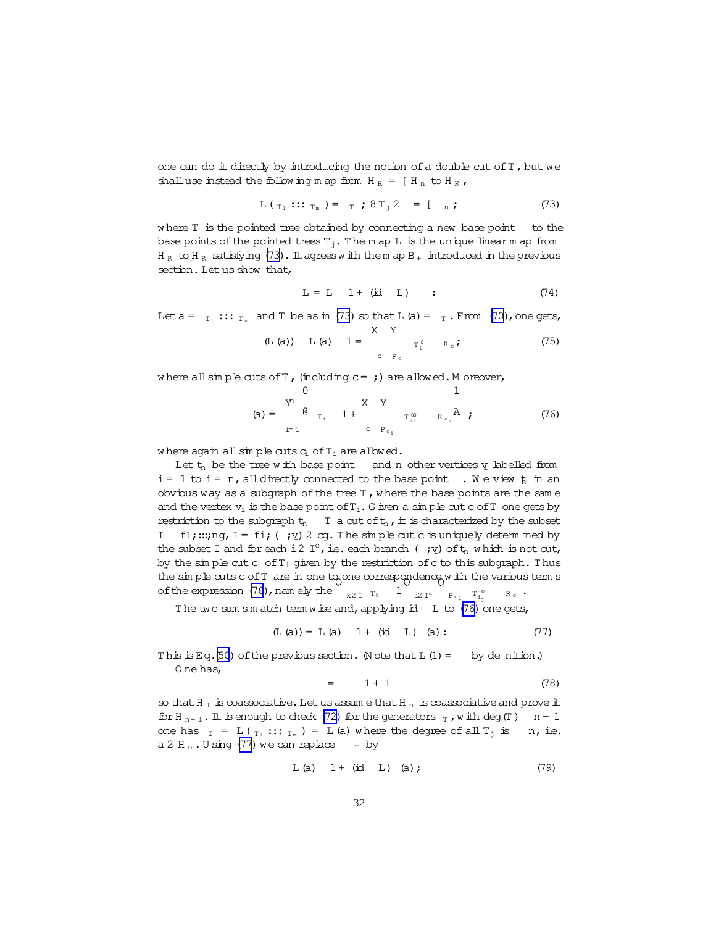<span id="page-31-0"></span>one can do  $#$  directly by introducing the notion of a double cut of  $T$ , but we shalluse instead the following m ap from  $H_R = [H_n \text{ to } H_R]$ ,

$$
L\left(\begin{array}{c}\n\tau_1 :: \tau_m\end{array}\right) = \begin{array}{c}\n\tau \end{array}; 8 \,T_j \,2 = \begin{array}{c}\n\tau \\ n \end{array}; \tag{73}
$$

where T is the pointed tree obtained by connecting a new base point to the base points of the pointed trees  $T_j$ . The m ap L is the unique linear m ap from  $H_R$  to  $H_R$  satisfying (73). It agrees with them ap  $B_+$  introduced in the previous section. Let us show that,

$$
L = L \quad 1 + (id \quad L) \qquad : \qquad (74)
$$

Let  $a = T_1$ :::  $T_m$  and T be as in (73) so that L (a) =  $T$ . From [\(70\)](#page-30-0), one gets,

$$
(L (a)) L (a) 1 = \begin{array}{c} X & Y \\ Y & R_c \end{array}
$$
 (75)

where all simple cuts of  $T$ , (including  $c = j$ ) are allowed. M oreover,

$$
(a) = \begin{array}{ccccc} & 0 & & 1 \\ \n\mathbf{Y}^1 & & & \mathbf{X} & \mathbf{Y} \\ \n\mathbf{0} & \mathbf{0} & & \mathbf{1} + & & \mathbf{0} \\ \n\mathbf{0} & \mathbf{0} & & \mathbf{1} + & & \mathbf{0} \\ \n\mathbf{0} & \mathbf{0} & & \mathbf{0} & \mathbf{0} \\ \n\mathbf{0} & & & \mathbf{0} & \mathbf{0} \end{array}
$$

where again all simple cuts  $c_i$  of  $T_i$  are allowed.

Let  $t_n$  be the tree w ith base point and n other vertices  $y$  labelled from  $i=1$  to  $i=n$ , all directly connected to the base point . We view  $\frac{1}{h}$  in an obvious way as a subgraph of the tree  $T$ , where the base points are the same and the vertex  $v_i$  is the base point of  $T_i$ . G iven a simple cutc of T one gets by restriction to the subgraph  $t_n$  T a cut of  $t_n$ , it is characterized by the subset I fl;:::  $\eta$ , I = fi; (;  $\eta$ ) 2 cg. The simple cutc is uniquely determ ined by the subset I and for each i2 I<sup>c</sup>, i.e. each branch (;  $y$ ) of  $t_n$  w hich is not cut, by the sim ple cut  $c_i$  of  $T_i$  given by the restriction of c to this subgraph. Thus the simple cuts c of T are in one to one correspondence w ith the various term s of the expression  $(76)$ , namely the  $\begin{bmatrix} 1 & 1 \end{bmatrix}$  is  $\begin{bmatrix} 1 & 1 \end{bmatrix}$   $\begin{bmatrix} 1 & 1 \end{bmatrix}$   $\begin{bmatrix} 1 & 1 \end{bmatrix}$  $R_{c_i}$ .

The two sum s m atch term w ise and, applying id  $L$  to (76) one gets,

$$
(\mathbb{L} \text{ (a)}) = \mathbb{L} \text{ (a)} \quad 1 + (\text{id} \quad \mathbb{L}) \quad \text{(a)}: \tag{77}
$$

This is Eq.[\(50](#page-16-0)) of the previous section. (Note that  $L(1) =$  by denition.) O ne has,

$$
= 1 + 1 \tag{78}
$$

so that H  $_1$  is coassociative. Let us assum e that H  $_\mathrm{n}\,$  is coassociative and prove it for H<sub>n+1</sub>. It is enough to check [\(72\)](#page-30-0) for the generators  $_T$ , w ith deg(T)  $n + 1$ one has  $T = L(T_1 :: T_m) = L(a)$  where the degree of all  $T_1$  is n, i.e. a 2 H<sub>n</sub>. U sing (77) we can replace  $_T$  by

$$
L(a) \t 1 + (id L) \t (a);
$$
 (79)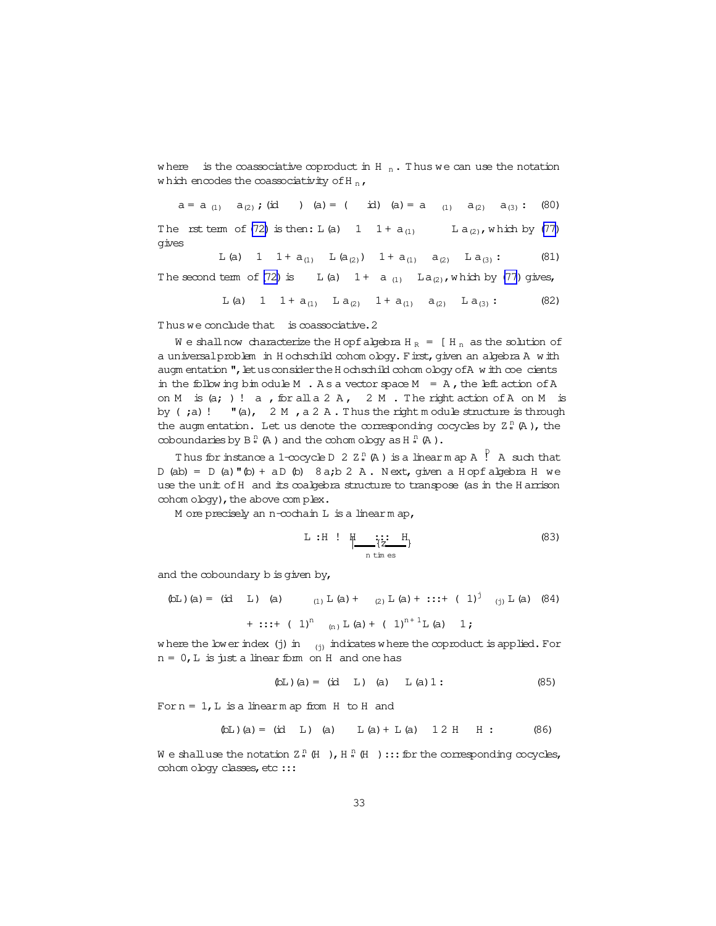where is the coassociative coproduct in H  $_n$ . Thus we can use the notation which encodes the coassociativity of H $_{\text{n}}$ ,

 $a = a_{(1)} a_{(2)}$ ; (id ) (a) = ( id) (a) = a  $_{(1)} a_{(2)} a_{(3)}$  : (80) The rst term of [\(72\)](#page-30-0) is then:  $L(a)$  1  $1 + a_{(1)}$  L  $a_{(2)}$ , which by [\(77\)](#page-31-0) gives

L(a) 1 1 +  $a_{(1)}$  L( $a_{(2)}$ ) 1 +  $a_{(1)}$   $a_{(2)}$  L $a_{(3)}$ : (81) The second term of [\(72\)](#page-30-0) is L(a)  $1 + a_{(1)}$  La<sub>(2)</sub>, which by [\(77\)](#page-31-0) gives, L(a) 1  $1 + a_{(1)}$  L(a<sub>(2)</sub>  $1 + a_{(1)}$  a<sub>(2)</sub> L(a<sub>(3)</sub>: (82)

T hus we conclude that is coassociative.2

We shall now characterize the H opfalgebra H  $_R$  = [H  $_n$  as the solution of a universalproblem in H ochschild cohom ology. First,given an algebra A w ith augm entation  $\mathsf{''}$ , let us consider the H ochschild cohom ology of A w ith coecients in the follow ing bim odule M . As a vector space  $M = A$ , the left action of A on M is  $(a; )! a$ , for all a 2 A, 2 M. The right action of A on M is by  $(ja)$ !  $"a)$ ,  $2 M$ ,  $a 2 A$ . Thus the right m odule structure is through the augm entation. Let us denote the corresponding cocycles by  $Z_n^n(A)$ , the coboundaries by  $\mathbb{B}^{\,n}_{\,n}$  (A ) and the cohom ology as H  $_{\,n}^{\,n}$  (A ).

Thus for instance a 1-cocycle D  $2$  Z  $\substack{n\ n}}$  (A ) is a linearm ap A  $\substack{p\ n}}$  A such that  $D$  (ab) =  $D$  (a)  $P$  (b) + a $D$  (b) 8a;b 2 A. Next, given a H opf algebra H we use the unit ofH and its coalgebra structure to transpose (as in the H arrison  $\cosh$ om  $\cosh$ <sub>y</sub>), the above complex.

M ore precisely an n-cochain L is a linear m ap,

$$
L : H : H \underset{n \text{ time}}{\underset{\text{lim}}{\text{ time}}} H
$$
\n(83)

and the coboundary  $b$  is given by,

(bL) (a) = (id L) (a) 
$$
(1) L (a) + (2) L (a) + \cdots + (1)^{j} (j) L (a) (84)
$$

+ 
$$
\cdots
$$
 + ( 1)<sup>n</sup> <sub>(n)</sub> L (a) + ( 1)<sup>n+1</sup>L (a) 1;

where the lower index (j) in  $_{(i)}$  indicates where the coproduct is applied. For  $n = 0$ , L is just a linear form on H and one has

$$
(\text{DL}) (a) = (id L) (a) L (a) 1: \tag{85}
$$

Forn =  $1$ , L is a linearm ap from H to H and

$$
(bL)(a) = (id L)(a) L(a) + L(a) 12 H H:
$$
 (86)

We shall use the notation  $Z^{\,n}_{\,n}\,\,\mathbb{H}$  ),  $\mathrm{H}^{\,n}_{\,n}\,\,\mathbb{H}$  )  $:::$  for the corresponding cocycles, cohom ology classes, etc :::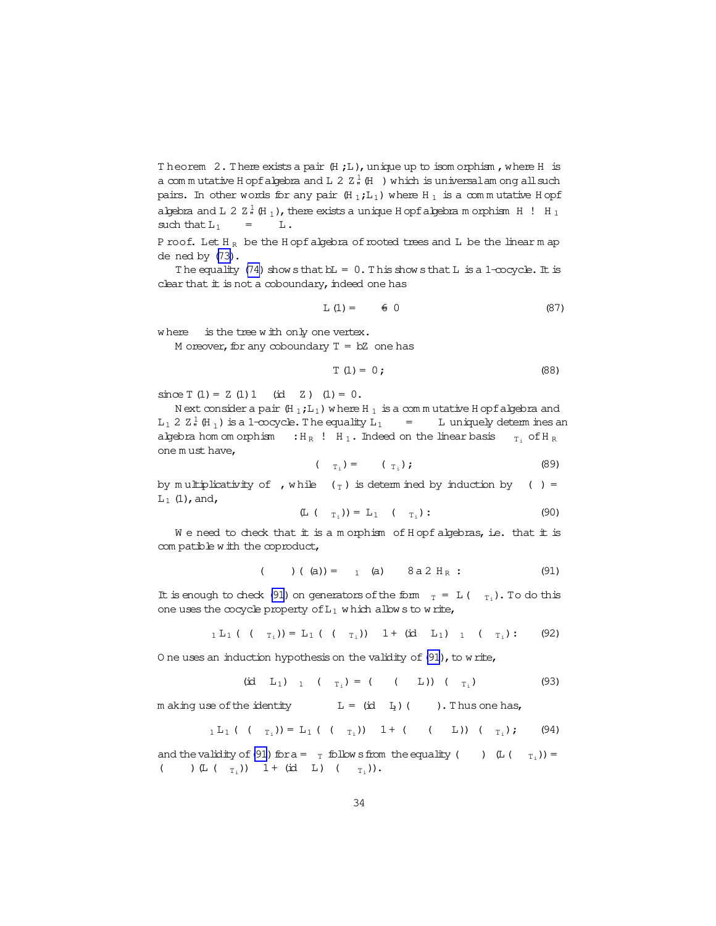Theorem 2. There exists a pair  $(H, L)$ , unique up to isom orphism, where H is a com mutative H opfalgebra and L 2  $Z_n^1$  (H ) which is universal am ong all such pairs. In other words for any pair  $(H_1;L_1)$  where  $H_1$  is a commutative H opf algebra and L 2  $\text{Z}$   $_{\text{H}}^{1}$  (H  $_{\text{1}}$  ), there exists a unique H opfalgebra m orphism H  $\,$  ! H  $_{\text{1}}$ such that  $L_1$  = L.

P roof. Let  $H_R$  be the H opf algebra of rooted trees and L be the linear m ap dened by [\(73\)](#page-31-0).

The equality [\(74\)](#page-31-0) show sthat  $bL = 0$ . This show sthat L is a 1-cocycle. It is clear that  $#$  is not a coboundary, indeed one has

$$
L(1) = \qquad \qquad \in \quad 0 \tag{87}
$$

where is the tree with only one vertex.

M oreover, for any coboundary  $T = bZ$  one has

$$
T(1) = 0;
$$
 (88)

since  $T(1) = Z(1)1$  (id  $Z(1) = 0$ .

N ext consider a pair  $(H_1;L_1)$  w here H  $_1$  is a com m utative H opfalgebra and L<sub>1</sub> 2  $\mathbb{Z}^1$  (H<sub>1</sub>) is a 1-cocycle. The equality L<sub>1</sub> = L uniquely determines an algebra hom om orphism :  $H_R$  !  $H_1$ . Indeed on the linear basis  $T_1$  of  $H_R$ one m ust have,

$$
(\tau_{i}) = (\tau_{i}); \qquad (89)
$$

by m ultiplicativity of , while  $(\tau)$  is determ ined by induction by ( ) =  $L_1$  (1), and,

$$
(\mathbb{L} \left( T_{\mathbf{I}_{i}} \right)) = \mathbb{L}_{1} \left( T_{\mathbf{I}_{i}} \right): \tag{90}
$$

We need to check that  $#$  is a m orphism of H opf algebras, i.e. that  $#$  is com patible w ith the coproduct,

$$
( ) ( (a)) = 1 (a) 8 a 2 HR : (91)
$$

It is enough to check (91) on generators of the form  $_T = L(-T_1)$ . To do this one uses the cocycle property of  $L_1$  w hich allow s to write,

$$
{}_{1}L_{1} ( ( -_{T_{i}}) ) = L_{1} ( ( -_{T_{i}}) ) - 1 + (id L_{1})_{1} ( -_{T_{i}}) : ( 92)
$$

O ne uses an induction hypothesis on the validity of  $(91)$ , to write,

$$
(id L1)1 ( $ri$ ) = ( ( L)) ( $ri$ ) ( 93)
$$

m aking use of the identity  $L = (id \ I_1)$  ( ). Thus one has,

$$
{}_{1}L_{1} ( ( -_{T_{i}}) ) = L_{1} ( ( -_{T_{i}}) ) - 1 + ( ( -_{L} ) ) ( -_{T_{i}} ) ; ( 94)
$$

and the validity of (91) for a =  $_T$  follow s from the equality ()  $(L(T_{T_i}))=$ ( )  $(L ( T_i))$  1 + (id L) (  $T_i$ )).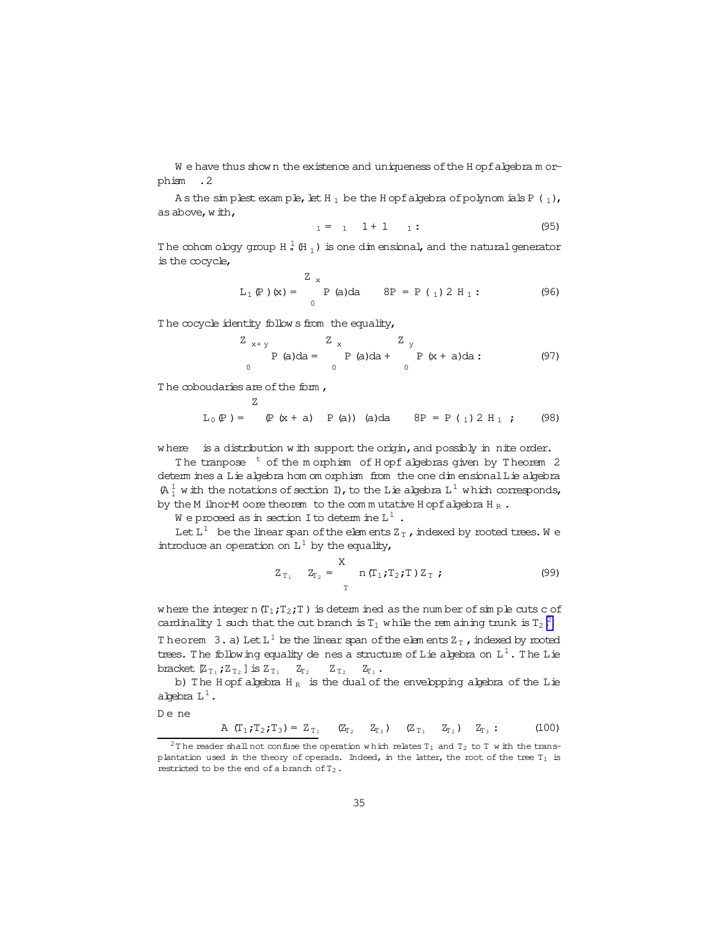<span id="page-34-0"></span>We have thus shown the existence and uniqueness of the Hopf algebra morphism .2

As the simplest example, let H<sub>1</sub> be the Hopf algebra of polynomials P  $(1)$ , as above, with,

$$
1 = 1 \quad 1 + 1 \quad 1: \tag{95}
$$

The cohom ology group H  $_{n}^{\frac{1}{2}}$  (H<sub>1</sub>) is one dimensional, and the natural generator is the cocycle,

$$
L_1(P)(x) = \sum_{0}^{Z} P(a)da \qquad 8P = P(1) 2 H_1:
$$
 (96)

The cocycle identity follows from the equality,

$$
\begin{array}{ccc}\nZ_{x+y} & Z_{x} & Z_{y} \\
P(a)da = & P(a)da + & P(x+a)da: \\
0 & 0 & 0\n\end{array}
$$
\n(97)

The coboudaries are of the form,

$$
L_0(P) = (P(x + a) P(a))
$$
 (a)da  $8P = P(1) 2 H_1$ ; (98)

where is a distribution with support the origin, and possibly in nite order.

The tranpose <sup>t</sup> of the morphism of Hopf algebras given by Theorem 2 determ ines a Lie algebra hom om orphism from the one dimensional Lie algebra  $(A_1^1$  w ith the notations of section I), to the Lie algebra  $L^1$  which corresponds, by the M ilnor-M oore theorem to the commutative H opf algebra H  $_R$ .

We proceed as in section I to determine  $L^1$ .

Let  $L^1$  be the linear span of the elements  $Z_T$ , indexed by rooted trees. We introduce an operation on  $L^1$  by the equality,

$$
Z_{T_1} \t Z_{T_2} = \begin{cases} X & \text{if } T_1; T_2; T \end{cases} Z_T ; \t(99)
$$

where the integer n  $(T_1;T_2;T)$  is determined as the number of simple cuts c of cardinality 1 such that the cut branch is  $T_1$  while the rem aining trunk is  $T_2$ .

Theorem 3. a) Let  $L^1$  be the linear span of the elements  $Z_T$ , indexed by nooted trees. The following equality de nes a structure of Lie algebra on  $L^1$ . The Lie bracket  $Z_{T_1}$ ;  $Z_{T_2}$  ] is  $Z_{T_1}$   $Z_{T_2}$   $Z_{T_2}$   $Z_{T_1}$ .

b) The H opf algebra  $H_R$  is the dual of the envelopping algebra of the L ie a bebra  $L^1$ .

De ne

A  $(T_1; T_2; T_3) = Z_{T_1}$   $(Z_{T_2}$   $Z_{T_3})$   $(Z_{T_1}$   $Z_{T_2})$   $Z_{T_3}$ :  $(100)$ 

 $^2\mathbb{T}$ he reader shall not confuse the operation which relates T $_1$  and T $_2$  to T  $\le$  ith the trans– plantation used in the theory of operads. Indeed, in the latter, the root of the tree  $T_1$  is restricted to be the end of a branch of  $T_2$ .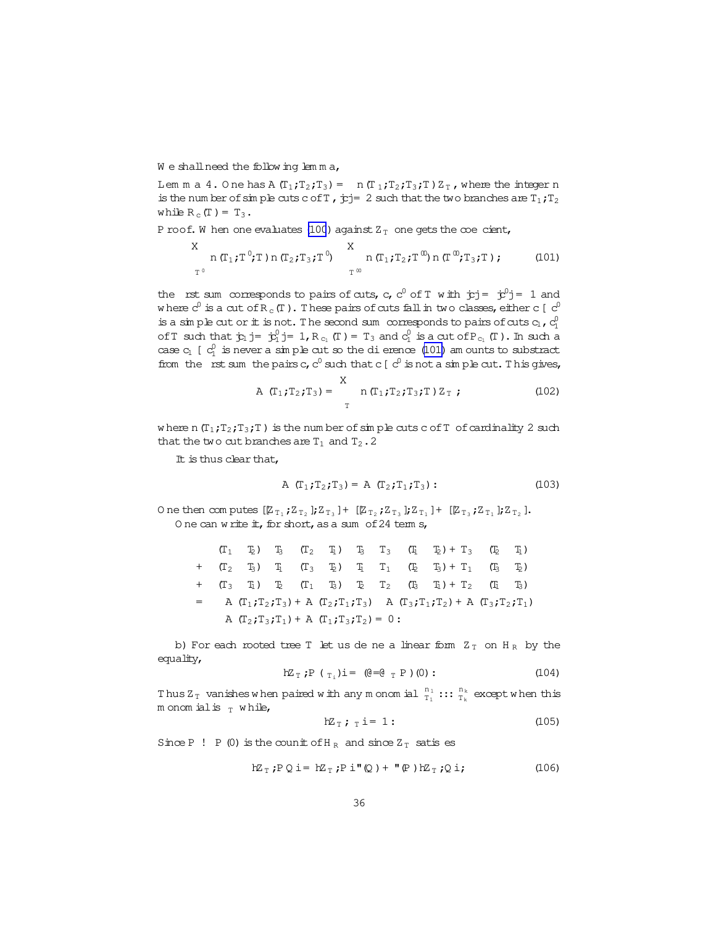<span id="page-35-0"></span>We shall need the following lemma,

Lem m a 4. One has A  $(T_1;T_2;T_3) = n (T_1;T_2;T_3;T) Z_T$ , where the integer n is the number of simple cuts c of T,  $\dot{p}j=2$  such that the two branches are  $T_1, T_2$ while  $R_c(T) = T_3$ .

 $\sim$ 

P roof. W hen one evaluates (100) against  $Z_T$  one gets the coe cient,

$$
X \underset{T^0}{\text{ } n (T_1; T^0; T) n (T_2; T_3; T^0)} \qquad X \underset{T^{\infty}}{\text{ } n (T_1; T_2; T^{\infty}) n (T^{\infty}; T_3; T) ; \qquad (101)
$$

the rst sum corresponds to pairs of cuts, c, c<sup>0</sup> of T with  $\dot{y}j = \dot{y}^0j = 1$  and where  $c^0$  is a cut of R<sub>c</sub>(T). These pairs of cuts fall in two classes, either c [ $c^0$ is a simple cut or it is not. The second sum corresponds to pairs of cuts  $c_1$ ,  $c_1^0$ of T such that  $\dot{\mathbf{y}}_1$  j =  $\dot{\mathbf{y}}_1^0$  j = 1, R<sub>c<sub>1</sub></sub> (T) = T<sub>3</sub> and  $c_1^0$  is a cut of P<sub>c<sub>1</sub></sub> (T). In such a case  $c_1$  [  $c_1^0$  is never a simple cut so the dierence (101) am ounts to substract from the rst sum the pairs c,  $c^0$  such that c [ $c^0$  is not a simple cut. This gives,

A 
$$
(T_1; T_2; T_3) =
$$
<sup>X</sup> n  $(T_1; T_2; T_3; T) Z_T$ ; (102)

where n  $(T_1, T_2, T_3, T)$  is the number of simple cuts c of T of cardinality 2 such that the two cut branches are  $T_1$  and  $T_2$ . 2

It is thus clear that,

A 
$$
(T_1; T_2; T_3) = A (T_2; T_1; T_3)
$$
: (103)

One then computes  $[\mathbb{Z}_{T_1}; \mathbb{Z}_{T_2}]; \mathbb{Z}_{T_3}] + [\mathbb{Z}_{T_2}; \mathbb{Z}_{T_3}]; \mathbb{Z}_{T_1}] + [\mathbb{Z}_{T_3}; \mathbb{Z}_{T_1}]; \mathbb{Z}_{T_2}].$ One can write it, for short, as a sum of 24 term s,

|  |                                                 |  |  |  | $(T_1 \t T_2)$ $T_3$ $(T_2 \t T_1)$ $T_3$ $T_3$ $(T_1 \t T_2) + T_3$ $(T_2 \t T_1)$   |  |
|--|-------------------------------------------------|--|--|--|---------------------------------------------------------------------------------------|--|
|  |                                                 |  |  |  | $+$ $(T_2, T_3)$ $T_1$ $(T_3, T_2)$ $T_1$ $(T_2, T_3) + T_1$ $(T_3, T_2)$             |  |
|  |                                                 |  |  |  | $+$ $(T_3$ $T_1)$ $T_2$ $(T_1$ $T_3)$ $T_2$ $T_2$ $(T_3$ $T_1) + T_2$ $(T_1$ $T_3)$   |  |
|  |                                                 |  |  |  | = A $(T_1, T_2, T_3)$ + A $(T_2, T_1, T_3)$ A $(T_3, T_1, T_2)$ + A $(T_3, T_2, T_1)$ |  |
|  | A $(T_2; T_3; T_1) + A$ $(T_1; T_3; T_2) = 0$ : |  |  |  |                                                                                       |  |

b) For each rooted tree T let us de ne a linear form  $Z_T$  on  $H_R$  by the equality,

$$
hZ_{T} : P \t( T_{i} ) i = (e = e_{T} P) (0) : \t(104)
$$

Thus  $Z_T$  vanishes when paired with any monomial  $\frac{n_1}{T_1}$  :::  $\frac{n_k}{T_k}$  except when this m onom ial is  $_T$  while,

$$
hZ_T; \t i = 1: \t (105)
$$

Since P ! P (0) is the counit of H<sub>R</sub> and since  $Z_T$  satis es

$$
hZ_T; P Q i = hZ_T; P i''(Q) + "P) hZ_T; Q i;
$$
 (106)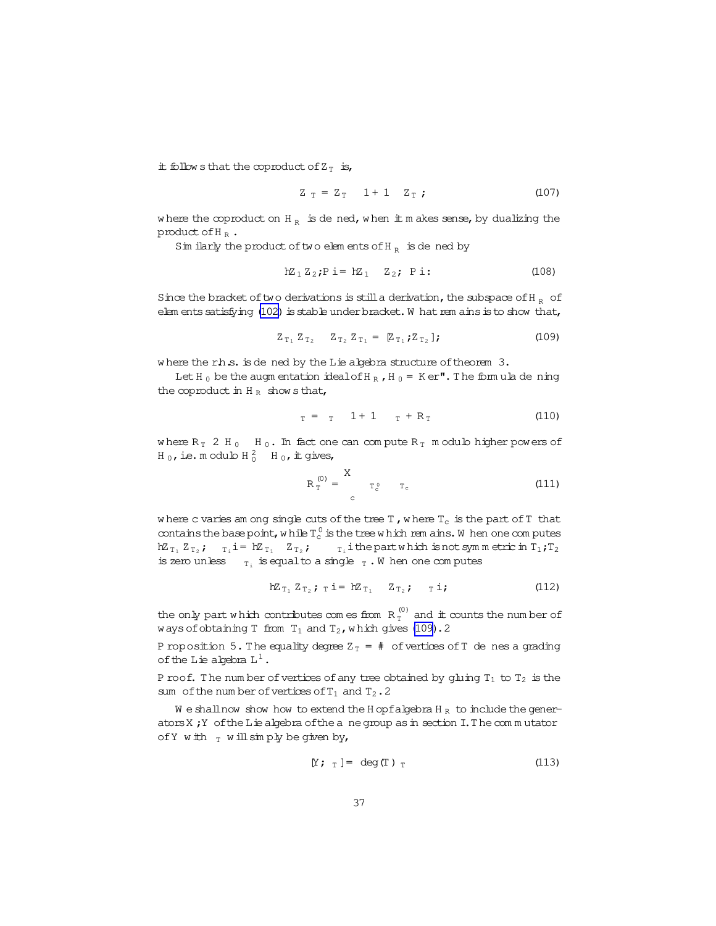it follows that the coproduct of  $Z_T$  is,

$$
Z_T = Z_T
$$
 1 + 1  $Z_T$ ; (107)

where the coproduct on H<sub>R</sub> is dened, when it makes sense, by dualizing the product of  $H_R$ .

Similarly the product of two elements of H<sub>R</sub> is dened by

$$
hZ_1 Z_2; P i = hZ_1 Z_2; P i: \t(108)
$$

Since the bracket of two derivations is still a derivation, the subspace of H<sub>R</sub> of elements satisfying (102) is stable under bracket. W hat rem ains is to show that,

$$
Z_{T_1} Z_{T_2} \quad Z_{T_2} Z_{T_1} = [\mathbb{Z}_{T_1}; Z_{T_2}]; \tag{109}
$$

where the rhs. is de ned by the Lie algebra structure of theorem 3.

Let H<sub>0</sub> be the augm entation ideal of H<sub>R</sub>, H<sub>0</sub> = K er". The formula de ning the coproduct in  $H_R$  shows that,

$$
T = T \t 1 + 1 \t T + R_T \t (110)
$$

where  $R_T$  2 H<sub>0</sub> H<sub>0</sub>. In fact one can compute  $R_T$  m odub higher powers of H<sub>0</sub>, ie. m odulo H<sub>0</sub><sup>2</sup> H<sub>0</sub>, it gives,

$$
R_T^{(0)} = \begin{array}{cc} X & & \\ T_c^0 & T_c \end{array} \tag{111}
$$

where c varies am ong single cuts of the tree T, where  $T_c$  is the part of T that contains the base point, while  $T_c^0$  is the tree which rem ains. W hen one computes  $R_{T_1} Z_{T_2}$ ;  $T_i i = R_{T_1} Z_{T_2}$ ;  $T_i i$  the part which is not symmetric in  $T_1; T_2$ is zero unless  $_{T_i}$  is equal to a single  $_T$ . W hen one computes

$$
hZ_{T_1} Z_{T_2}; \quad T \quad i = hZ_{T_1} \quad Z_{T_2}; \quad T \quad i ; \tag{112}
$$

the only part which contributes com es from  $R_T^{(0)}$  and it counts the number of ways of obtaining T from  $T_1$  and  $T_2$ , which gives (109). 2

P roposition 5. The equality degree  $Z_T = #$  of vertices of T de nes a grading of the Lie algebra  $L^1$ .

P roof. The number of vertices of any tree obtained by gluing  $T_1$  to  $T_2$  is the sum of the number of vertices of  $T_1$  and  $T_2$ . 2

We shall now show how to extend the H opf algebra H<sub>R</sub> to include the generators X; Y of the Lie algebra of the a ne group as in section I. The commutator of Y with  $_T$  will simply be given by,

$$
[Y; T] = \deg(T) T
$$
 (113)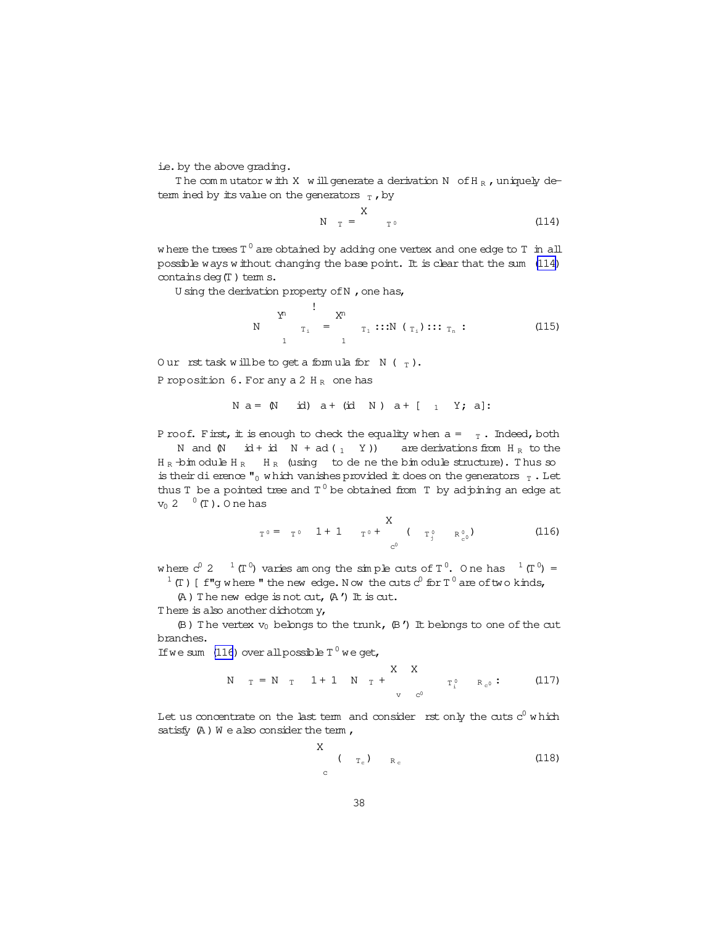<span id="page-37-0"></span>i.e. by the above grading.

The commutator with X will generate a derivation N of H<sub>R</sub>, uniquely determ ined by its value on the generators  $_T$ , by

$$
N_T = \frac{X}{T^0}
$$
 (114)

where the trees T  $^0$  are obtained by adding one vertex and one edge to T in all possible ways w ithout changing the base point. It is clear that the sum (114) contains deg $(T)$  term s.

U sing the derivation property of  $N$ , one has,

$$
N \qquad \begin{array}{c} Y^n \\ T_1 \\ T_2 \end{array} = \begin{array}{c} X^n \\ T_1 \end{array} :: : N \ (\tau_1) ::: T_n : \tag{115}
$$

Our rst task will be to get a formula for  $N$  ( $_T$ ). P roposition  $6.$  For any a 2 H<sub>R</sub> one has

$$
N a = (N \text{ id}) a + (id N) a + [1 Y; a]
$$
:

P roof. First, it is enough to check the equality when  $a = T$ . Indeed, both N and  $(N \text{ id } + \text{id } N + \text{ ad } (1 Y))$  are derivations from  $H_R$  to the  $H_R$   $\rightarrow$   $\frac{1}{2}$   $H_R$   $\rightarrow$   $H_R$  (using to de ne the bim odule structure). Thus so is their dierence " $_{\rm 0}$  w hich vanishes provided it does on the generators  $_{\rm T}$  . Let thus T be a pointed tree and  $T^0$  be obtained from T by adjoining an edge at  $v_0$  2  $0$  (T). O ne has

$$
T^0 = T^0 \t 1 + 1 \t T^0 + \t{X \t T^0_{j} \t R^0_{c^0}} \t (116)
$$

where  $c^0$  2  $^{-1}$  (T<sup>0</sup>) varies am ong the simple cuts of T<sup>0</sup>. One has  $^{-1}$  (T<sup>0</sup>) =  $1$  (T) [ f"g where " the new edge. Now the cuts  $c^0$  for T $^0$  are of two kinds,

 $(A)$  The new edge is not cut,  $(A')$  It is cut.

T here is also another dichotom y,

 $(\mathbb{B})$  The vertex  $v_0$  belongs to the trunk,  $(\mathbb{B}')$  It belongs to one of the cut branches.

If we sum (116) over all possible  $T^0$  we get,

$$
N T = N T 1 + 1 N T + \begin{array}{c} X & X \\ T_{i}^{0} & R_{c^{0}} \end{array}
$$
 (117)

Let us concentrate on the last term and consider  $\;$  rst only the cuts  $\mathrm{c}^0$  which satisfy  $(A)$  W e also consider the term,

 $\ddot{x}$ 

$$
\begin{array}{ccc}\nX & & \\
 & \left( \begin{array}{cc} & \tau_c \end{array} \right) & R_c\n\end{array}
$$
\n(118)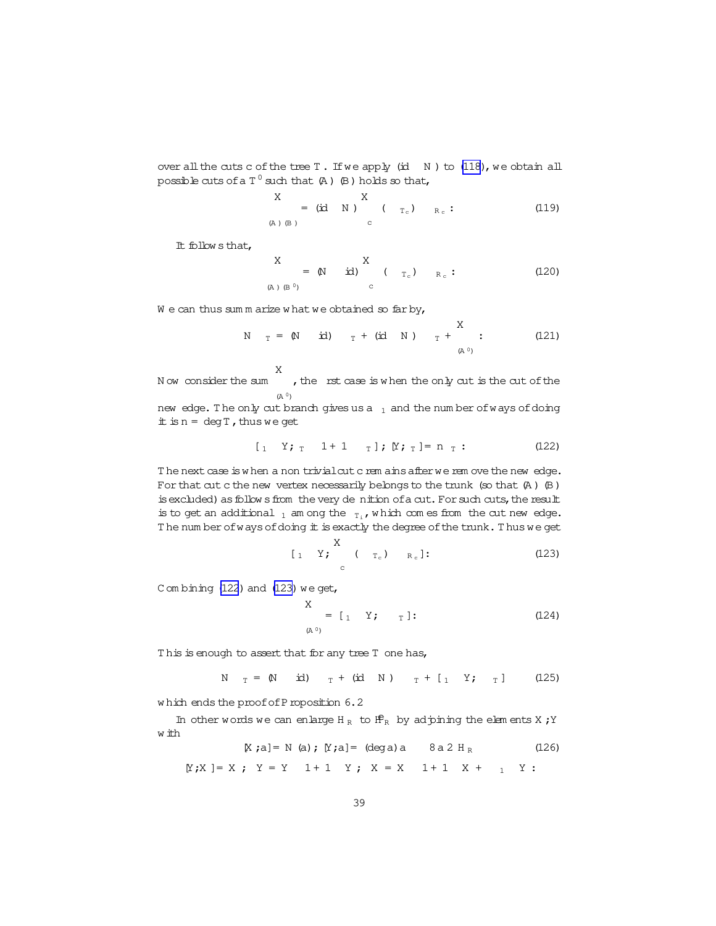over all the cuts c of the tree  $T$ . If we apply (id  $N$ ) to [\(118\)](#page-37-0), we obtain all possible cuts of a T  $^0$  such that (A ) (B ) holds so that,

$$
\begin{array}{ccc}\nX & & X \\
\text{(A) (B)} & & \\
\end{array}
$$
\n
$$
\begin{array}{ccc}\nX & & \\
\end{array}
$$
\n
$$
\begin{array}{ccc}\n\end{array}
$$
\n
$$
\begin{array}{ccc}\n\end{array}
$$
\n
$$
\begin{array}{ccc}\n\end{array}
$$
\n
$$
\begin{array}{ccc}\n\end{array}
$$
\n
$$
\begin{array}{ccc}\n\end{array}
$$
\n
$$
\begin{array}{ccc}\n\end{array}
$$
\n
$$
\begin{array}{ccc}\n\end{array}
$$
\n
$$
\begin{array}{ccc}\n\end{array}
$$
\n
$$
\begin{array}{ccc}\n\end{array}
$$
\n
$$
\begin{array}{ccc}\n\end{array}
$$
\n
$$
\begin{array}{ccc}\n\end{array}
$$
\n
$$
\begin{array}{ccc}\n\end{array}
$$
\n
$$
\begin{array}{ccc}\n\end{array}
$$
\n
$$
\begin{array}{ccc}\n\end{array}
$$
\n
$$
\begin{array}{ccc}\n\end{array}
$$
\n
$$
\begin{array}{ccc}\n\end{array}
$$
\n
$$
\begin{array}{ccc}\n\end{array}
$$
\n
$$
\begin{array}{ccc}\n\end{array}
$$
\n
$$
\begin{array}{ccc}\n\end{array}
$$
\n
$$
\begin{array}{ccc}\n\end{array}
$$
\n
$$
\begin{array}{ccc}\n\end{array}
$$
\n
$$
\begin{array}{ccc}\n\end{array}
$$
\n
$$
\begin{array}{ccc}\n\end{array}
$$
\n
$$
\begin{array}{ccc}\n\end{array}
$$
\n
$$
\begin{array}{ccc}\n\end{array}
$$
\n
$$
\begin{array}{ccc}\n\end{array}
$$
\n
$$
\begin{array}{ccc}\n\end{array}
$$
\n
$$
\begin{array}{ccc}\n\end{array}
$$
\n
$$
\begin{array}{ccc}\n\end{array}
$$
\n
$$
\begin{array}{ccc}\n\end{array}
$$
\n
$$
\begin{array}{ccc}\n\end{array}
$$
\n
$$
\begin{array}{ccc}\n\end{array}
$$
\n
$$
\begin{array}{ccc}\n\end{array}
$$

It follow sthat,

$$
\begin{array}{ccc}\nX & X & X \\
\left(\begin{array}{cc} 0 & 0 \\ 0 & 0 \end{array}\right) & \text{if} \quad\n\begin{array}{ccc}\nX & & \\
X & & \\
\end{array}\n\end{array}
$$

We can thus sum m arize what we obtained so far by,

N 
$$
T = (N \text{ id})
$$
 T + (id N)  $T + \sum_{(A^0)}^{X}$  (121)

N ow consider the sum X  $(A^0)$ , the rst case is when the only cut is the cut of the new edge. The only cut branch gives us a  $_1$  and the num ber of ways of doing

 $\pm$  is n = deg T, thus we get

$$
[1 \quad Y; T \quad 1+1 \quad T]; [Y; T] = n T: \qquad (122)
$$

The next case is when a non trivialcut crem ains after we rem ove the new edge. For that cut c the new vertex necessarily belongs to the trunk (so that  $(A)$   $(B)$ ) is excluded) as follow sfrom the very denition of a cut. For such cuts, the result is to get an additional  $_1$  am ong the  $_{T_i}$ , which com es from the cut new edge. The num ber of ways of doing it is exactly the degree of the trunk. Thus we get

$$
\begin{array}{cccc}\n & X & & \\
1 & Y & \downarrow & \n\end{array}\n\quad \begin{array}{cccc}\n & X & & \\
 & T_c & \downarrow & \n\end{array}\n\quad \begin{array}{cccc}\n & R_c \end{array}
$$
\n(123)

C om bining  $(122)$  and  $(123)$  we get,

$$
X = [1 \quad Y; \quad T]. \tag{124}
$$

This is enough to assert that for any tree T one has,

 $\ddot{\phantom{0}}$ 

$$
N_T = (N \quad \text{id}) \quad T + (id \quad N) \quad T + [1 \quad Y; \quad T] \tag{125}
$$

which ends the proof of Proposition 6.2

In other words we can enlarge H<sub>R</sub> to  $\mathbf{f}_{R}$  by adjoining the elem ents X; Y w ith

$$
[X; a] = N(a); [Y; a] = (deg a) a \t 8 a 2 HR \t (126)
$$

 $[Y;X] = X; Y = Y 1 + 1 Y; X = X 1 + 1 X + 1 Y;$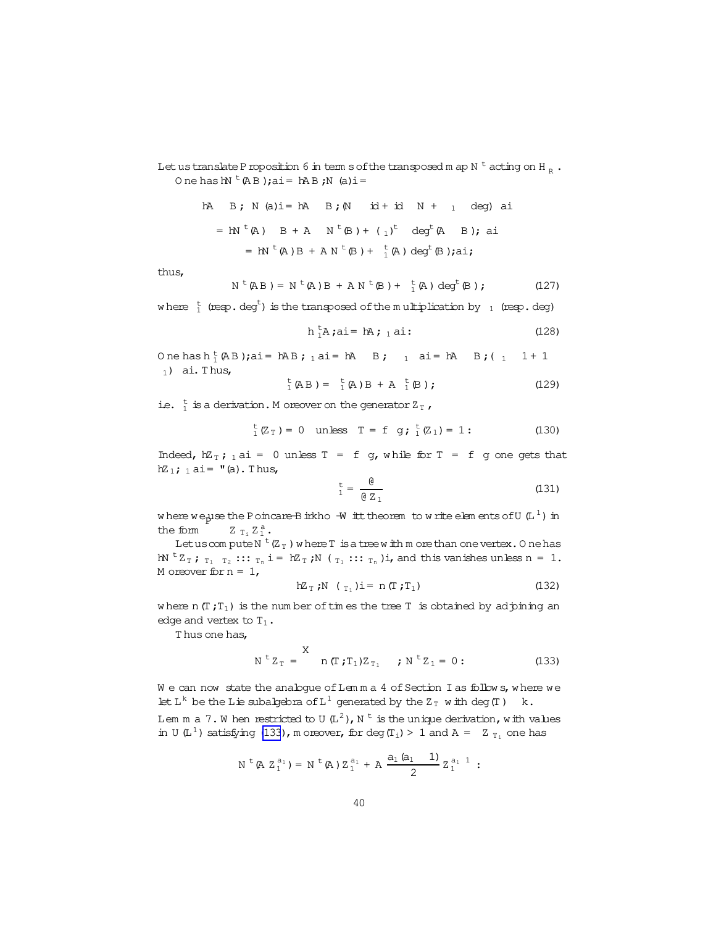<span id="page-39-0"></span>Let us translate P roposition 6 in term s of the transposed m ap N  $t$  acting on H  $_{p}$ . One has  $hN^t(AB)$ ; ai = hAB; N (a) i =

hA B; N (a)i = hA B; (N id + id N + 1 deg) ai  
= hN<sup>t</sup>(A) B + A N<sup>t</sup>(B) + (1)<sup>t</sup> deg<sup>t</sup>(A B); ai  
= hN<sup>t</sup>(A) B + AN<sup>t</sup>(B) + 
$$
\frac{t}{1}
$$
(A) deg<sup>t</sup>(B);ai;

thus,

$$
N^{t}(AB) = N^{t}(A)B + AN^{t}(B) + \frac{t}{1}(A) deg^{t}(B); \qquad (127)
$$

where  $\frac{t}{1}$  (resp. deg<sup>t</sup>) is the transposed of the multiplication by  $\frac{1}{1}$  (resp. deg)

$$
h_1^L A; ai = hA; i ai:
$$
 (128)

One has  $h_1^t$  (AB); ai = hAB;  $_1$  ai = hAB;  $_1$  ai = hAB;  $_1$  1+1  $_1$ ) ai. Thus,

$$
{}_{1}^{\text{t}}(AB) = {}_{1}^{\text{t}}(A)B + A {}_{1}^{\text{t}}(B); \qquad (129)
$$

ie.  $\frac{t}{1}$  is a derivation. M or<br>eover on the generator Z<sub>T</sub>,

$$
{}_{1}^{t}(Z_{T}) = 0
$$
 unless  $T = f g; {}_{1}^{t}(Z_{1}) = 1$ : (130)

Indeed,  $n\pi$ ; 1 ai = 0 unless T = f g, while for T = f g one gets that  $hZ_1$ ;  $_1$  ai =  $\overline{u}$  (a). Thus,

$$
t_1 = \frac{Q}{Q Z_1}
$$
 (131)

where we use the P oincare B irkho  $-\overline{w}$  it theorem to write elements of U  $(L^1)$  in the form  $Z_T$ ,  $Z_1^a$ .

Let us compute N<sup>t</sup> $(Z_T)$  where T is a tree with m ore than one vertex. One has  $\mathbb{N}$ <sup>t</sup> $Z_T$ ;  $T_1$   $T_2$  :::  $T_n$  i =  $\mathbb{K}_T$ ;  $\mathbb{N}$  ( $T_1$  :::  $T_n$ ) i, and this vanishes unless n = 1. M or<br>eover for  $n = 1$ ,

$$
hZ_T; N \quad (\tau_1) i = n (T; T_1)
$$
 (132)

where  $n(T, T_1)$  is the number of times the tree T is obtained by adjoining an edge and vertex to  $T_1$ .

Thus one has,

$$
N^t Z_T =
$$
<sup>X</sup>  $n(T; T_1) Z_{T_1}$  ;  $N^t Z_1 = 0$ : (133)

We can now state the analogue of Lemma 4 of Section I as follows, where we let L<sup>k</sup> be the Lie subalgebra of L<sup>1</sup> generated by the Z<sub>T</sub> with deg(T) k.

Lem m a 7. W hen restricted to U  $(L^2)$ , N<sup>t</sup> is the unique derivation, with values in U(L<sup>1</sup>) satisfying (133), m or ever, for deg(T<sub>i</sub>) > 1 and A =  $Z_{T_i}$  one has

$$
N^{\text{t}}(A Z_1^{a_1}) = N^{\text{t}}(A) Z_1^{a_1} + A \frac{a_1 (a_1 \t 1)}{2} Z_1^{a_1}:
$$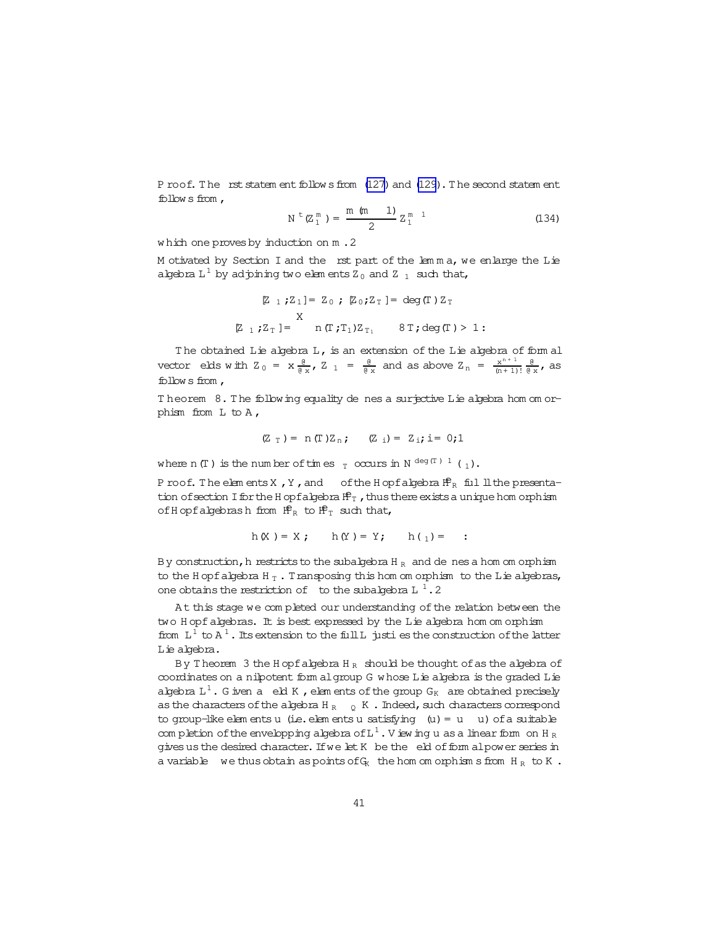Proof. The rst statem ent follows from (127) and (129). The second statem ent follows from  $\prime$ 

$$
N^{t}(Z_1^{m}) = \frac{m (m - 1)}{2} Z_1^{m - 1}
$$
 (134)

which one proves by induction on m.2

Motivated by Section I and the rst part of the lemma, we enlarge the Lie algebra  $L^1$  by ad pining two elements  $Z_0$  and  $Z_1$  such that,

$$
\begin{aligned}\n\mathbb{Z} \quad & \mathbb{Z} \quad \mathbb{Z} \quad \mathbb{Z} \quad \mathbb{Z} \quad \mathbb{Z} \quad \mathbb{Z} \quad \mathbb{Z} \quad \mathbb{Z} \quad \mathbb{Z} \quad \mathbb{Z} \quad \mathbb{Z} \quad \mathbb{Z} \quad \mathbb{Z} \quad \mathbb{Z} \quad \mathbb{Z} \quad \mathbb{Z} \quad \mathbb{Z} \quad \mathbb{Z} \quad \mathbb{Z} \quad \mathbb{Z} \quad \mathbb{Z} \quad \mathbb{Z} \quad \mathbb{Z} \quad \mathbb{Z} \quad \mathbb{Z} \quad \mathbb{Z} \quad \mathbb{Z} \quad \mathbb{Z} \quad \mathbb{Z} \quad \mathbb{Z} \quad \mathbb{Z} \quad \mathbb{Z} \quad \mathbb{Z} \quad \mathbb{Z} \quad \mathbb{Z} \quad \mathbb{Z} \quad \mathbb{Z} \quad \mathbb{Z} \quad \mathbb{Z} \quad \mathbb{Z} \quad \mathbb{Z} \quad \mathbb{Z} \quad \mathbb{Z} \quad \mathbb{Z} \quad \mathbb{Z} \quad \mathbb{Z} \quad \mathbb{Z} \quad \mathbb{Z} \quad \mathbb{Z} \quad \mathbb{Z} \quad \mathbb{Z} \quad \mathbb{Z} \quad \mathbb{Z} \quad \mathbb{Z} \quad \mathbb{Z} \quad \mathbb{Z} \quad \mathbb{Z} \quad \mathbb{Z} \quad \mathbb{Z} \quad \mathbb{Z} \quad \mathbb{Z} \quad \mathbb{Z} \quad \mathbb{Z} \quad \mathbb{Z} \quad \mathbb{Z} \quad \mathbb{Z} \quad \mathbb{Z} \quad \mathbb{Z} \quad \mathbb{Z} \quad \mathbb{Z} \quad \mathbb{Z} \quad \mathbb{Z} \quad \mathbb{Z} \quad \mathbb{Z} \quad \mathbb{Z} \quad \mathbb{Z} \quad \mathbb{Z} \quad \mathbb{Z} \quad \mathbb{Z} \quad \mathbb{Z} \quad \mathbb{Z} \quad \mathbb{Z} \quad \mathbb{Z} \quad \mathbb{Z} \quad \mathbb{Z} \quad \mathbb{Z} \quad \mathbb{Z} \quad \mathbb{Z} \quad \mathbb{Z} \quad \mathbb{Z} \quad \mathbb{Z} \quad \mathbb{Z} \quad \mathbb{Z} \
$$

The obtained Lie algebra L, is an extension of the Lie algebra of form al vector elds with  $Z_0 = x \frac{e}{e x}$ ,  $Z_1 = \frac{e}{e x}$  and as above  $Z_n = \frac{x^{n+1}}{(n+1)!} \frac{e}{e x}$ , as follows from  $,$ 

Theorem 8. The following equality de nes a surjective Lie abebra hom om orphism from  $L$  to  $A$ ,

$$
(Z_T) = n(T)Z_n;
$$
  $(Z_i) = Z_i;$   $i = 0;1$ 

where n (T) is the number of times  $_T$  occurs in N<sup>deg(T) 1</sup> (1).

P roof. The elements X, Y, and of the H opf algebra  $\mathbf{f}_{R}^{P}$  full ll the presentation of section I for the H opf algebra  $\mathbf{f} \mathbf{f}_T$ , thus there exists a unique hom orphism of H opf algebrash from  $\mathbf{f}_{R}^{\text{P}}$  to  $\mathbf{f}_{T}^{\text{P}}$  such that,

$$
h(X) = X; \qquad h(Y) = Y; \qquad h(_1) =
$$

By construction, h restricts to the subalgebra  $H_R$  and de nes a hom om orphism to the H opf algebra H $_T$ . Transposing this hom om orphism to the L ie algebras, one obtains the restriction of to the subalgebra  $L<sup>1</sup>$ . 2

At this stage we completed our understanding of the relation between the two Hopf algebras. It is best expressed by the Lie algebra hom om orphism from  $L^1$  to  $A^1$ . Its extension to the full L justi es the construction of the latter Lie algebra.

By Theorem 3 the H opf algebra  $H_R$  should be thought of as the algebra of coordinates on a nilpotent form algroup G whose Lie algebra is the graded Lie algebra  $L^1$ . G iven a eld K, elements of the group  $G_K$  are obtained precisely as the characters of the algebra  $H_R$  o K. Indeed, such characters correspond to group-like elements u (i.e. elements u satisfying  $(u) = u$  u) of a suitable completion of the envelopping algebra of  $L^1$ . Viewing u as a linear form on H<sub>R</sub> gives us the desired character. If we let K be the eld of form alpower series in a variable we thus obtain as points of  $G_K$  the hom om orphism s from  $H_R$  to  $K$ .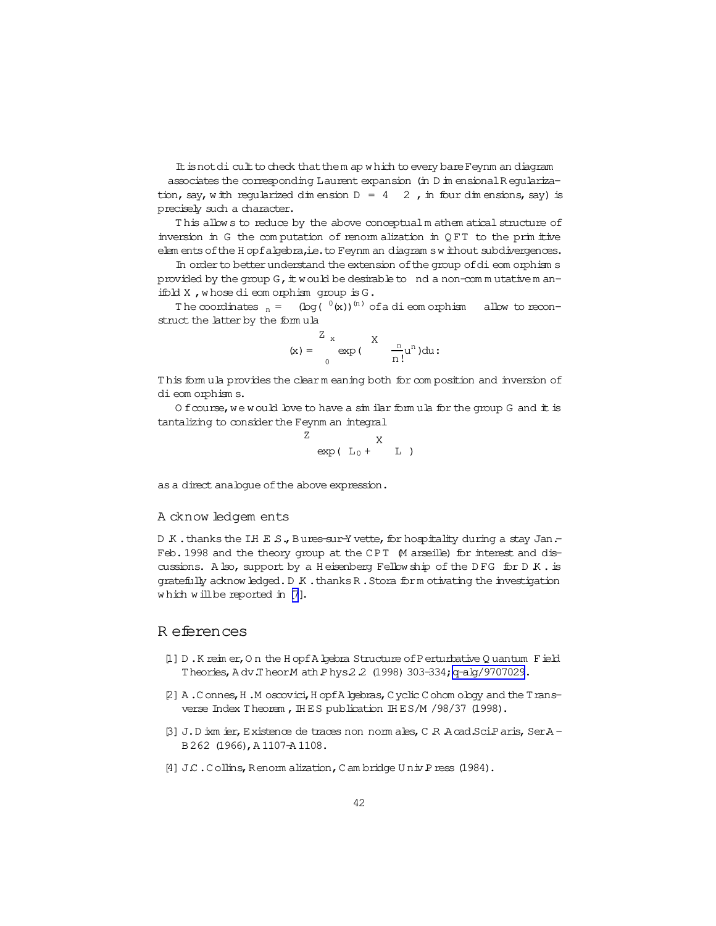<span id="page-41-0"></span>It is not di cult to check that them ap which to every bare Feynm an diagram associates the corresponding Laurent expansion (in D in ensional Regularization, say, with reqularized dimension  $D = 4$  2, in four dimensions, say) is precisely such a character.

This allows to reduce by the above conceptual m athem atical structure of inversion in G the computation of renormalization in QFT to the primitive elem ents of the Hopfalgebra, i.e. to Feynm an diagram swithout subdivergences.

In order to better understand the extension of the group of dieom orphisms provided by the group G, it would be desirable to nd a non-commutative m anifold X, whose dieomorphism qroup is G.

The coordinates  $n = (\log(\theta(x)))^{(n)}$  of a dieomorphism allow to reconstruct the latter by the formula

$$
(\mathbf{x}) = \begin{cases} \frac{\mathbf{Z}}{\mathbf{x}} & \mathbf{X} \\ \exp\big(\frac{\mathbf{x}}{\mathbf{n}!} \mathbf{u}^{\mathbf{n}}\big) \mathrm{d} \mathbf{u} \end{cases}
$$

This formula provides the clear meaning both for composition and inversion of di eom orphisms.

O f course, we would love to have a similar formula for the group G and it is tantalizing to consider the Feynm an integral

$$
\exp(\begin{array}{cc} L_0 + & X \\ \end{array})
$$

as a direct analogue of the above expression.

 $Z$ 

#### A cknow ledgem ents

D K . thanks the IH E S., Bures-sur-Y vette, for hospitality during a stay Jan.-Feb. 1998 and the theory group at the CPT M arseille) for interest and discussions. Also, support by a Heisenberg Fellow ship of the DFG for DK. is gratefully acknow ledged. D K . thanks R . Stora for m otivating the investigation which will be reported in [7].

## R eferences

- [1] D.K reim er, On the Hopf A bebra Structure of Perturbative Quantum Field Theories, A dv.TheorM ath Phys2.2 (1998) 303-334; q-alg/9707029.
- [2] A.Connes, H.M oscovici, H opf A bebras, C yolic C ohom o boy and the T ransverse Index Theorem, IHES publication IHES/M /98/37 (1998).
- [3] J.D ixm ier, Existence de traces non norm ales, C R Acad SciParis, SerA-B262 (1966), A 1107-A 1108.
- [4] J.C. Collins, Renorm alization, C am bridge U niv P ress (1984).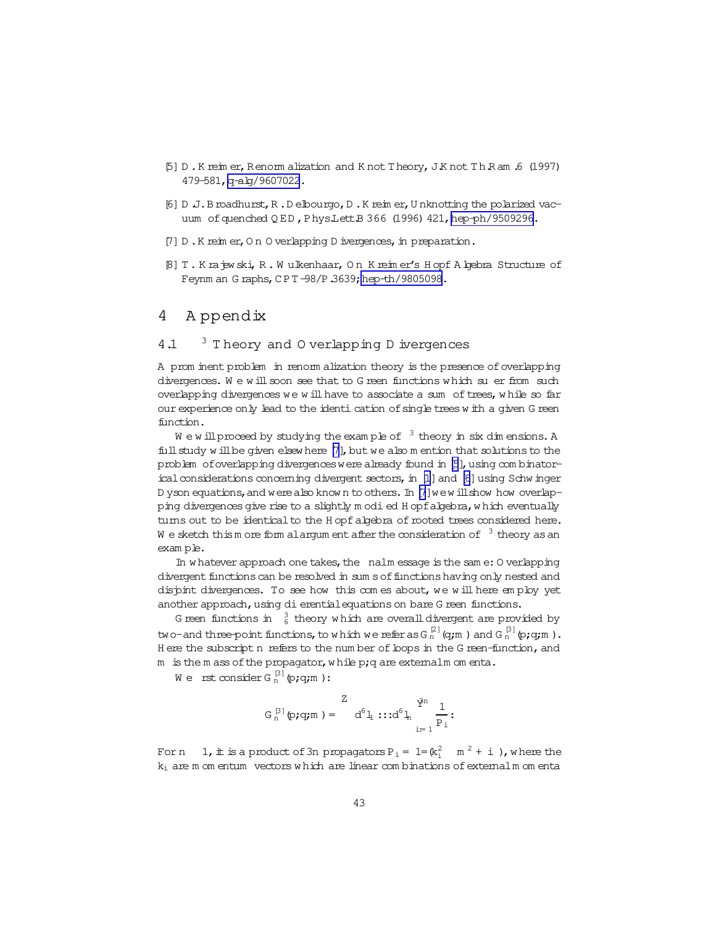- <span id="page-42-0"></span>[5] D .K reim er,Renorm alization and K not Theory,J.K not T h.R am .6 (1997) 479-581,[q-alg/9607022](http://arxiv.org/abs/q-alg/9607022).
- [6] D .J.Broadhurst,R .D elbourgo,D .K reim er,U nknotting the polarized vacuum of quenched Q ED, Phys.Lett.B 366 (1996) 421, [hep-ph/9509296.](http://arxiv.org/abs/hep-ph/9509296)
- $[7]$  D.K reim er, O n O verlapping D ivergences, in preparation.
- [8] T . K rajew ski, R . W ulkenhaar, O n K reim er's H opf A lgebra Structure of Feynm an G raphs, CPT -98/P 3639; hep-th/9805098.

## 4 A ppendix

## 4.1 <sup>3</sup> T heory and 0 verlapping D ivergences

A prom inent problem in renorm alization theory is the presence of overlapping divergences. We will soon see that to G reen functions which su er from such overlapping divergences we will have to associate a sum of trees, while so far our experience only lead to the identi cation of single trees w ith a given G reen function.

We w ill proceed by studying the example of  $3$  theory in six dim ensions. A full study w ill be given elsew here [7], but we also m ention that solutions to the problem of overlapping divergences were already found in [5], using com binatorical considerations concerning divergent sectors, in  $[L]$  and  $[6]$  using Schw inger D yson equations, and were also know n to others. In [7] we will show how overlapping divergences give rise to a slightly m odi ed H opfalgebra, which eventually turns out to be identical to the H opf algebra of rooted trees considered here. W e sketch thism ore form alargum ent after the consideration of  $3$  theory as an exam ple.

In w hatever approach one takes, the  $n=1$  nalm essage is the sam e: O verlapping divergent functions can be resolved in sum s of functions having only nested and disjoint divergences. To see how this com es about, we will here employ yet another approach, using dierential equations on bare G reen functions.

G reen functions in  $\,$   $\frac{3}{6}$  theory w hich are overall divergent are provided by two-and three-point functions, to which we refer as G  $_{\rm n}^{[2]}$  (q;m ) and G  $_{\rm n}^{[3]}$  (p;q;m ). H ere the subscript n refers to the num ber of loops in the G reen-function, and  $m$  is the m ass of the propagator, while p; q are externalm om enta.

We rst consider G  $_{\rm n}^{[3]}$  (p;q;m ):

$$
G_n^{[3]}(p; q; m) = \begin{array}{c} Z \\ d^6 1 \cdots d^6 1 \end{array} \cdots d^6 1 \sum_{i=1}^{q^n} \frac{1}{P_i}.
$$

For n  $1$ , it is a product of 3n propagators  $P_i = 1 = (k_i^2 - m^2 + i)$ , where the  $k_i$  are m om entum vectors w hich are linear com binations of externalm om enta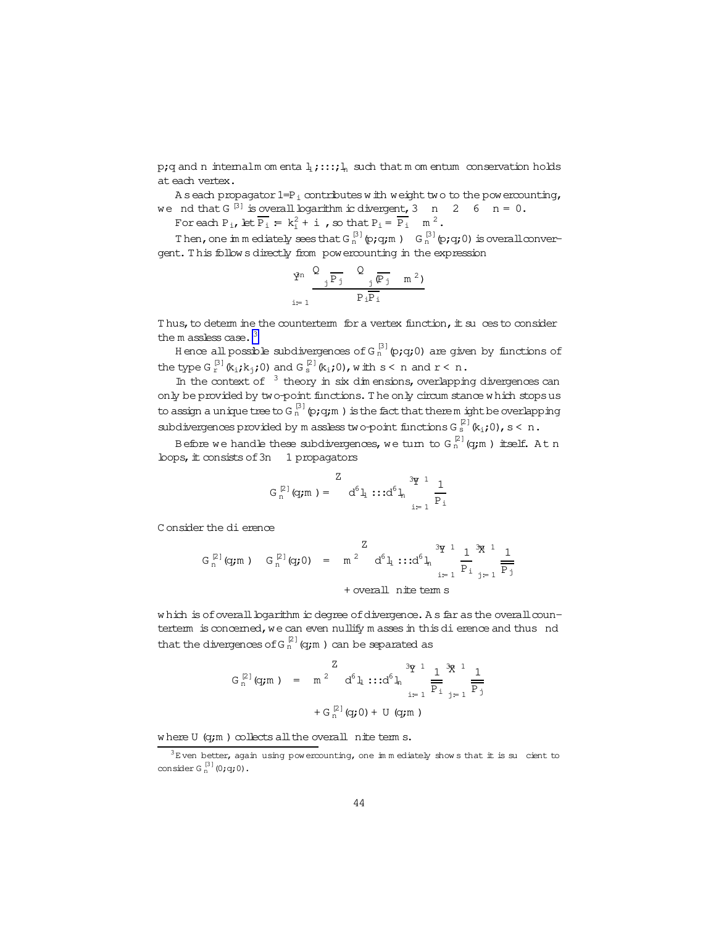p;q and n internalm om enta  $1$ ;::; $1$ <sub>n</sub> such that m om entum conservation holds at each vertex.

A seach propagator 1=P<sub>i</sub> contributes w ith weight two to the powercounting, nd that G<sup>[3]</sup> is overall locarithm is divergent. 3 n 2 6 n = 0. we nd that G<sup>[3]</sup> is overall logarithm ic divergent, 3 n 2 6 n = 0.

For each  $P_i$ , let  $\overline{P_i} = k_i^2 + i$ , so that  $P_i = \overline{P_i}$  m<sup>2</sup>.

Then, one im mediately sees that  $G_n^{[3]}$  (p;q;m )  $G_n^{[3]}$  (p;q;0) is overall convergent. T his follow s directly from powercounting in the expression

$$
\frac{\mathbf{\hat{Y}}^n}{i=1}\frac{\mathbf{Q}}{\mathbf{P}_j}\frac{\mathbf{Q}}{\mathbf{P}_i\mathbf{P}_i}\frac{\mathbf{\overline{p}}_j}{\mathbf{P}_i}
$$

Thus, to determ ine the counterterm for a vertex function, it su ces to consider the  $m$  assless case.  $3$ 

H ence all possible subdivergences of G  $_{\rm n}^{\rm [3]}$  (p;q;0) are given by functions of the type G  $_{\rm r}^{\rm [3]}$  (k<sub>i</sub>;k<sub>j</sub>;0) and G  $_{\rm s}^{\rm [2]}$  (k<sub>i</sub>;0), with s < n and r < n.

In the context of  $3$  theory in six dim ensions, overlapping divergences can only be provided by two-point functions. The only circum stance which stops us to assign a unique tree to G  $_{\rm n}^{\rm [3]}$  (p;q;m ) is the fact that there m ight be overlapping subdivergences provided by m assless two-point functions G  $_{\textrm{s}}^{\textrm{\tiny{[2]}}}$  (k<sub>i</sub>;0), s < n .

Before we handle these subdivergences, we turn to G  $_{\rm n}^{[2]}$  (g;m ) itself. At n loops,  $\pm$  consists of 3n 1 propagators

$$
G_n^{[2]}(q; m) = \begin{array}{c} Z \\ d^6 1 \cdots d^6 1 \end{array} \cdots d^6 1 \sum_{i=1}^{3q-1} \frac{1}{P_i}
$$

C onsider the dierence

$$
G_n^{[2]}(q; m)
$$
  $G_n^{[2]}(q; 0) = m^2 d^6 l_1 :: d^6 l_n \frac{3q^{1}}{q^{1}} \frac{1}{p_1} \frac{3q^{1}}{q^{1}} \frac{1}{p_3}$   
+ overall *n*ite term s

which is of overall logarithm ic degree of divergence. As far as the overall counterterm is concerned, we can even nullify m asses in this dierence and thus nd that the divergences of G  $_{\rm n}^{[2]}$  (q;m ) can be separated as

$$
G_n^{[2]}(q;m) = m^{2} d^{6}l_1 \cdots d^{6}l_n \frac{3q^{1}}{p_1} \frac{1}{p_1} \frac{3q^{1}}{p_1} \frac{1}{1-p_1}
$$
  
+
$$
G_n^{[2]}(q;0) + U(q;m)
$$

where  $U$  (q;m) collects all the overall nite term s.

 $3E$  ven better, again using pow ercounting, one immediately show s that it is su cient to consider G $_{{\rm n}}^{[3]}$  (0;q;0).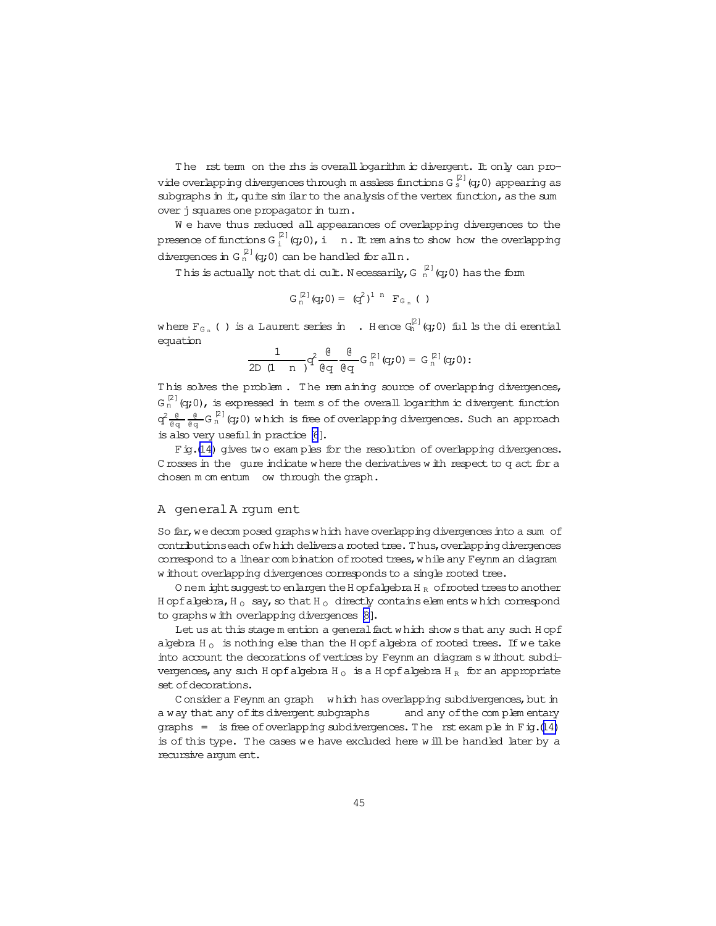The rst term on the rhs is overall boarithm ic divergent. It only can provide overlapping divergences through m assless functions G  $_{\rm s}^{[2]}$  (q;0) appearing as subgraphs in it, quite sim ilar to the analysis of the vertex function, as the sum over j squares one propagator in turn.

We have thus reduced all appearances of overlapping divergences to the presence of functions G  $_{{\rm i}}^{[2]}$  (q;0), i  $\;$  n. It rem ains to show how the overlapping divergences in G  $_{\rm n}^{[2]}$  (q;0) can be handled for all n  $\boldsymbol{.}$ 

This is actually not that dicult. Necessarily, G  $_n^{\,\,[2]}$  (q;0) has the form

$$
G_n^{[2]}(q;0) = (q^2)^{1 \ n} F_{G_n}(1)
$$

where  $F_{G_n}$  ( ) is a Laurent series in  $\;$  . Hence  $G_n^{[2]}(q;0)$  fulls the dierential equation

$$
\frac{1}{2D(1+n)}q^2\frac{\theta}{\theta q}\frac{\theta}{\theta q}G_n^{[2]}(q;0)=G_n^{[2]}(q;0);
$$

This solves the problem. The rem aining source of overlapping divergences,  $\mathsf{G}_\mathrm{n}^{[\boxtimes]}(\mathsf{q};0)$ , is expressed in terms of the overall logarithm ic divergent function  $\rm q^2$   $\frac{0}{\theta \cdot q}$   $\frac{0}{\theta \cdot q}$  G  $\rm g^{[2]}$  (q;0) w hich is free ofoverlapping divergences. Such an approach is also very useful in practice [\[6](#page-42-0)].

Fig.[\(14\)](#page-45-0) gives two exam ples for the resolution of overlapping divergences. C rosses in the qure indicate w here the derivatives w ith respect to q act for a chosen m om entum 
ow through the graph.

#### A generalA rgum ent

So far, we decom posed graphs which have overlapping divergences into a sum of contributions each of which delivers a rooted tree. Thus, overlapping divergences correspond to a linear com bination of rooted trees, w hile any Feynm an diagram w ithout overlapping divergences corresponds to a single rooted tree.

O nem ight suggest to enlargen the H opfalgebra H  $_R$  of rooted trees to another H opfalgebra, H  $_{\odot}$  say, so that H  $_{\odot}$  directly contains elem ents w hich correspond to graphs w ith overlapping divergences [\[8\]](#page-42-0).

Let us at this stage m ention a general fact w hich show s that any such H opf algebra H<sub>0</sub> is nothing else than the H opfalgebra of rooted trees. If we take into account the decorations of vertices by Feynm an diagram s w ithout subdivergences, any such H opfalgebra H<sub>0</sub> is a H opfalgebra H<sub>R</sub> for an appropriate set of decorations.

C onsider a Feynm an graph which has overlapping subdivergences, but in a way that any of its divergent subgraphs and any of the complem entary graphs = is free of overlapping subdivergences. The rst example in Fig.[\(14\)](#page-45-0) is of this type. T he cases we have excluded here w ill be handled later by a recursive argum ent.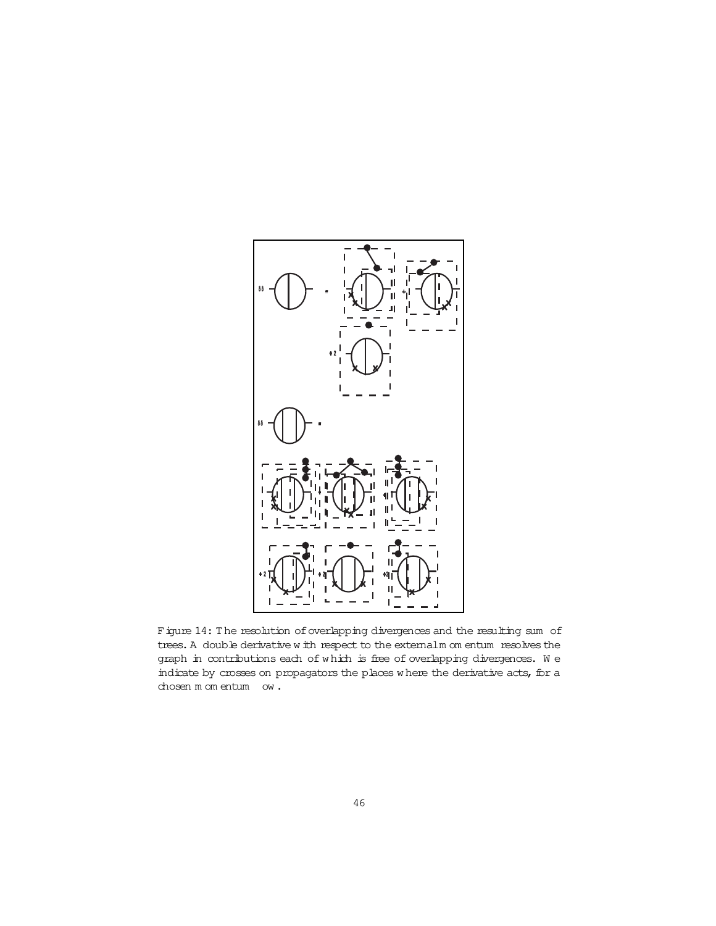<span id="page-45-0"></span>

Figure 14: The resolution of overlapping divergences and the resulting sum of trees. A double derivative w ith respect to the externalm om entum resolves the graph in contributions each of w hich is free of overlapping divergences. W e indicate by crosses on propagators the places where the derivative acts, for a chosen m om entum 
ow .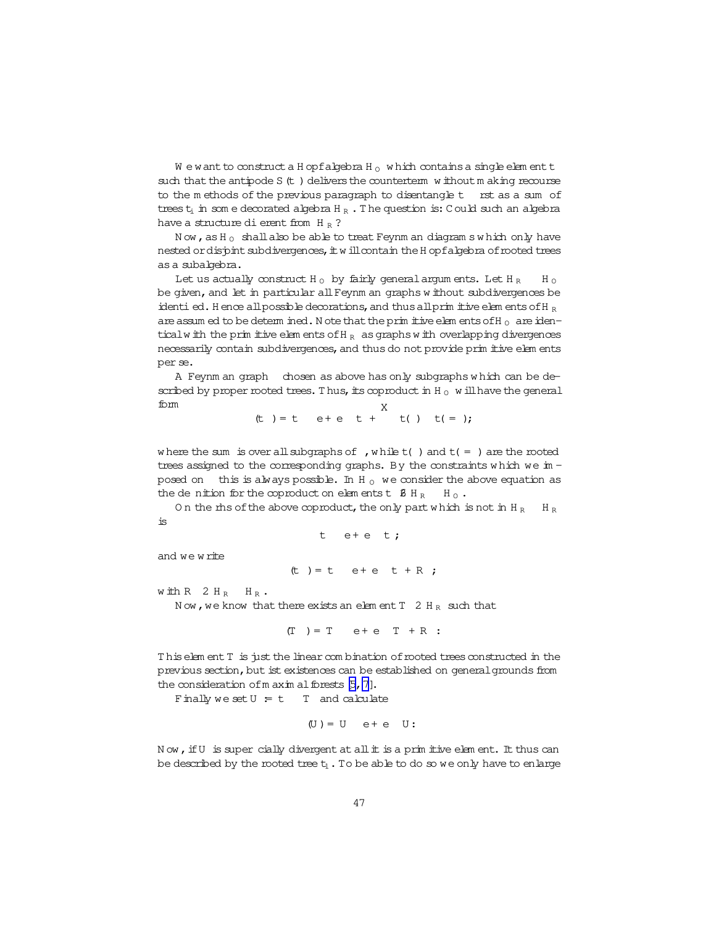$W$  e w ant to construct a H opf algebra H<sub>0</sub> which contains a single element t such that the antipode S (t) delivers the counterterm without making recourse to the methods of the previous paragraph to disentangle t rst as a sum of trees  $t_i$  in some decorated algebra  $H_R$ . The question is: Could such an algebra have a structure di erent from H  $_B$  ?

Now, as H<sub>0</sub> shall also be able to treat Feynm an diagram swhich only have nested or disjoint subdivergences, it will contain the H opf algebra of rooted trees as a subalgebra.

Let us actually construct H<sub>0</sub> by fairly general argum ents. Let H<sub>R</sub>  $H \circ$ be given, and let in particular all Feynm an graphs without subdivergences be identi ed. H ence all possible decorations, and thus all primitive elements of H  $_R$ are assumed to be determined. Note that the primitive elements of H<sub>0</sub> are identical with the primitive elements of  $H_R$  as graphs with overlapping divergences necessarily contain subdivergences, and thus do not provide primitive elements per se.

A Feynm an graph chosen as above has only subgraphs which can be described by proper rooted trees. Thus, its coproduct in H<sub>0</sub> will have the general  $f<sub>0</sub>$  m

$$
(t)
$$
 = t e+ e t +<sup>11</sup> t() t( = );

where the sum is over all subgraphs of , while  $t( )$  and  $t( = )$  are the rooted trees assigned to the corresponding graphs. By the constraints which we in  $$ posed on this is always possible. In H<sub>0</sub> we consider the above equation as the denition for the coproduct on elements t  $\beta$  H<sub>R</sub>  $H_{\Omega}$ .

On the rhs of the above coproduct, the only part which is not in H<sub>R</sub>  $H_R$ is

t  $e+e$  t;

and we write

(t) = t e+e t + R;

with  $R$  2 H<sub>R</sub> H<sub>R</sub>.

Now, we know that there exists an element  $T$  2 H<sub>R</sub> such that

 $(T) = T$  e + e T + R :

This element T is just the linear combination of rooted trees constructed in the previous section, but ist existences can be established on general grounds from the consideration of m axim al forests  $[5, 7]$ .

Finally we set  $U = t$  T and calculate

$$
(U) = U \quad e + e \quad U:
$$

Now, if U is super cially divergent at all it is a primitive element. It thus can be described by the rooted tree  $t_1$ . To be able to do so we only have to enlarge